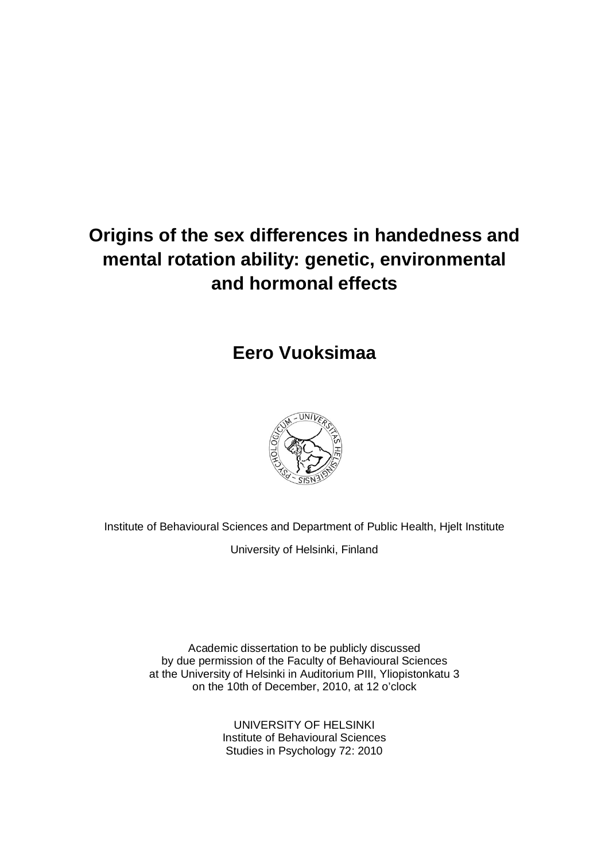# **Origins of the sex differences in handedness and mental rotation ability: genetic, environmental and hormonal effects**

# **Eero Vuoksimaa**



Institute of Behavioural Sciences and Department of Public Health, Hjelt Institute

University of Helsinki, Finland

Academic dissertation to be publicly discussed by due permission of the Faculty of Behavioural Sciences at the University of Helsinki in Auditorium PIII, Yliopistonkatu 3 on the 10th of December, 2010, at 12 o'clock

> UNIVERSITY OF HELSINKI Institute of Behavioural Sciences Studies in Psychology 72: 2010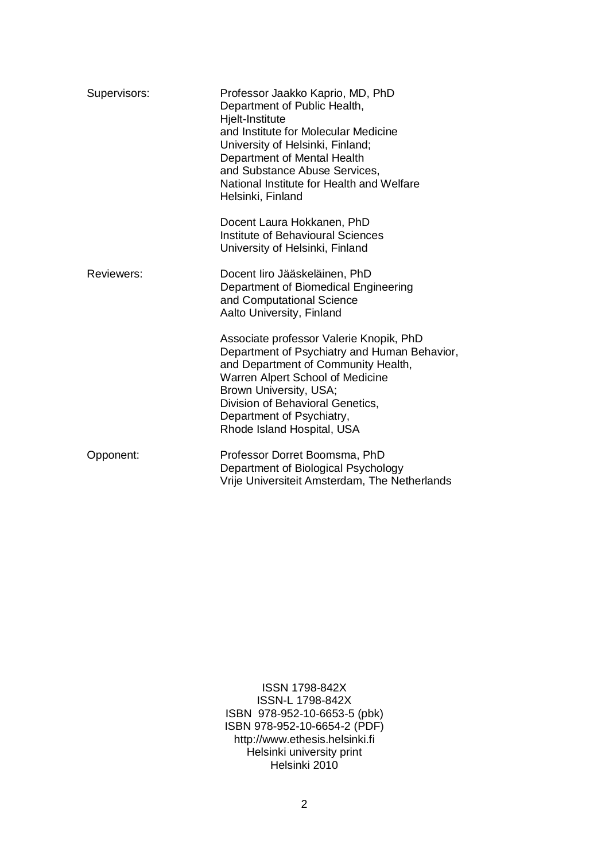| Supervisors: | Professor Jaakko Kaprio, MD, PhD<br>Department of Public Health,<br>Hjelt-Institute<br>and Institute for Molecular Medicine<br>University of Helsinki, Finland;<br>Department of Mental Health<br>and Substance Abuse Services,<br>National Institute for Health and Welfare<br>Helsinki, Finland |  |
|--------------|---------------------------------------------------------------------------------------------------------------------------------------------------------------------------------------------------------------------------------------------------------------------------------------------------|--|
|              | Docent Laura Hokkanen, PhD<br><b>Institute of Behavioural Sciences</b><br>University of Helsinki, Finland                                                                                                                                                                                         |  |
| Reviewers:   | Docent liro Jääskeläinen, PhD<br>Department of Biomedical Engineering<br>and Computational Science<br>Aalto University, Finland                                                                                                                                                                   |  |
|              | Associate professor Valerie Knopik, PhD<br>Department of Psychiatry and Human Behavior,<br>and Department of Community Health,<br>Warren Alpert School of Medicine<br>Brown University, USA;<br>Division of Behavioral Genetics,<br>Department of Psychiatry,<br>Rhode Island Hospital, USA       |  |
| Opponent:    | Professor Dorret Boomsma, PhD<br>Department of Biological Psychology<br>Vrije Universiteit Amsterdam, The Netherlands                                                                                                                                                                             |  |

ISSN 1798-842X ISSN-L 1798-842X ISBN 978-952-10-6653-5 (pbk) ISBN 978-952-10-6654-2 (PDF) http://www.ethesis.helsinki.fi Helsinki university print Helsinki 2010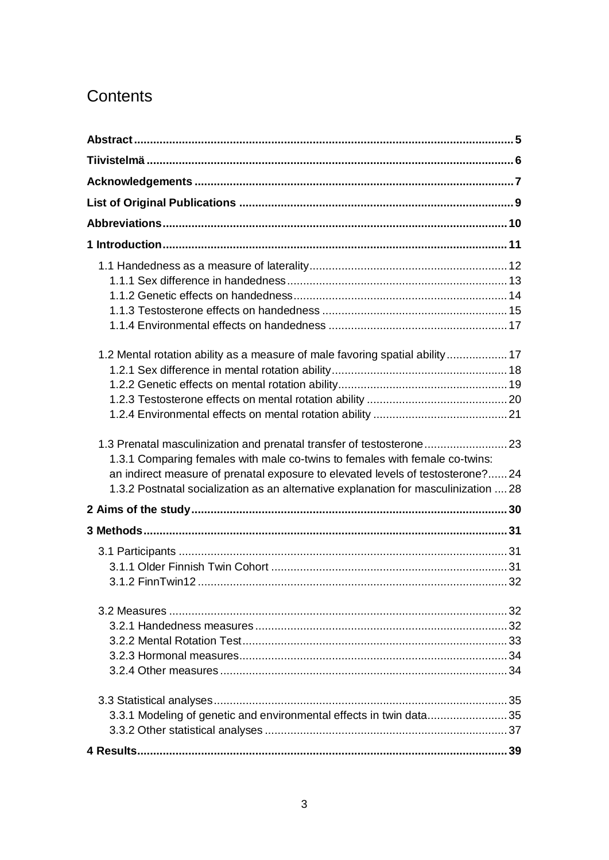# **Contents**

| 1.2 Mental rotation ability as a measure of male favoring spatial ability 17                                                                                                                                                                                                                                                 |  |
|------------------------------------------------------------------------------------------------------------------------------------------------------------------------------------------------------------------------------------------------------------------------------------------------------------------------------|--|
|                                                                                                                                                                                                                                                                                                                              |  |
|                                                                                                                                                                                                                                                                                                                              |  |
|                                                                                                                                                                                                                                                                                                                              |  |
| 1.3 Prenatal masculinization and prenatal transfer of testosterone23<br>1.3.1 Comparing females with male co-twins to females with female co-twins:<br>an indirect measure of prenatal exposure to elevated levels of testosterone?24<br>1.3.2 Postnatal socialization as an alternative explanation for masculinization  28 |  |
|                                                                                                                                                                                                                                                                                                                              |  |
|                                                                                                                                                                                                                                                                                                                              |  |
|                                                                                                                                                                                                                                                                                                                              |  |
|                                                                                                                                                                                                                                                                                                                              |  |
| 3.3.1 Modeling of genetic and environmental effects in twin data35                                                                                                                                                                                                                                                           |  |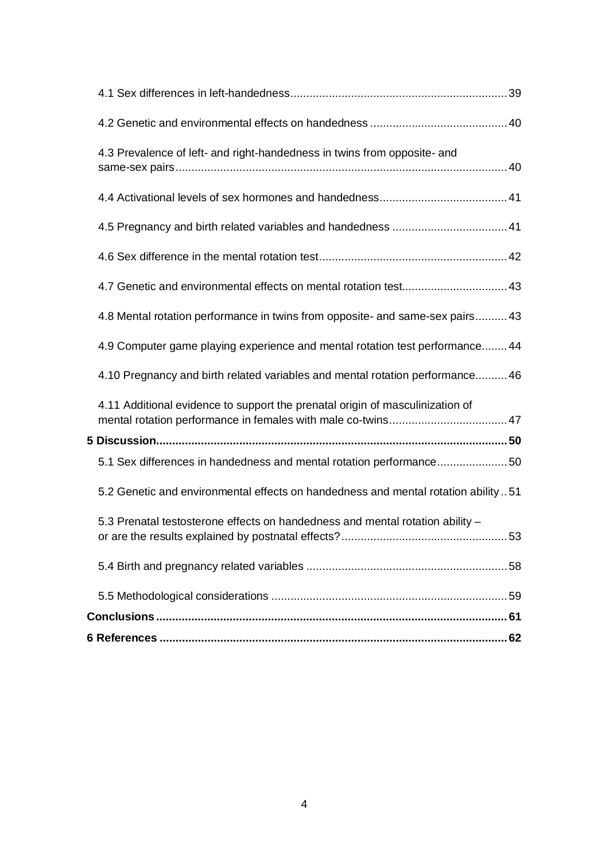| 4.3 Prevalence of left- and right-handedness in twins from opposite- and          |  |
|-----------------------------------------------------------------------------------|--|
|                                                                                   |  |
|                                                                                   |  |
|                                                                                   |  |
|                                                                                   |  |
| 4.8 Mental rotation performance in twins from opposite- and same-sex pairs 43     |  |
| 4.9 Computer game playing experience and mental rotation test performance 44      |  |
| 4.10 Pregnancy and birth related variables and mental rotation performance46      |  |
| 4.11 Additional evidence to support the prenatal origin of masculinization of     |  |
|                                                                                   |  |
| 5.1 Sex differences in handedness and mental rotation performance50               |  |
| 5.2 Genetic and environmental effects on handedness and mental rotation ability51 |  |
| 5.3 Prenatal testosterone effects on handedness and mental rotation ability -     |  |
|                                                                                   |  |
|                                                                                   |  |
|                                                                                   |  |
|                                                                                   |  |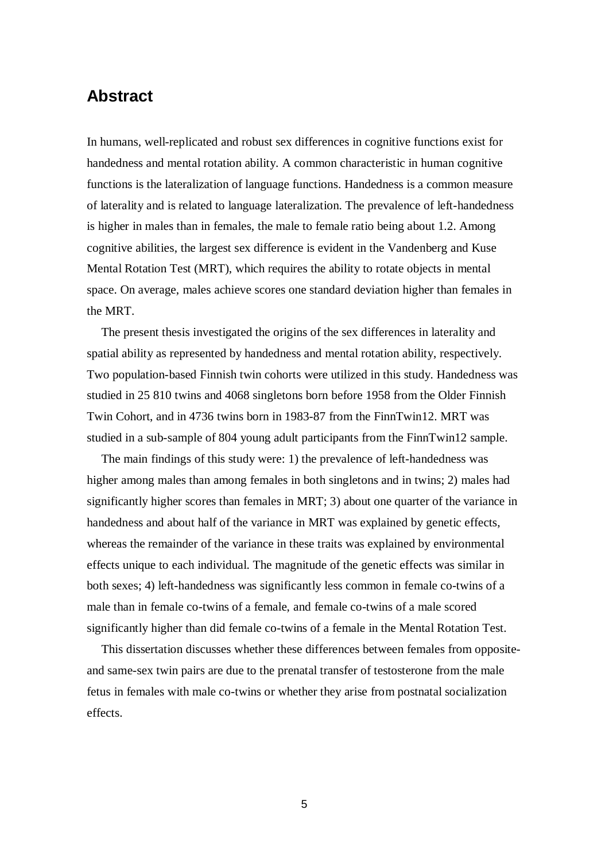## **Abstract**

In humans, well-replicated and robust sex differences in cognitive functions exist for handedness and mental rotation ability. A common characteristic in human cognitive functions is the lateralization of language functions. Handedness is a common measure of laterality and is related to language lateralization. The prevalence of left-handedness is higher in males than in females, the male to female ratio being about 1.2. Among cognitive abilities, the largest sex difference is evident in the Vandenberg and Kuse Mental Rotation Test (MRT), which requires the ability to rotate objects in mental space. On average, males achieve scores one standard deviation higher than females in the MRT.

The present thesis investigated the origins of the sex differences in laterality and spatial ability as represented by handedness and mental rotation ability, respectively. Two population-based Finnish twin cohorts were utilized in this study. Handedness was studied in 25 810 twins and 4068 singletons born before 1958 from the Older Finnish Twin Cohort, and in 4736 twins born in 1983-87 from the FinnTwin12. MRT was studied in a sub-sample of 804 young adult participants from the FinnTwin12 sample.

The main findings of this study were: 1) the prevalence of left-handedness was higher among males than among females in both singletons and in twins; 2) males had significantly higher scores than females in MRT; 3) about one quarter of the variance in handedness and about half of the variance in MRT was explained by genetic effects, whereas the remainder of the variance in these traits was explained by environmental effects unique to each individual. The magnitude of the genetic effects was similar in both sexes; 4) left-handedness was significantly less common in female co-twins of a male than in female co-twins of a female, and female co-twins of a male scored significantly higher than did female co-twins of a female in the Mental Rotation Test.

This dissertation discusses whether these differences between females from oppositeand same-sex twin pairs are due to the prenatal transfer of testosterone from the male fetus in females with male co-twins or whether they arise from postnatal socialization effects.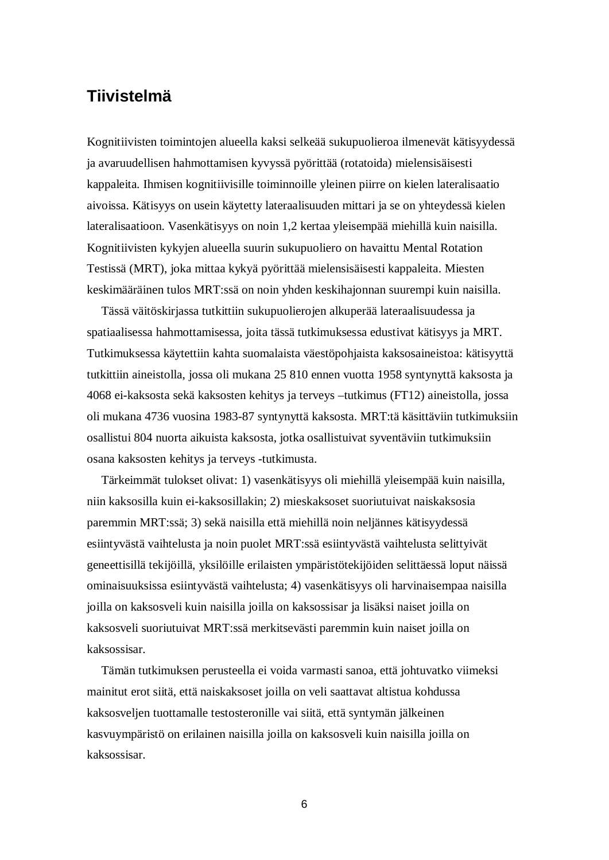# **Tiivistelmä**

Kognitiivisten toimintojen alueella kaksi selkeää sukupuolieroa ilmenevät kätisyydessä ja avaruudellisen hahmottamisen kyvyssä pyörittää (rotatoida) mielensisäisesti kappaleita. Ihmisen kognitiivisille toiminnoille yleinen piirre on kielen lateralisaatio aivoissa. Kätisyys on usein käytetty lateraalisuuden mittari ja se on yhteydessä kielen lateralisaatioon. Vasenkätisyys on noin 1,2 kertaa yleisempää miehillä kuin naisilla. Kognitiivisten kykyjen alueella suurin sukupuoliero on havaittu Mental Rotation Testissä (MRT), joka mittaa kykyä pyörittää mielensisäisesti kappaleita. Miesten keskimääräinen tulos MRT:ssä on noin yhden keskihajonnan suurempi kuin naisilla.

Tässä väitöskirjassa tutkittiin sukupuolierojen alkuperää lateraalisuudessa ja spatiaalisessa hahmottamisessa, joita tässä tutkimuksessa edustivat kätisyys ja MRT. Tutkimuksessa käytettiin kahta suomalaista väestöpohjaista kaksosaineistoa: kätisyyttä tutkittiin aineistolla, jossa oli mukana 25 810 ennen vuotta 1958 syntynyttä kaksosta ja 4068 ei-kaksosta sekä kaksosten kehitys ja terveys –tutkimus (FT12) aineistolla, jossa oli mukana 4736 vuosina 1983-87 syntynyttä kaksosta. MRT:tä käsittäviin tutkimuksiin osallistui 804 nuorta aikuista kaksosta, jotka osallistuivat syventäviin tutkimuksiin osana kaksosten kehitys ja terveys -tutkimusta.

Tärkeimmät tulokset olivat: 1) vasenkätisyys oli miehillä yleisempää kuin naisilla, niin kaksosilla kuin ei-kaksosillakin; 2) mieskaksoset suoriutuivat naiskaksosia paremmin MRT:ssä; 3) sekä naisilla että miehillä noin neljännes kätisyydessä esiintyvästä vaihtelusta ja noin puolet MRT:ssä esiintyvästä vaihtelusta selittyivät geneettisillä tekijöillä, yksilöille erilaisten ympäristötekijöiden selittäessä loput näissä ominaisuuksissa esiintyvästä vaihtelusta; 4) vasenkätisyys oli harvinaisempaa naisilla joilla on kaksosveli kuin naisilla joilla on kaksossisar ja lisäksi naiset joilla on kaksosveli suoriutuivat MRT:ssä merkitsevästi paremmin kuin naiset joilla on kaksossisar.

Tämän tutkimuksen perusteella ei voida varmasti sanoa, että johtuvatko viimeksi mainitut erot siitä, että naiskaksoset joilla on veli saattavat altistua kohdussa kaksosveljen tuottamalle testosteronille vai siitä, että syntymän jälkeinen kasvuympäristö on erilainen naisilla joilla on kaksosveli kuin naisilla joilla on kaksossisar.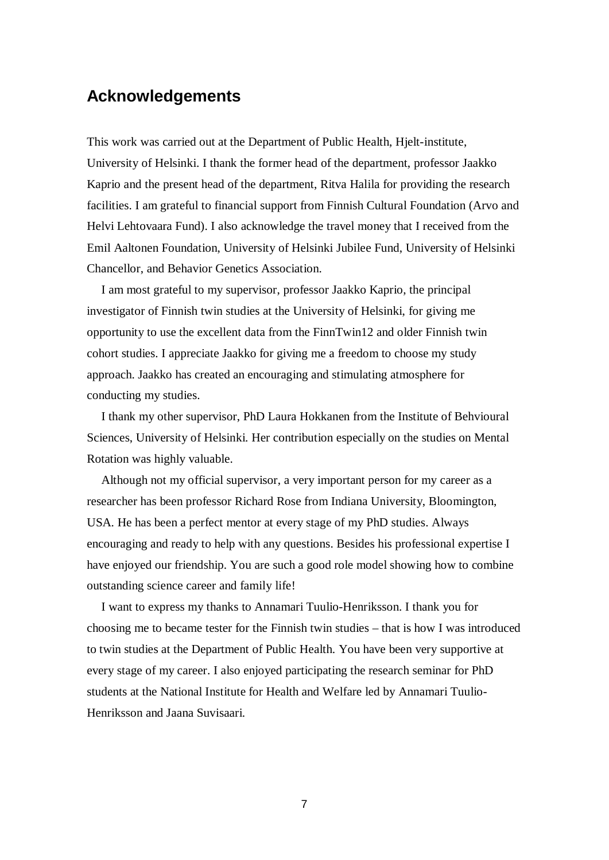# **Acknowledgements**

This work was carried out at the Department of Public Health, Hjelt-institute, University of Helsinki. I thank the former head of the department, professor Jaakko Kaprio and the present head of the department, Ritva Halila for providing the research facilities. I am grateful to financial support from Finnish Cultural Foundation (Arvo and Helvi Lehtovaara Fund). I also acknowledge the travel money that I received from the Emil Aaltonen Foundation, University of Helsinki Jubilee Fund, University of Helsinki Chancellor, and Behavior Genetics Association.

I am most grateful to my supervisor, professor Jaakko Kaprio, the principal investigator of Finnish twin studies at the University of Helsinki, for giving me opportunity to use the excellent data from the FinnTwin12 and older Finnish twin cohort studies. I appreciate Jaakko for giving me a freedom to choose my study approach. Jaakko has created an encouraging and stimulating atmosphere for conducting my studies.

I thank my other supervisor, PhD Laura Hokkanen from the Institute of Behvioural Sciences, University of Helsinki. Her contribution especially on the studies on Mental Rotation was highly valuable.

Although not my official supervisor, a very important person for my career as a researcher has been professor Richard Rose from Indiana University, Bloomington, USA. He has been a perfect mentor at every stage of my PhD studies. Always encouraging and ready to help with any questions. Besides his professional expertise I have enjoyed our friendship. You are such a good role model showing how to combine outstanding science career and family life!

I want to express my thanks to Annamari Tuulio-Henriksson. I thank you for choosing me to became tester for the Finnish twin studies – that is how I was introduced to twin studies at the Department of Public Health. You have been very supportive at every stage of my career. I also enjoyed participating the research seminar for PhD students at the National Institute for Health and Welfare led by Annamari Tuulio-Henriksson and Jaana Suvisaari.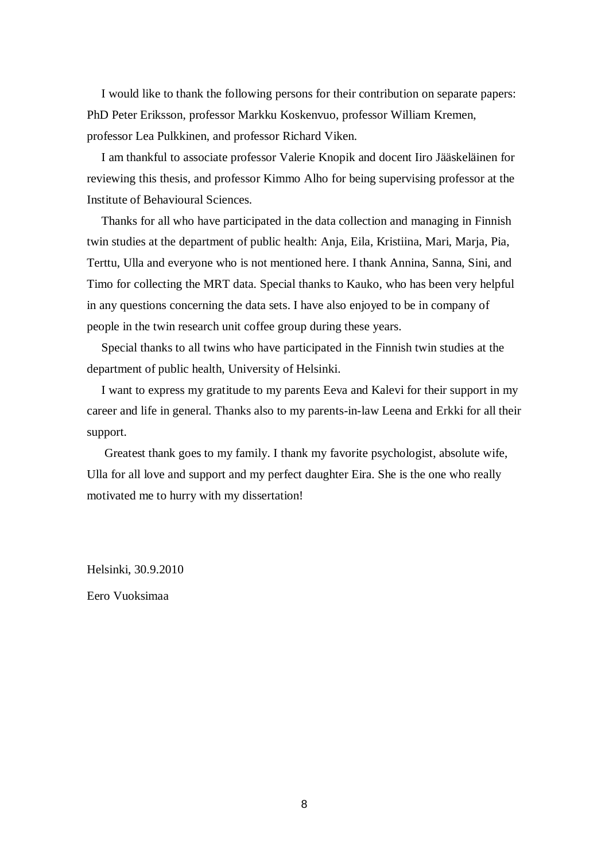I would like to thank the following persons for their contribution on separate papers: PhD Peter Eriksson, professor Markku Koskenvuo, professor William Kremen, professor Lea Pulkkinen, and professor Richard Viken.

I am thankful to associate professor Valerie Knopik and docent Iiro Jääskeläinen for reviewing this thesis, and professor Kimmo Alho for being supervising professor at the Institute of Behavioural Sciences.

Thanks for all who have participated in the data collection and managing in Finnish twin studies at the department of public health: Anja, Eila, Kristiina, Mari, Marja, Pia, Terttu, Ulla and everyone who is not mentioned here. I thank Annina, Sanna, Sini, and Timo for collecting the MRT data. Special thanks to Kauko, who has been very helpful in any questions concerning the data sets. I have also enjoyed to be in company of people in the twin research unit coffee group during these years.

Special thanks to all twins who have participated in the Finnish twin studies at the department of public health, University of Helsinki.

I want to express my gratitude to my parents Eeva and Kalevi for their support in my career and life in general. Thanks also to my parents-in-law Leena and Erkki for all their support.

 Greatest thank goes to my family. I thank my favorite psychologist, absolute wife, Ulla for all love and support and my perfect daughter Eira. She is the one who really motivated me to hurry with my dissertation!

Helsinki, 30.9.2010

Eero Vuoksimaa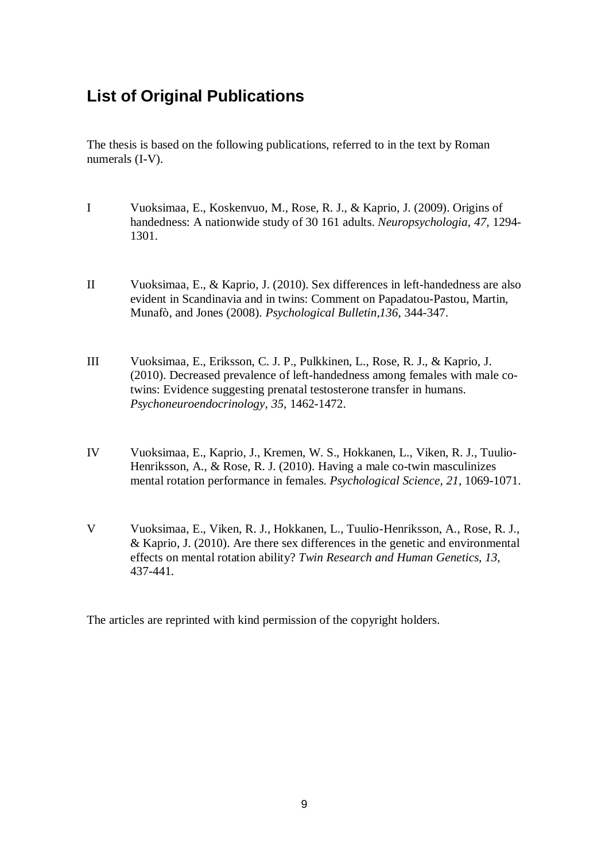# **List of Original Publications**

The thesis is based on the following publications, referred to in the text by Roman numerals (I-V).

- I Vuoksimaa, E., Koskenvuo, M., Rose, R. J., & Kaprio, J. (2009). Origins of handedness: A nationwide study of 30 161 adults. *Neuropsychologia, 47,* 1294- 1301.
- II Vuoksimaa, E., & Kaprio, J. (2010). Sex differences in left-handedness are also evident in Scandinavia and in twins: Comment on Papadatou-Pastou, Martin, Munafò, and Jones (2008). *Psychological Bulletin,136*, 344-347.
- III Vuoksimaa, E., Eriksson, C. J. P., Pulkkinen, L., Rose, R. J., & Kaprio, J. (2010). Decreased prevalence of left-handedness among females with male cotwins: Evidence suggesting prenatal testosterone transfer in humans. *Psychoneuroendocrinology, 35,* 1462-1472.
- IV Vuoksimaa, E., Kaprio, J., Kremen, W. S., Hokkanen, L., Viken, R. J., Tuulio-Henriksson, A., & Rose, R. J. (2010). Having a male co-twin masculinizes mental rotation performance in females. *Psychological Science, 21*, 1069-1071.
- V Vuoksimaa, E., Viken, R. J., Hokkanen, L., Tuulio-Henriksson, A., Rose, R. J., & Kaprio, J. (2010). Are there sex differences in the genetic and environmental effects on mental rotation ability? *Twin Research and Human Genetics, 13,* 437-441*.*

The articles are reprinted with kind permission of the copyright holders.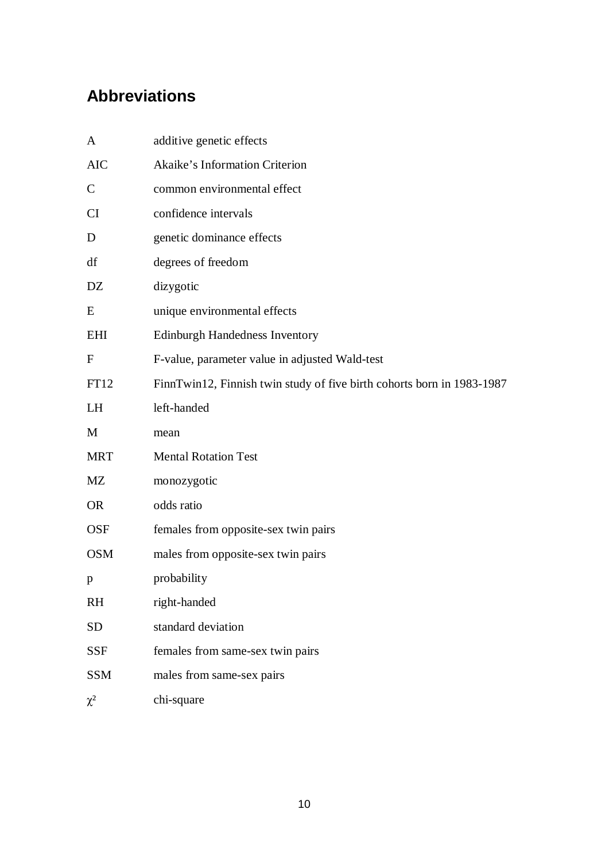# **Abbreviations**

| A            | additive genetic effects                                               |
|--------------|------------------------------------------------------------------------|
| <b>AIC</b>   | Akaike's Information Criterion                                         |
| $\mathsf{C}$ | common environmental effect                                            |
| <b>CI</b>    | confidence intervals                                                   |
| D            | genetic dominance effects                                              |
| df           | degrees of freedom                                                     |
| DZ           | dizygotic                                                              |
| E            | unique environmental effects                                           |
| EHI          | <b>Edinburgh Handedness Inventory</b>                                  |
| $\mathbf{F}$ | F-value, parameter value in adjusted Wald-test                         |
| FT12         | FinnTwin12, Finnish twin study of five birth cohorts born in 1983-1987 |
| LH           | left-handed                                                            |
| M            | mean                                                                   |
| <b>MRT</b>   | <b>Mental Rotation Test</b>                                            |
| MZ           | monozygotic                                                            |
| <b>OR</b>    | odds ratio                                                             |
| <b>OSF</b>   | females from opposite-sex twin pairs                                   |
| <b>OSM</b>   | males from opposite-sex twin pairs                                     |
| p            | probability                                                            |
| <b>RH</b>    | right-handed                                                           |
| <b>SD</b>    | standard deviation                                                     |
| <b>SSF</b>   | females from same-sex twin pairs                                       |
| <b>SSM</b>   | males from same-sex pairs                                              |
| $\chi^2$     | chi-square                                                             |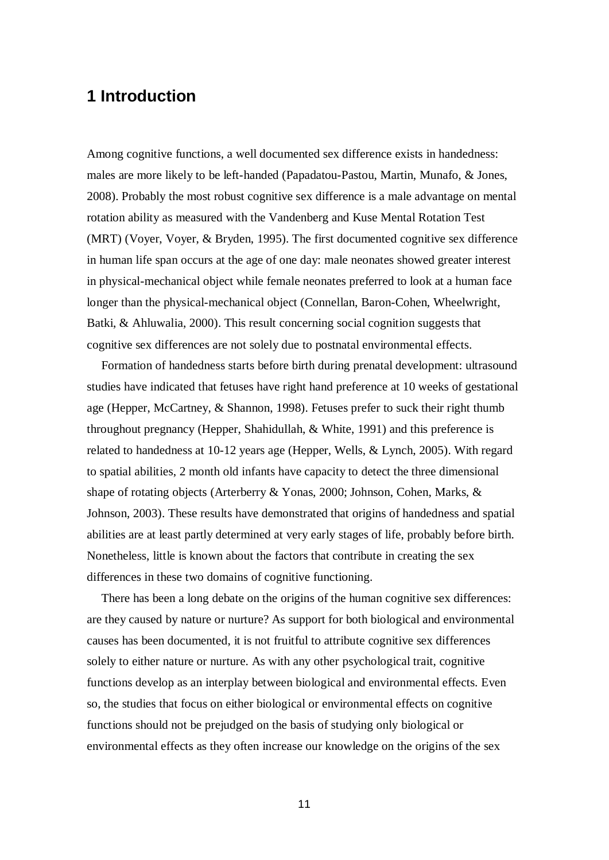# **1 Introduction**

Among cognitive functions, a well documented sex difference exists in handedness: males are more likely to be left-handed (Papadatou-Pastou, Martin, Munafo, & Jones, 2008). Probably the most robust cognitive sex difference is a male advantage on mental rotation ability as measured with the Vandenberg and Kuse Mental Rotation Test (MRT) (Voyer, Voyer, & Bryden, 1995). The first documented cognitive sex difference in human life span occurs at the age of one day: male neonates showed greater interest in physical-mechanical object while female neonates preferred to look at a human face longer than the physical-mechanical object (Connellan, Baron-Cohen, Wheelwright, Batki, & Ahluwalia, 2000). This result concerning social cognition suggests that cognitive sex differences are not solely due to postnatal environmental effects.

Formation of handedness starts before birth during prenatal development: ultrasound studies have indicated that fetuses have right hand preference at 10 weeks of gestational age (Hepper, McCartney, & Shannon, 1998). Fetuses prefer to suck their right thumb throughout pregnancy (Hepper, Shahidullah, & White, 1991) and this preference is related to handedness at 10-12 years age (Hepper, Wells, & Lynch, 2005). With regard to spatial abilities, 2 month old infants have capacity to detect the three dimensional shape of rotating objects (Arterberry & Yonas, 2000; Johnson, Cohen, Marks, & Johnson, 2003). These results have demonstrated that origins of handedness and spatial abilities are at least partly determined at very early stages of life, probably before birth. Nonetheless, little is known about the factors that contribute in creating the sex differences in these two domains of cognitive functioning.

There has been a long debate on the origins of the human cognitive sex differences: are they caused by nature or nurture? As support for both biological and environmental causes has been documented, it is not fruitful to attribute cognitive sex differences solely to either nature or nurture. As with any other psychological trait, cognitive functions develop as an interplay between biological and environmental effects. Even so, the studies that focus on either biological or environmental effects on cognitive functions should not be prejudged on the basis of studying only biological or environmental effects as they often increase our knowledge on the origins of the sex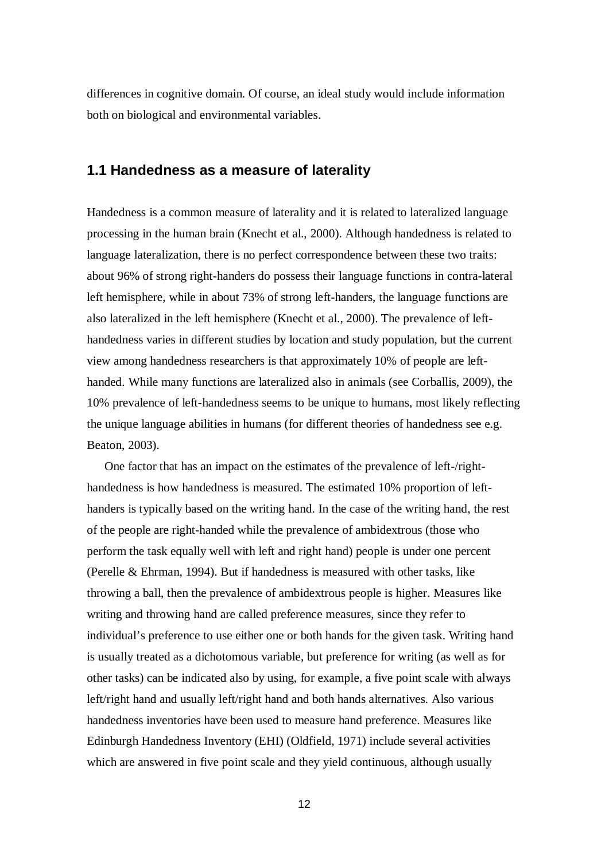differences in cognitive domain. Of course, an ideal study would include information both on biological and environmental variables.

### **1.1 Handedness as a measure of laterality**

Handedness is a common measure of laterality and it is related to lateralized language processing in the human brain (Knecht et al., 2000). Although handedness is related to language lateralization, there is no perfect correspondence between these two traits: about 96% of strong right-handers do possess their language functions in contra-lateral left hemisphere, while in about 73% of strong left-handers, the language functions are also lateralized in the left hemisphere (Knecht et al., 2000). The prevalence of lefthandedness varies in different studies by location and study population, but the current view among handedness researchers is that approximately 10% of people are lefthanded. While many functions are lateralized also in animals (see Corballis, 2009), the 10% prevalence of left-handedness seems to be unique to humans, most likely reflecting the unique language abilities in humans (for different theories of handedness see e.g. Beaton, 2003).

 One factor that has an impact on the estimates of the prevalence of left-/righthandedness is how handedness is measured. The estimated 10% proportion of lefthanders is typically based on the writing hand. In the case of the writing hand, the rest of the people are right-handed while the prevalence of ambidextrous (those who perform the task equally well with left and right hand) people is under one percent (Perelle & Ehrman, 1994). But if handedness is measured with other tasks, like throwing a ball, then the prevalence of ambidextrous people is higher. Measures like writing and throwing hand are called preference measures, since they refer to individual's preference to use either one or both hands for the given task. Writing hand is usually treated as a dichotomous variable, but preference for writing (as well as for other tasks) can be indicated also by using, for example, a five point scale with always left/right hand and usually left/right hand and both hands alternatives. Also various handedness inventories have been used to measure hand preference. Measures like Edinburgh Handedness Inventory (EHI) (Oldfield, 1971) include several activities which are answered in five point scale and they yield continuous, although usually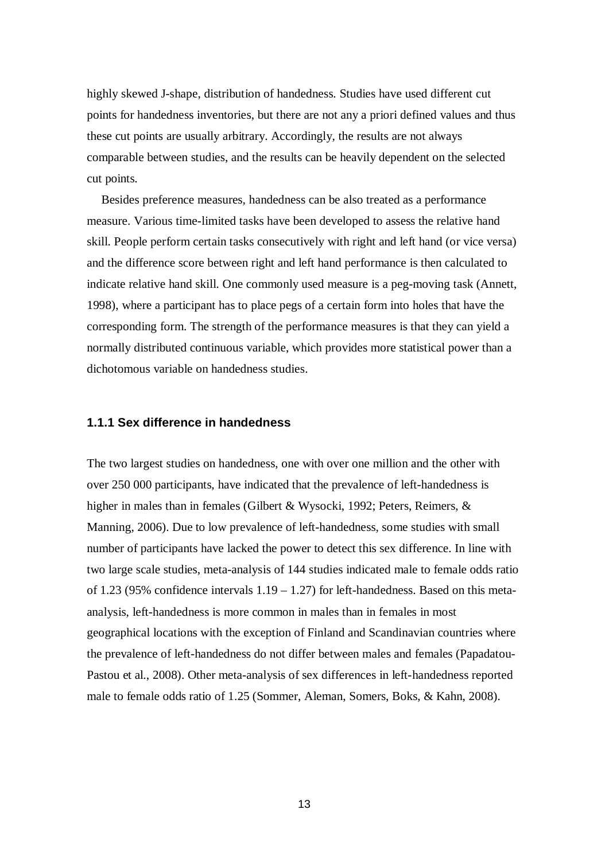highly skewed J-shape, distribution of handedness. Studies have used different cut points for handedness inventories, but there are not any a priori defined values and thus these cut points are usually arbitrary. Accordingly, the results are not always comparable between studies, and the results can be heavily dependent on the selected cut points.

Besides preference measures, handedness can be also treated as a performance measure. Various time-limited tasks have been developed to assess the relative hand skill. People perform certain tasks consecutively with right and left hand (or vice versa) and the difference score between right and left hand performance is then calculated to indicate relative hand skill. One commonly used measure is a peg-moving task (Annett, 1998), where a participant has to place pegs of a certain form into holes that have the corresponding form. The strength of the performance measures is that they can yield a normally distributed continuous variable, which provides more statistical power than a dichotomous variable on handedness studies.

### **1.1.1 Sex difference in handedness**

The two largest studies on handedness, one with over one million and the other with over 250 000 participants, have indicated that the prevalence of left-handedness is higher in males than in females (Gilbert & Wysocki, 1992; Peters, Reimers, & Manning, 2006). Due to low prevalence of left-handedness, some studies with small number of participants have lacked the power to detect this sex difference. In line with two large scale studies, meta-analysis of 144 studies indicated male to female odds ratio of 1.23 (95% confidence intervals  $1.19 - 1.27$ ) for left-handedness. Based on this metaanalysis, left-handedness is more common in males than in females in most geographical locations with the exception of Finland and Scandinavian countries where the prevalence of left-handedness do not differ between males and females (Papadatou-Pastou et al., 2008). Other meta-analysis of sex differences in left-handedness reported male to female odds ratio of 1.25 (Sommer, Aleman, Somers, Boks, & Kahn, 2008).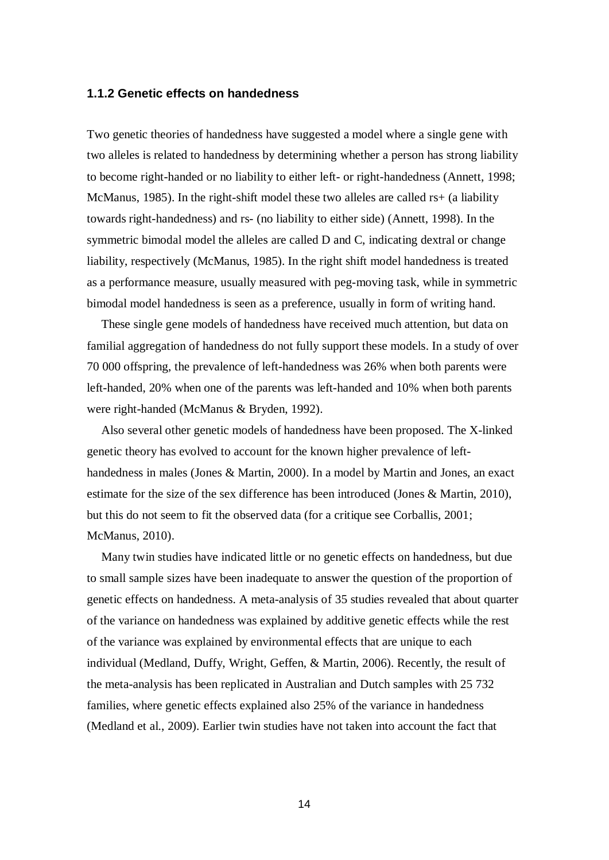#### **1.1.2 Genetic effects on handedness**

Two genetic theories of handedness have suggested a model where a single gene with two alleles is related to handedness by determining whether a person has strong liability to become right-handed or no liability to either left- or right-handedness (Annett, 1998; McManus, 1985). In the right-shift model these two alleles are called rs+ (a liability towards right-handedness) and rs- (no liability to either side) (Annett, 1998). In the symmetric bimodal model the alleles are called D and C, indicating dextral or change liability, respectively (McManus, 1985). In the right shift model handedness is treated as a performance measure, usually measured with peg-moving task, while in symmetric bimodal model handedness is seen as a preference, usually in form of writing hand.

These single gene models of handedness have received much attention, but data on familial aggregation of handedness do not fully support these models. In a study of over 70 000 offspring, the prevalence of left-handedness was 26% when both parents were left-handed, 20% when one of the parents was left-handed and 10% when both parents were right-handed (McManus & Bryden, 1992).

Also several other genetic models of handedness have been proposed. The X-linked genetic theory has evolved to account for the known higher prevalence of lefthandedness in males (Jones & Martin, 2000). In a model by Martin and Jones, an exact estimate for the size of the sex difference has been introduced (Jones & Martin, 2010), but this do not seem to fit the observed data (for a critique see Corballis, 2001; McManus, 2010).

Many twin studies have indicated little or no genetic effects on handedness, but due to small sample sizes have been inadequate to answer the question of the proportion of genetic effects on handedness. A meta-analysis of 35 studies revealed that about quarter of the variance on handedness was explained by additive genetic effects while the rest of the variance was explained by environmental effects that are unique to each individual (Medland, Duffy, Wright, Geffen, & Martin, 2006). Recently, the result of the meta-analysis has been replicated in Australian and Dutch samples with 25 732 families, where genetic effects explained also 25% of the variance in handedness (Medland et al., 2009). Earlier twin studies have not taken into account the fact that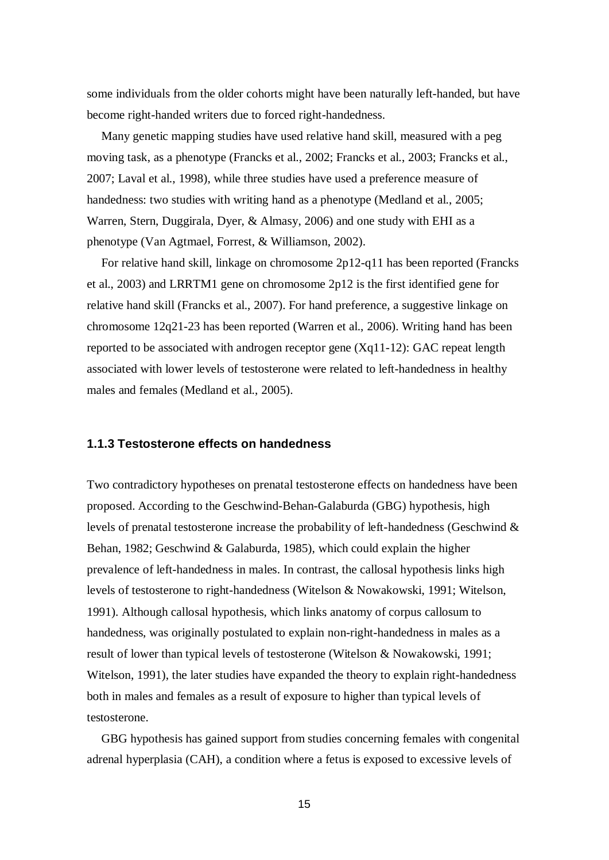some individuals from the older cohorts might have been naturally left-handed, but have become right-handed writers due to forced right-handedness.

Many genetic mapping studies have used relative hand skill, measured with a peg moving task, as a phenotype (Francks et al., 2002; Francks et al., 2003; Francks et al., 2007; Laval et al., 1998), while three studies have used a preference measure of handedness: two studies with writing hand as a phenotype (Medland et al., 2005; Warren, Stern, Duggirala, Dyer, & Almasy, 2006) and one study with EHI as a phenotype (Van Agtmael, Forrest, & Williamson, 2002).

For relative hand skill, linkage on chromosome 2p12-q11 has been reported (Francks et al., 2003) and LRRTM1 gene on chromosome 2p12 is the first identified gene for relative hand skill (Francks et al., 2007). For hand preference, a suggestive linkage on chromosome 12q21-23 has been reported (Warren et al., 2006). Writing hand has been reported to be associated with androgen receptor gene (Xq11-12): GAC repeat length associated with lower levels of testosterone were related to left-handedness in healthy males and females (Medland et al., 2005).

### **1.1.3 Testosterone effects on handedness**

Two contradictory hypotheses on prenatal testosterone effects on handedness have been proposed. According to the Geschwind-Behan-Galaburda (GBG) hypothesis, high levels of prenatal testosterone increase the probability of left-handedness (Geschwind & Behan, 1982; Geschwind & Galaburda, 1985), which could explain the higher prevalence of left-handedness in males. In contrast, the callosal hypothesis links high levels of testosterone to right-handedness (Witelson & Nowakowski, 1991; Witelson, 1991). Although callosal hypothesis, which links anatomy of corpus callosum to handedness, was originally postulated to explain non-right-handedness in males as a result of lower than typical levels of testosterone (Witelson & Nowakowski, 1991; Witelson, 1991), the later studies have expanded the theory to explain right-handedness both in males and females as a result of exposure to higher than typical levels of testosterone.

GBG hypothesis has gained support from studies concerning females with congenital adrenal hyperplasia (CAH), a condition where a fetus is exposed to excessive levels of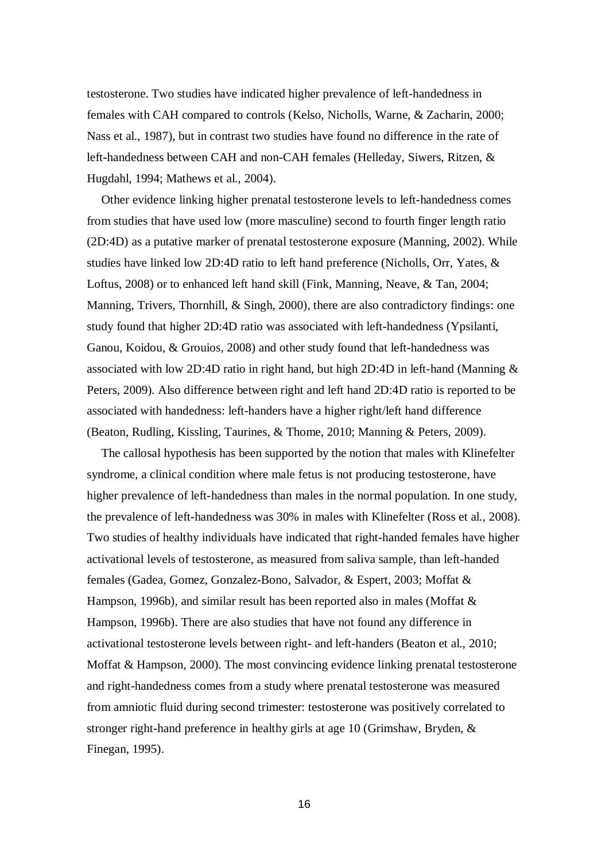testosterone. Two studies have indicated higher prevalence of left-handedness in females with CAH compared to controls (Kelso, Nicholls, Warne, & Zacharin, 2000; Nass et al., 1987), but in contrast two studies have found no difference in the rate of left-handedness between CAH and non-CAH females (Helleday, Siwers, Ritzen, & Hugdahl, 1994; Mathews et al., 2004).

Other evidence linking higher prenatal testosterone levels to left-handedness comes from studies that have used low (more masculine) second to fourth finger length ratio (2D:4D) as a putative marker of prenatal testosterone exposure (Manning, 2002). While studies have linked low 2D:4D ratio to left hand preference (Nicholls, Orr, Yates, & Loftus, 2008) or to enhanced left hand skill (Fink, Manning, Neave, & Tan, 2004; Manning, Trivers, Thornhill, & Singh, 2000), there are also contradictory findings: one study found that higher 2D:4D ratio was associated with left-handedness (Ypsilanti, Ganou, Koidou, & Grouios, 2008) and other study found that left-handedness was associated with low 2D:4D ratio in right hand, but high 2D:4D in left-hand (Manning & Peters, 2009). Also difference between right and left hand 2D:4D ratio is reported to be associated with handedness: left-handers have a higher right/left hand difference (Beaton, Rudling, Kissling, Taurines, & Thome, 2010; Manning & Peters, 2009).

The callosal hypothesis has been supported by the notion that males with Klinefelter syndrome, a clinical condition where male fetus is not producing testosterone, have higher prevalence of left-handedness than males in the normal population. In one study, the prevalence of left-handedness was 30% in males with Klinefelter (Ross et al., 2008). Two studies of healthy individuals have indicated that right-handed females have higher activational levels of testosterone, as measured from saliva sample, than left-handed females (Gadea, Gomez, Gonzalez-Bono, Salvador, & Espert, 2003; Moffat & Hampson, 1996b), and similar result has been reported also in males (Moffat & Hampson, 1996b). There are also studies that have not found any difference in activational testosterone levels between right- and left-handers (Beaton et al., 2010; Moffat & Hampson, 2000). The most convincing evidence linking prenatal testosterone and right-handedness comes from a study where prenatal testosterone was measured from amniotic fluid during second trimester: testosterone was positively correlated to stronger right-hand preference in healthy girls at age 10 (Grimshaw, Bryden, & Finegan, 1995).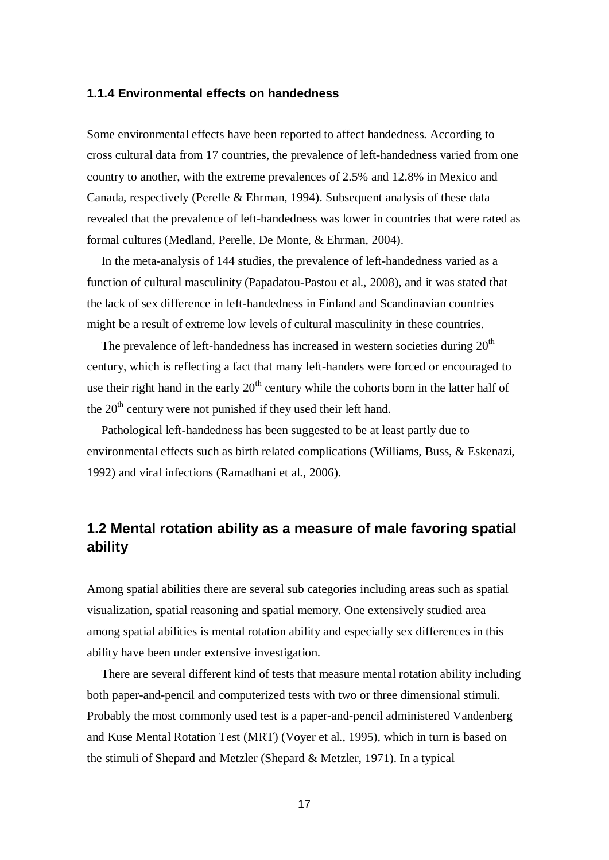#### **1.1.4 Environmental effects on handedness**

Some environmental effects have been reported to affect handedness. According to cross cultural data from 17 countries, the prevalence of left-handedness varied from one country to another, with the extreme prevalences of 2.5% and 12.8% in Mexico and Canada, respectively (Perelle & Ehrman, 1994). Subsequent analysis of these data revealed that the prevalence of left-handedness was lower in countries that were rated as formal cultures (Medland, Perelle, De Monte, & Ehrman, 2004).

In the meta-analysis of 144 studies, the prevalence of left-handedness varied as a function of cultural masculinity (Papadatou-Pastou et al., 2008), and it was stated that the lack of sex difference in left-handedness in Finland and Scandinavian countries might be a result of extreme low levels of cultural masculinity in these countries.

The prevalence of left-handedness has increased in western societies during  $20<sup>th</sup>$ century, which is reflecting a fact that many left-handers were forced or encouraged to use their right hand in the early  $20<sup>th</sup>$  century while the cohorts born in the latter half of the  $20<sup>th</sup>$  century were not punished if they used their left hand.

Pathological left-handedness has been suggested to be at least partly due to environmental effects such as birth related complications (Williams, Buss, & Eskenazi, 1992) and viral infections (Ramadhani et al., 2006).

# **1.2 Mental rotation ability as a measure of male favoring spatial ability**

Among spatial abilities there are several sub categories including areas such as spatial visualization, spatial reasoning and spatial memory. One extensively studied area among spatial abilities is mental rotation ability and especially sex differences in this ability have been under extensive investigation.

There are several different kind of tests that measure mental rotation ability including both paper-and-pencil and computerized tests with two or three dimensional stimuli. Probably the most commonly used test is a paper-and-pencil administered Vandenberg and Kuse Mental Rotation Test (MRT) (Voyer et al., 1995), which in turn is based on the stimuli of Shepard and Metzler (Shepard & Metzler, 1971). In a typical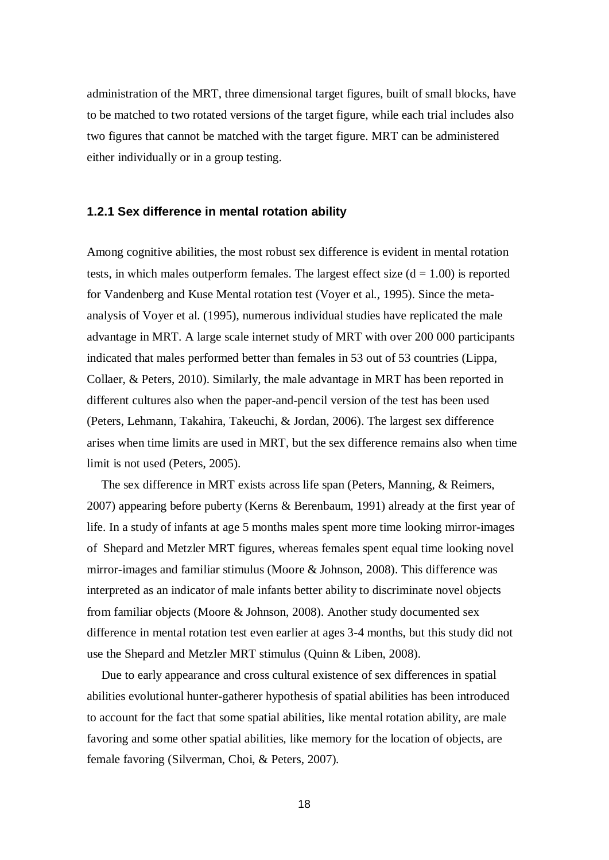administration of the MRT, three dimensional target figures, built of small blocks, have to be matched to two rotated versions of the target figure, while each trial includes also two figures that cannot be matched with the target figure. MRT can be administered either individually or in a group testing.

### **1.2.1 Sex difference in mental rotation ability**

Among cognitive abilities, the most robust sex difference is evident in mental rotation tests, in which males outperform females. The largest effect size  $(d = 1.00)$  is reported for Vandenberg and Kuse Mental rotation test (Voyer et al., 1995). Since the metaanalysis of Voyer et al. (1995), numerous individual studies have replicated the male advantage in MRT. A large scale internet study of MRT with over 200 000 participants indicated that males performed better than females in 53 out of 53 countries (Lippa, Collaer, & Peters, 2010). Similarly, the male advantage in MRT has been reported in different cultures also when the paper-and-pencil version of the test has been used (Peters, Lehmann, Takahira, Takeuchi, & Jordan, 2006). The largest sex difference arises when time limits are used in MRT, but the sex difference remains also when time limit is not used (Peters, 2005).

The sex difference in MRT exists across life span (Peters, Manning, & Reimers, 2007) appearing before puberty (Kerns & Berenbaum, 1991) already at the first year of life. In a study of infants at age 5 months males spent more time looking mirror-images of Shepard and Metzler MRT figures, whereas females spent equal time looking novel mirror-images and familiar stimulus (Moore & Johnson, 2008). This difference was interpreted as an indicator of male infants better ability to discriminate novel objects from familiar objects (Moore & Johnson, 2008). Another study documented sex difference in mental rotation test even earlier at ages 3-4 months, but this study did not use the Shepard and Metzler MRT stimulus (Quinn & Liben, 2008).

Due to early appearance and cross cultural existence of sex differences in spatial abilities evolutional hunter-gatherer hypothesis of spatial abilities has been introduced to account for the fact that some spatial abilities, like mental rotation ability, are male favoring and some other spatial abilities, like memory for the location of objects, are female favoring (Silverman, Choi, & Peters, 2007).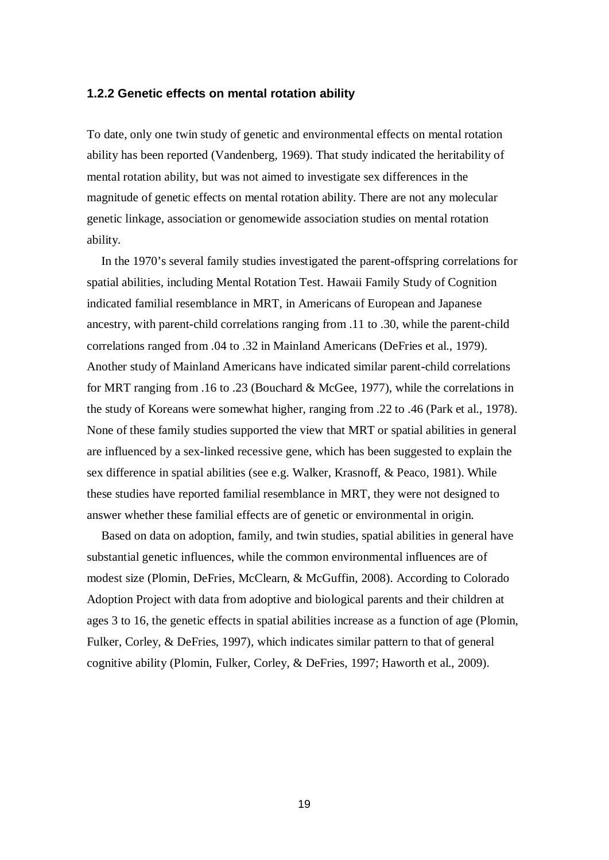#### **1.2.2 Genetic effects on mental rotation ability**

To date, only one twin study of genetic and environmental effects on mental rotation ability has been reported (Vandenberg, 1969). That study indicated the heritability of mental rotation ability, but was not aimed to investigate sex differences in the magnitude of genetic effects on mental rotation ability. There are not any molecular genetic linkage, association or genomewide association studies on mental rotation ability.

In the 1970's several family studies investigated the parent-offspring correlations for spatial abilities, including Mental Rotation Test. Hawaii Family Study of Cognition indicated familial resemblance in MRT, in Americans of European and Japanese ancestry, with parent-child correlations ranging from .11 to .30, while the parent-child correlations ranged from .04 to .32 in Mainland Americans (DeFries et al., 1979). Another study of Mainland Americans have indicated similar parent-child correlations for MRT ranging from .16 to .23 (Bouchard & McGee, 1977), while the correlations in the study of Koreans were somewhat higher, ranging from .22 to .46 (Park et al., 1978). None of these family studies supported the view that MRT or spatial abilities in general are influenced by a sex-linked recessive gene, which has been suggested to explain the sex difference in spatial abilities (see e.g. Walker, Krasnoff, & Peaco, 1981). While these studies have reported familial resemblance in MRT, they were not designed to answer whether these familial effects are of genetic or environmental in origin.

Based on data on adoption, family, and twin studies, spatial abilities in general have substantial genetic influences, while the common environmental influences are of modest size (Plomin, DeFries, McClearn, & McGuffin, 2008). According to Colorado Adoption Project with data from adoptive and biological parents and their children at ages 3 to 16, the genetic effects in spatial abilities increase as a function of age (Plomin, Fulker, Corley, & DeFries, 1997), which indicates similar pattern to that of general cognitive ability (Plomin, Fulker, Corley, & DeFries, 1997; Haworth et al., 2009).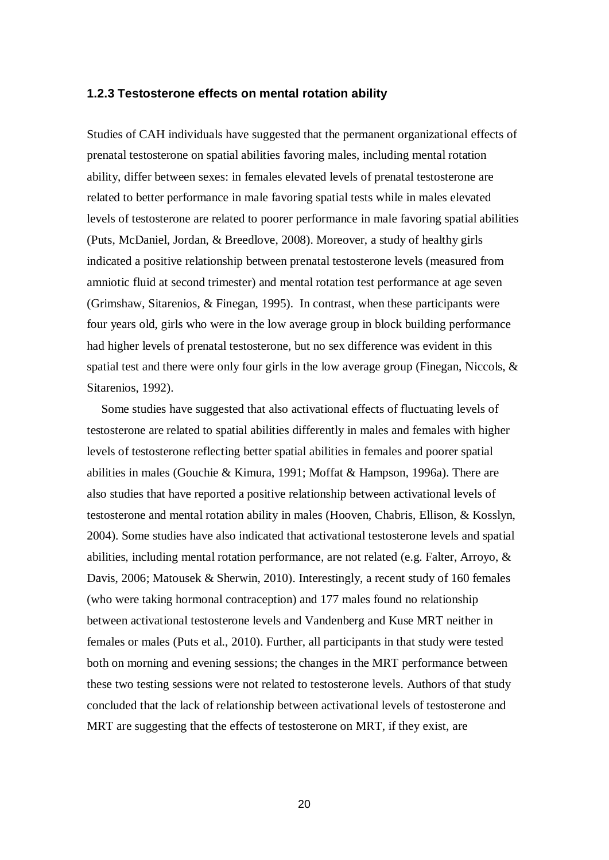#### **1.2.3 Testosterone effects on mental rotation ability**

Studies of CAH individuals have suggested that the permanent organizational effects of prenatal testosterone on spatial abilities favoring males, including mental rotation ability, differ between sexes: in females elevated levels of prenatal testosterone are related to better performance in male favoring spatial tests while in males elevated levels of testosterone are related to poorer performance in male favoring spatial abilities (Puts, McDaniel, Jordan, & Breedlove, 2008). Moreover, a study of healthy girls indicated a positive relationship between prenatal testosterone levels (measured from amniotic fluid at second trimester) and mental rotation test performance at age seven (Grimshaw, Sitarenios, & Finegan, 1995). In contrast, when these participants were four years old, girls who were in the low average group in block building performance had higher levels of prenatal testosterone, but no sex difference was evident in this spatial test and there were only four girls in the low average group (Finegan, Niccols, & Sitarenios, 1992).

Some studies have suggested that also activational effects of fluctuating levels of testosterone are related to spatial abilities differently in males and females with higher levels of testosterone reflecting better spatial abilities in females and poorer spatial abilities in males (Gouchie & Kimura, 1991; Moffat & Hampson, 1996a). There are also studies that have reported a positive relationship between activational levels of testosterone and mental rotation ability in males (Hooven, Chabris, Ellison, & Kosslyn, 2004). Some studies have also indicated that activational testosterone levels and spatial abilities, including mental rotation performance, are not related (e.g. Falter, Arroyo, & Davis, 2006; Matousek & Sherwin, 2010). Interestingly, a recent study of 160 females (who were taking hormonal contraception) and 177 males found no relationship between activational testosterone levels and Vandenberg and Kuse MRT neither in females or males (Puts et al., 2010). Further, all participants in that study were tested both on morning and evening sessions; the changes in the MRT performance between these two testing sessions were not related to testosterone levels. Authors of that study concluded that the lack of relationship between activational levels of testosterone and MRT are suggesting that the effects of testosterone on MRT, if they exist, are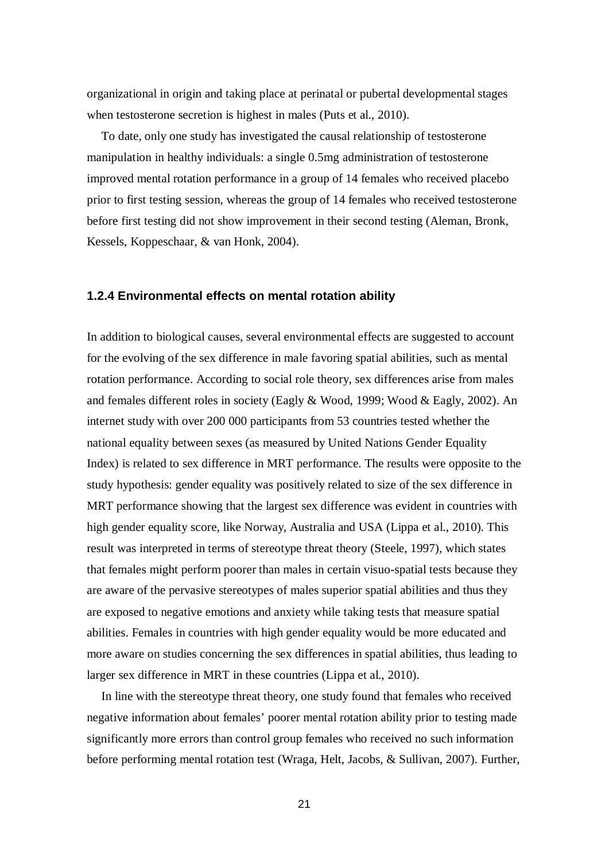organizational in origin and taking place at perinatal or pubertal developmental stages when testosterone secretion is highest in males (Puts et al., 2010).

To date, only one study has investigated the causal relationship of testosterone manipulation in healthy individuals: a single 0.5mg administration of testosterone improved mental rotation performance in a group of 14 females who received placebo prior to first testing session, whereas the group of 14 females who received testosterone before first testing did not show improvement in their second testing (Aleman, Bronk, Kessels, Koppeschaar, & van Honk, 2004).

#### **1.2.4 Environmental effects on mental rotation ability**

In addition to biological causes, several environmental effects are suggested to account for the evolving of the sex difference in male favoring spatial abilities, such as mental rotation performance. According to social role theory, sex differences arise from males and females different roles in society (Eagly & Wood, 1999; Wood & Eagly, 2002). An internet study with over 200 000 participants from 53 countries tested whether the national equality between sexes (as measured by United Nations Gender Equality Index) is related to sex difference in MRT performance. The results were opposite to the study hypothesis: gender equality was positively related to size of the sex difference in MRT performance showing that the largest sex difference was evident in countries with high gender equality score, like Norway, Australia and USA (Lippa et al., 2010). This result was interpreted in terms of stereotype threat theory (Steele, 1997), which states that females might perform poorer than males in certain visuo-spatial tests because they are aware of the pervasive stereotypes of males superior spatial abilities and thus they are exposed to negative emotions and anxiety while taking tests that measure spatial abilities. Females in countries with high gender equality would be more educated and more aware on studies concerning the sex differences in spatial abilities, thus leading to larger sex difference in MRT in these countries (Lippa et al., 2010).

In line with the stereotype threat theory, one study found that females who received negative information about females' poorer mental rotation ability prior to testing made significantly more errors than control group females who received no such information before performing mental rotation test (Wraga, Helt, Jacobs, & Sullivan, 2007). Further,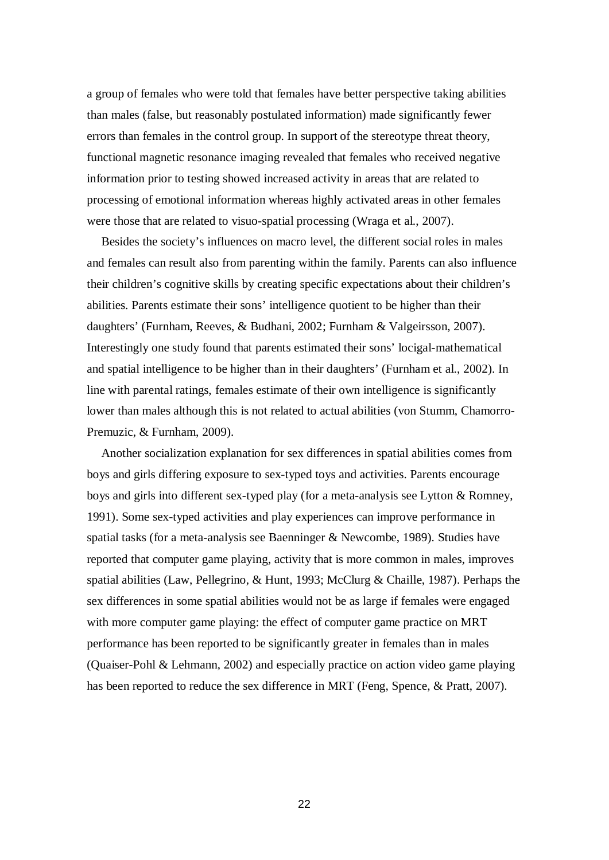a group of females who were told that females have better perspective taking abilities than males (false, but reasonably postulated information) made significantly fewer errors than females in the control group. In support of the stereotype threat theory, functional magnetic resonance imaging revealed that females who received negative information prior to testing showed increased activity in areas that are related to processing of emotional information whereas highly activated areas in other females were those that are related to visuo-spatial processing (Wraga et al., 2007).

Besides the society's influences on macro level, the different social roles in males and females can result also from parenting within the family. Parents can also influence their children's cognitive skills by creating specific expectations about their children's abilities. Parents estimate their sons' intelligence quotient to be higher than their daughters' (Furnham, Reeves, & Budhani, 2002; Furnham & Valgeirsson, 2007). Interestingly one study found that parents estimated their sons' locigal-mathematical and spatial intelligence to be higher than in their daughters' (Furnham et al., 2002). In line with parental ratings, females estimate of their own intelligence is significantly lower than males although this is not related to actual abilities (von Stumm, Chamorro-Premuzic, & Furnham, 2009).

Another socialization explanation for sex differences in spatial abilities comes from boys and girls differing exposure to sex-typed toys and activities. Parents encourage boys and girls into different sex-typed play (for a meta-analysis see Lytton & Romney, 1991). Some sex-typed activities and play experiences can improve performance in spatial tasks (for a meta-analysis see Baenninger & Newcombe, 1989). Studies have reported that computer game playing, activity that is more common in males, improves spatial abilities (Law, Pellegrino, & Hunt, 1993; McClurg & Chaille, 1987). Perhaps the sex differences in some spatial abilities would not be as large if females were engaged with more computer game playing: the effect of computer game practice on MRT performance has been reported to be significantly greater in females than in males (Quaiser-Pohl & Lehmann, 2002) and especially practice on action video game playing has been reported to reduce the sex difference in MRT (Feng, Spence, & Pratt, 2007).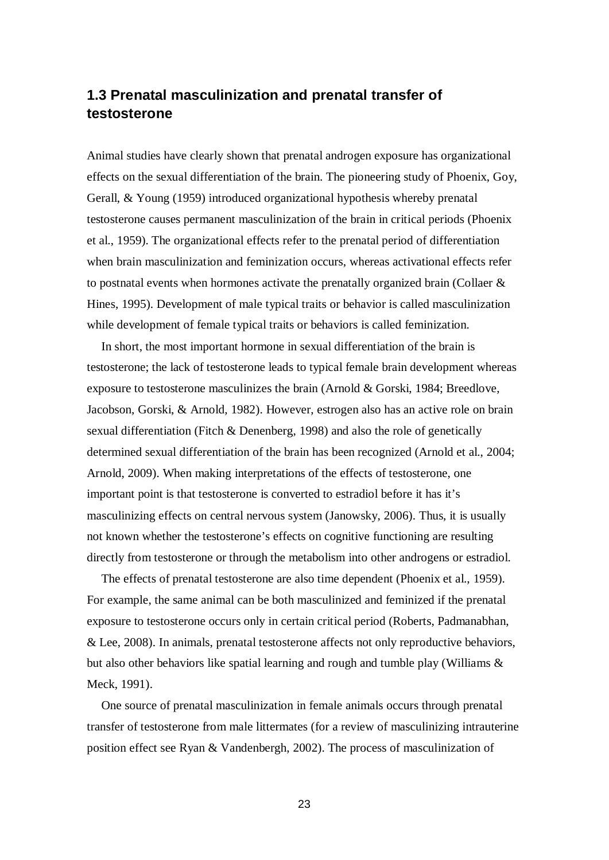## **1.3 Prenatal masculinization and prenatal transfer of testosterone**

Animal studies have clearly shown that prenatal androgen exposure has organizational effects on the sexual differentiation of the brain. The pioneering study of Phoenix, Goy, Gerall, & Young (1959) introduced organizational hypothesis whereby prenatal testosterone causes permanent masculinization of the brain in critical periods (Phoenix et al., 1959). The organizational effects refer to the prenatal period of differentiation when brain masculinization and feminization occurs, whereas activational effects refer to postnatal events when hormones activate the prenatally organized brain (Collaer & Hines, 1995). Development of male typical traits or behavior is called masculinization while development of female typical traits or behaviors is called feminization.

In short, the most important hormone in sexual differentiation of the brain is testosterone; the lack of testosterone leads to typical female brain development whereas exposure to testosterone masculinizes the brain (Arnold & Gorski, 1984; Breedlove, Jacobson, Gorski, & Arnold, 1982). However, estrogen also has an active role on brain sexual differentiation (Fitch & Denenberg, 1998) and also the role of genetically determined sexual differentiation of the brain has been recognized (Arnold et al., 2004; Arnold, 2009). When making interpretations of the effects of testosterone, one important point is that testosterone is converted to estradiol before it has it's masculinizing effects on central nervous system (Janowsky, 2006). Thus, it is usually not known whether the testosterone's effects on cognitive functioning are resulting directly from testosterone or through the metabolism into other androgens or estradiol.

The effects of prenatal testosterone are also time dependent (Phoenix et al., 1959). For example, the same animal can be both masculinized and feminized if the prenatal exposure to testosterone occurs only in certain critical period (Roberts, Padmanabhan, & Lee, 2008). In animals, prenatal testosterone affects not only reproductive behaviors, but also other behaviors like spatial learning and rough and tumble play (Williams  $\&$ Meck, 1991).

One source of prenatal masculinization in female animals occurs through prenatal transfer of testosterone from male littermates (for a review of masculinizing intrauterine position effect see Ryan & Vandenbergh, 2002). The process of masculinization of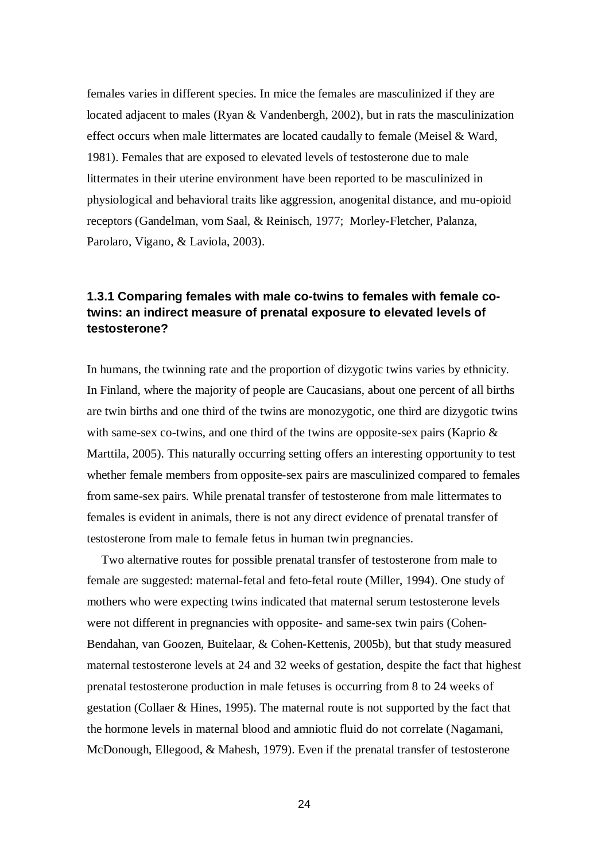females varies in different species. In mice the females are masculinized if they are located adjacent to males (Ryan & Vandenbergh, 2002), but in rats the masculinization effect occurs when male littermates are located caudally to female (Meisel & Ward, 1981). Females that are exposed to elevated levels of testosterone due to male littermates in their uterine environment have been reported to be masculinized in physiological and behavioral traits like aggression, anogenital distance, and mu-opioid receptors (Gandelman, vom Saal, & Reinisch, 1977; Morley-Fletcher, Palanza, Parolaro, Vigano, & Laviola, 2003).

### **1.3.1 Comparing females with male co-twins to females with female cotwins: an indirect measure of prenatal exposure to elevated levels of testosterone?**

In humans, the twinning rate and the proportion of dizygotic twins varies by ethnicity. In Finland, where the majority of people are Caucasians, about one percent of all births are twin births and one third of the twins are monozygotic, one third are dizygotic twins with same-sex co-twins, and one third of the twins are opposite-sex pairs (Kaprio & Marttila, 2005). This naturally occurring setting offers an interesting opportunity to test whether female members from opposite-sex pairs are masculinized compared to females from same-sex pairs. While prenatal transfer of testosterone from male littermates to females is evident in animals, there is not any direct evidence of prenatal transfer of testosterone from male to female fetus in human twin pregnancies.

Two alternative routes for possible prenatal transfer of testosterone from male to female are suggested: maternal-fetal and feto-fetal route (Miller, 1994). One study of mothers who were expecting twins indicated that maternal serum testosterone levels were not different in pregnancies with opposite- and same-sex twin pairs (Cohen-Bendahan, van Goozen, Buitelaar, & Cohen-Kettenis, 2005b), but that study measured maternal testosterone levels at 24 and 32 weeks of gestation, despite the fact that highest prenatal testosterone production in male fetuses is occurring from 8 to 24 weeks of gestation (Collaer & Hines, 1995). The maternal route is not supported by the fact that the hormone levels in maternal blood and amniotic fluid do not correlate (Nagamani, McDonough, Ellegood, & Mahesh, 1979). Even if the prenatal transfer of testosterone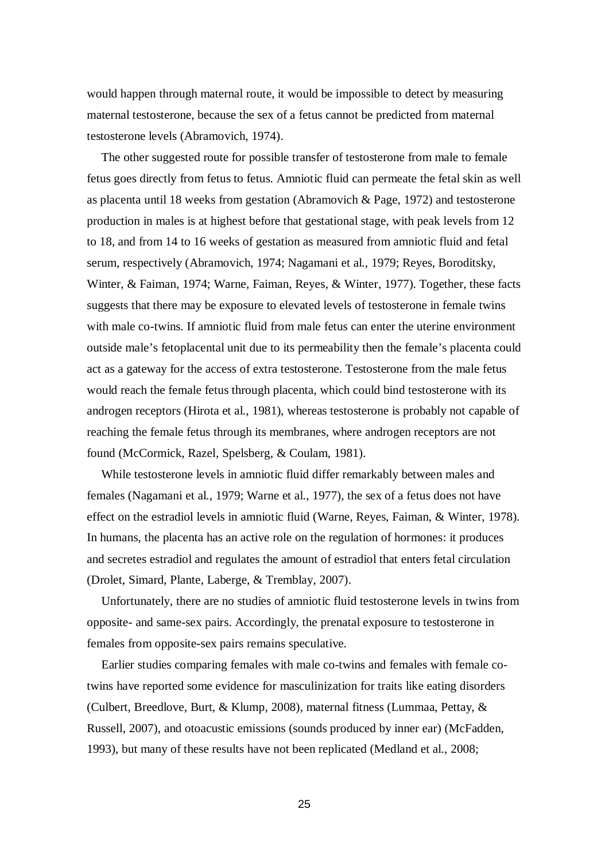would happen through maternal route, it would be impossible to detect by measuring maternal testosterone, because the sex of a fetus cannot be predicted from maternal testosterone levels (Abramovich, 1974).

The other suggested route for possible transfer of testosterone from male to female fetus goes directly from fetus to fetus. Amniotic fluid can permeate the fetal skin as well as placenta until 18 weeks from gestation (Abramovich & Page, 1972) and testosterone production in males is at highest before that gestational stage, with peak levels from 12 to 18, and from 14 to 16 weeks of gestation as measured from amniotic fluid and fetal serum, respectively (Abramovich, 1974; Nagamani et al., 1979; Reyes, Boroditsky, Winter, & Faiman, 1974; Warne, Faiman, Reyes, & Winter, 1977). Together, these facts suggests that there may be exposure to elevated levels of testosterone in female twins with male co-twins. If amniotic fluid from male fetus can enter the uterine environment outside male's fetoplacental unit due to its permeability then the female's placenta could act as a gateway for the access of extra testosterone. Testosterone from the male fetus would reach the female fetus through placenta, which could bind testosterone with its androgen receptors (Hirota et al., 1981), whereas testosterone is probably not capable of reaching the female fetus through its membranes, where androgen receptors are not found (McCormick, Razel, Spelsberg, & Coulam, 1981).

While testosterone levels in amniotic fluid differ remarkably between males and females (Nagamani et al., 1979; Warne et al., 1977), the sex of a fetus does not have effect on the estradiol levels in amniotic fluid (Warne, Reyes, Faiman, & Winter, 1978). In humans, the placenta has an active role on the regulation of hormones: it produces and secretes estradiol and regulates the amount of estradiol that enters fetal circulation (Drolet, Simard, Plante, Laberge, & Tremblay, 2007).

Unfortunately, there are no studies of amniotic fluid testosterone levels in twins from opposite- and same-sex pairs. Accordingly, the prenatal exposure to testosterone in females from opposite-sex pairs remains speculative.

Earlier studies comparing females with male co-twins and females with female cotwins have reported some evidence for masculinization for traits like eating disorders (Culbert, Breedlove, Burt, & Klump, 2008), maternal fitness (Lummaa, Pettay, & Russell, 2007), and otoacustic emissions (sounds produced by inner ear) (McFadden, 1993), but many of these results have not been replicated (Medland et al., 2008;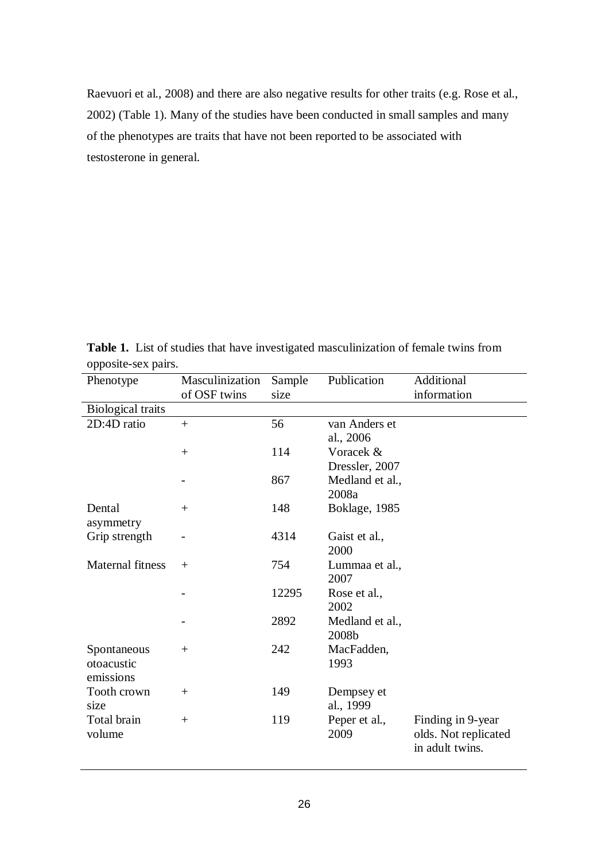Raevuori et al., 2008) and there are also negative results for other traits (e.g. Rose et al., 2002) (Table 1). Many of the studies have been conducted in small samples and many of the phenotypes are traits that have not been reported to be associated with testosterone in general.

**Table 1.** List of studies that have investigated masculinization of female twins from opposite-sex pairs.

| Phenotype                | Masculinization | Sample | Publication     | Additional           |
|--------------------------|-----------------|--------|-----------------|----------------------|
|                          | of OSF twins    | size   |                 | information          |
| <b>Biological traits</b> |                 |        |                 |                      |
| 2D:4D ratio              | $\ddot{}$       | 56     | van Anders et   |                      |
|                          |                 |        | al., 2006       |                      |
|                          | $+$             | 114    | Voracek &       |                      |
|                          |                 |        | Dressler, 2007  |                      |
|                          |                 | 867    | Medland et al., |                      |
|                          |                 |        | 2008a           |                      |
| Dental                   | $+$             | 148    | Boklage, 1985   |                      |
| asymmetry                |                 |        |                 |                      |
| Grip strength            |                 | 4314   | Gaist et al.,   |                      |
|                          |                 |        | 2000            |                      |
| <b>Maternal fitness</b>  | $+$             | 754    | Lummaa et al.,  |                      |
|                          |                 |        | 2007            |                      |
|                          |                 | 12295  | Rose et al.,    |                      |
|                          |                 |        | 2002            |                      |
|                          |                 | 2892   | Medland et al., |                      |
|                          |                 |        | 2008b           |                      |
| Spontaneous              | $+$             | 242    | MacFadden,      |                      |
| otoacustic               |                 |        | 1993            |                      |
| emissions                |                 |        |                 |                      |
| Tooth crown              | $+$             | 149    | Dempsey et      |                      |
| size                     |                 |        | al., 1999       |                      |
| Total brain              | $+$             | 119    | Peper et al.,   | Finding in 9-year    |
| volume                   |                 |        | 2009            | olds. Not replicated |
|                          |                 |        |                 | in adult twins.      |
|                          |                 |        |                 |                      |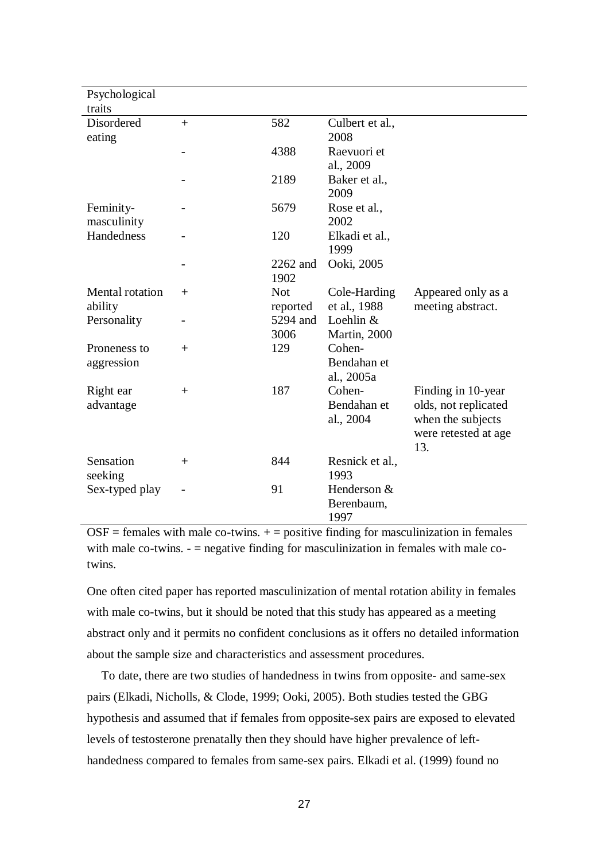| Psychological<br>traits |              |            |                 |                      |
|-------------------------|--------------|------------|-----------------|----------------------|
| Disordered              | $+$          | 582        | Culbert et al., |                      |
| eating                  |              |            | 2008            |                      |
|                         |              | 4388       | Raevuori et     |                      |
|                         |              |            | al., 2009       |                      |
|                         |              | 2189       | Baker et al.,   |                      |
|                         |              |            | 2009            |                      |
| Feminity-               |              | 5679       | Rose et al.,    |                      |
| masculinity             |              |            | 2002            |                      |
| Handedness              |              | 120        | Elkadi et al.,  |                      |
|                         |              |            | 1999            |                      |
|                         |              | 2262 and   | Ooki, 2005      |                      |
|                         |              | 1902       |                 |                      |
| <b>Mental</b> rotation  | $\mathrm{+}$ | <b>Not</b> | Cole-Harding    | Appeared only as a   |
| ability                 |              | reported   | et al., 1988    | meeting abstract.    |
| Personality             |              | 5294 and   | Loehlin &       |                      |
|                         |              | 3006       | Martin, 2000    |                      |
| Proneness to            | $^{+}$       | 129        | Cohen-          |                      |
| aggression              |              |            | Bendahan et     |                      |
|                         |              |            | al., 2005a      |                      |
| Right ear               | $+$          | 187        | Cohen-          | Finding in 10-year   |
| advantage               |              |            | Bendahan et     | olds, not replicated |
|                         |              |            | al., 2004       | when the subjects    |
|                         |              |            |                 | were retested at age |
|                         |              |            |                 | 13.                  |
| Sensation               | $^{+}$       | 844        | Resnick et al., |                      |
| seeking                 |              |            | 1993            |                      |
| Sex-typed play          |              | 91         | Henderson &     |                      |
|                         |              |            | Berenbaum,      |                      |
|                         |              |            | 1997            |                      |

 $OSF =$  females with male co-twins.  $+$  = positive finding for masculinization in females with male co-twins. - = negative finding for masculinization in females with male cotwins.

One often cited paper has reported masculinization of mental rotation ability in females with male co-twins, but it should be noted that this study has appeared as a meeting abstract only and it permits no confident conclusions as it offers no detailed information about the sample size and characteristics and assessment procedures.

To date, there are two studies of handedness in twins from opposite- and same-sex pairs (Elkadi, Nicholls, & Clode, 1999; Ooki, 2005). Both studies tested the GBG hypothesis and assumed that if females from opposite-sex pairs are exposed to elevated levels of testosterone prenatally then they should have higher prevalence of lefthandedness compared to females from same-sex pairs. Elkadi et al. (1999) found no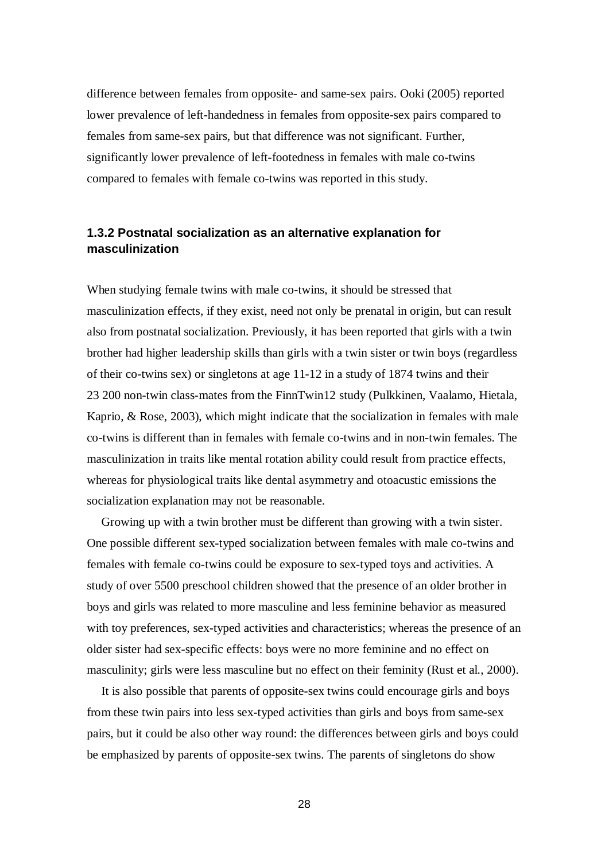difference between females from opposite- and same-sex pairs. Ooki (2005) reported lower prevalence of left-handedness in females from opposite-sex pairs compared to females from same-sex pairs, but that difference was not significant. Further, significantly lower prevalence of left-footedness in females with male co-twins compared to females with female co-twins was reported in this study.

### **1.3.2 Postnatal socialization as an alternative explanation for masculinization**

When studying female twins with male co-twins, it should be stressed that masculinization effects, if they exist, need not only be prenatal in origin, but can result also from postnatal socialization. Previously, it has been reported that girls with a twin brother had higher leadership skills than girls with a twin sister or twin boys (regardless of their co-twins sex) or singletons at age 11-12 in a study of 1874 twins and their 23 200 non-twin class-mates from the FinnTwin12 study (Pulkkinen, Vaalamo, Hietala, Kaprio, & Rose, 2003), which might indicate that the socialization in females with male co-twins is different than in females with female co-twins and in non-twin females. The masculinization in traits like mental rotation ability could result from practice effects, whereas for physiological traits like dental asymmetry and otoacustic emissions the socialization explanation may not be reasonable.

Growing up with a twin brother must be different than growing with a twin sister. One possible different sex-typed socialization between females with male co-twins and females with female co-twins could be exposure to sex-typed toys and activities. A study of over 5500 preschool children showed that the presence of an older brother in boys and girls was related to more masculine and less feminine behavior as measured with toy preferences, sex-typed activities and characteristics; whereas the presence of an older sister had sex-specific effects: boys were no more feminine and no effect on masculinity; girls were less masculine but no effect on their feminity (Rust et al., 2000).

It is also possible that parents of opposite-sex twins could encourage girls and boys from these twin pairs into less sex-typed activities than girls and boys from same-sex pairs, but it could be also other way round: the differences between girls and boys could be emphasized by parents of opposite-sex twins. The parents of singletons do show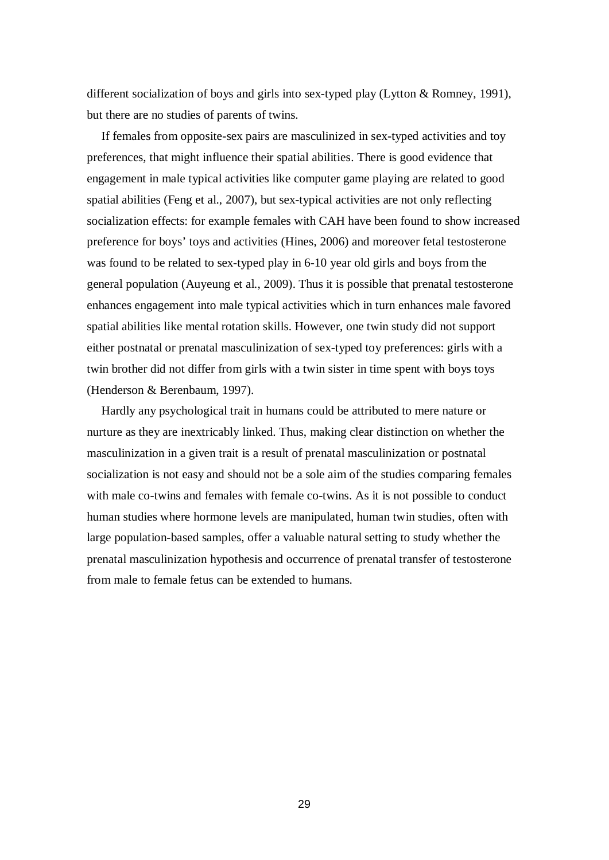different socialization of boys and girls into sex-typed play (Lytton & Romney, 1991), but there are no studies of parents of twins.

If females from opposite-sex pairs are masculinized in sex-typed activities and toy preferences, that might influence their spatial abilities. There is good evidence that engagement in male typical activities like computer game playing are related to good spatial abilities (Feng et al., 2007), but sex-typical activities are not only reflecting socialization effects: for example females with CAH have been found to show increased preference for boys' toys and activities (Hines, 2006) and moreover fetal testosterone was found to be related to sex-typed play in 6-10 year old girls and boys from the general population (Auyeung et al., 2009). Thus it is possible that prenatal testosterone enhances engagement into male typical activities which in turn enhances male favored spatial abilities like mental rotation skills. However, one twin study did not support either postnatal or prenatal masculinization of sex-typed toy preferences: girls with a twin brother did not differ from girls with a twin sister in time spent with boys toys (Henderson & Berenbaum, 1997).

Hardly any psychological trait in humans could be attributed to mere nature or nurture as they are inextricably linked. Thus, making clear distinction on whether the masculinization in a given trait is a result of prenatal masculinization or postnatal socialization is not easy and should not be a sole aim of the studies comparing females with male co-twins and females with female co-twins. As it is not possible to conduct human studies where hormone levels are manipulated, human twin studies, often with large population-based samples, offer a valuable natural setting to study whether the prenatal masculinization hypothesis and occurrence of prenatal transfer of testosterone from male to female fetus can be extended to humans.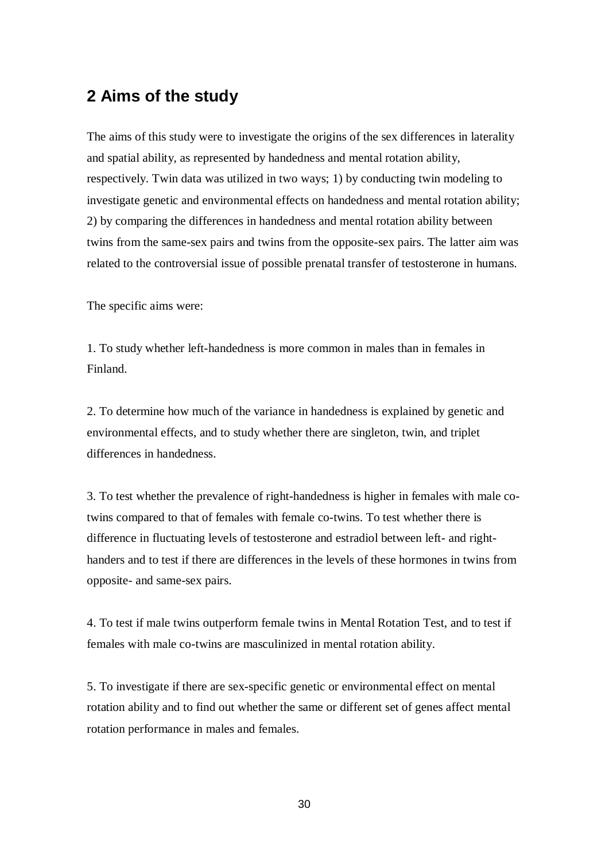# **2 Aims of the study**

The aims of this study were to investigate the origins of the sex differences in laterality and spatial ability, as represented by handedness and mental rotation ability, respectively. Twin data was utilized in two ways; 1) by conducting twin modeling to investigate genetic and environmental effects on handedness and mental rotation ability; 2) by comparing the differences in handedness and mental rotation ability between twins from the same-sex pairs and twins from the opposite-sex pairs. The latter aim was related to the controversial issue of possible prenatal transfer of testosterone in humans.

The specific aims were:

1. To study whether left-handedness is more common in males than in females in Finland.

2. To determine how much of the variance in handedness is explained by genetic and environmental effects, and to study whether there are singleton, twin, and triplet differences in handedness.

3. To test whether the prevalence of right-handedness is higher in females with male cotwins compared to that of females with female co-twins. To test whether there is difference in fluctuating levels of testosterone and estradiol between left- and righthanders and to test if there are differences in the levels of these hormones in twins from opposite- and same-sex pairs.

4. To test if male twins outperform female twins in Mental Rotation Test, and to test if females with male co-twins are masculinized in mental rotation ability.

5. To investigate if there are sex-specific genetic or environmental effect on mental rotation ability and to find out whether the same or different set of genes affect mental rotation performance in males and females.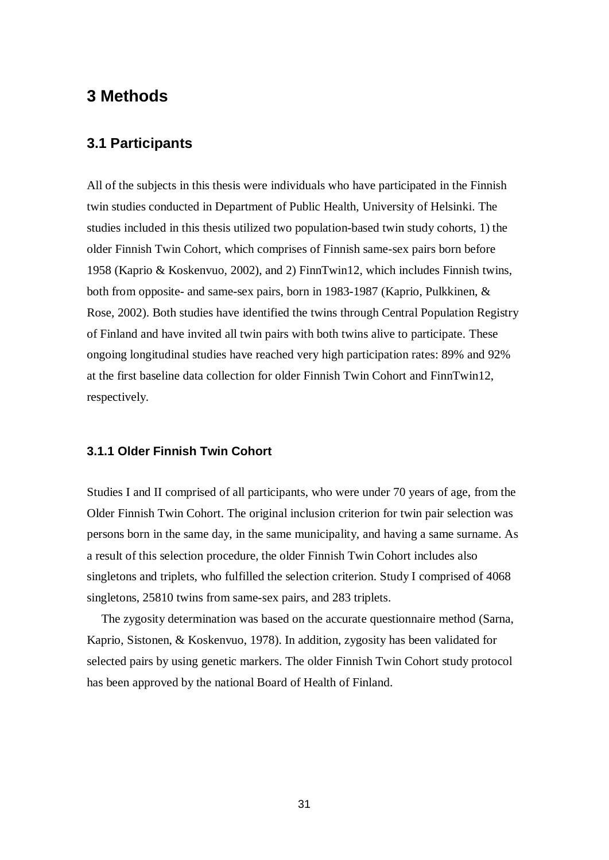# **3 Methods**

### **3.1 Participants**

All of the subjects in this thesis were individuals who have participated in the Finnish twin studies conducted in Department of Public Health, University of Helsinki. The studies included in this thesis utilized two population-based twin study cohorts, 1) the older Finnish Twin Cohort, which comprises of Finnish same-sex pairs born before 1958 (Kaprio & Koskenvuo, 2002), and 2) FinnTwin12, which includes Finnish twins, both from opposite- and same-sex pairs, born in 1983-1987 (Kaprio, Pulkkinen, & Rose, 2002). Both studies have identified the twins through Central Population Registry of Finland and have invited all twin pairs with both twins alive to participate. These ongoing longitudinal studies have reached very high participation rates: 89% and 92% at the first baseline data collection for older Finnish Twin Cohort and FinnTwin12, respectively.

### **3.1.1 Older Finnish Twin Cohort**

Studies I and II comprised of all participants, who were under 70 years of age, from the Older Finnish Twin Cohort. The original inclusion criterion for twin pair selection was persons born in the same day, in the same municipality, and having a same surname. As a result of this selection procedure, the older Finnish Twin Cohort includes also singletons and triplets, who fulfilled the selection criterion. Study I comprised of 4068 singletons, 25810 twins from same-sex pairs, and 283 triplets.

The zygosity determination was based on the accurate questionnaire method (Sarna, Kaprio, Sistonen, & Koskenvuo, 1978). In addition, zygosity has been validated for selected pairs by using genetic markers. The older Finnish Twin Cohort study protocol has been approved by the national Board of Health of Finland.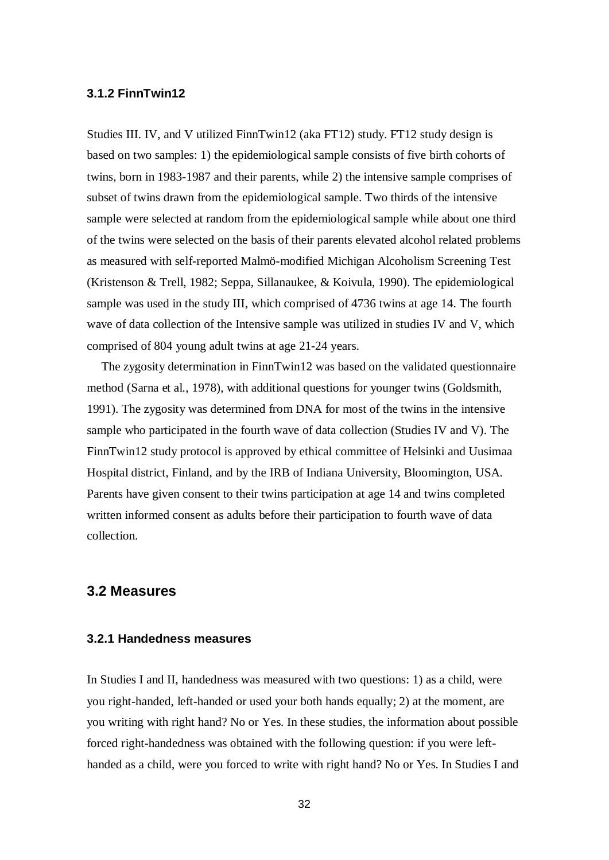#### **3.1.2 FinnTwin12**

Studies III. IV, and V utilized FinnTwin12 (aka FT12) study. FT12 study design is based on two samples: 1) the epidemiological sample consists of five birth cohorts of twins, born in 1983-1987 and their parents, while 2) the intensive sample comprises of subset of twins drawn from the epidemiological sample. Two thirds of the intensive sample were selected at random from the epidemiological sample while about one third of the twins were selected on the basis of their parents elevated alcohol related problems as measured with self-reported Malmö-modified Michigan Alcoholism Screening Test (Kristenson & Trell, 1982; Seppa, Sillanaukee, & Koivula, 1990). The epidemiological sample was used in the study III, which comprised of 4736 twins at age 14. The fourth wave of data collection of the Intensive sample was utilized in studies IV and V, which comprised of 804 young adult twins at age 21-24 years.

The zygosity determination in FinnTwin12 was based on the validated questionnaire method (Sarna et al., 1978), with additional questions for younger twins (Goldsmith, 1991). The zygosity was determined from DNA for most of the twins in the intensive sample who participated in the fourth wave of data collection (Studies IV and V). The FinnTwin12 study protocol is approved by ethical committee of Helsinki and Uusimaa Hospital district, Finland, and by the IRB of Indiana University, Bloomington, USA. Parents have given consent to their twins participation at age 14 and twins completed written informed consent as adults before their participation to fourth wave of data collection.

### **3.2 Measures**

#### **3.2.1 Handedness measures**

In Studies I and II, handedness was measured with two questions: 1) as a child, were you right-handed, left-handed or used your both hands equally; 2) at the moment, are you writing with right hand? No or Yes. In these studies, the information about possible forced right-handedness was obtained with the following question: if you were lefthanded as a child, were you forced to write with right hand? No or Yes. In Studies I and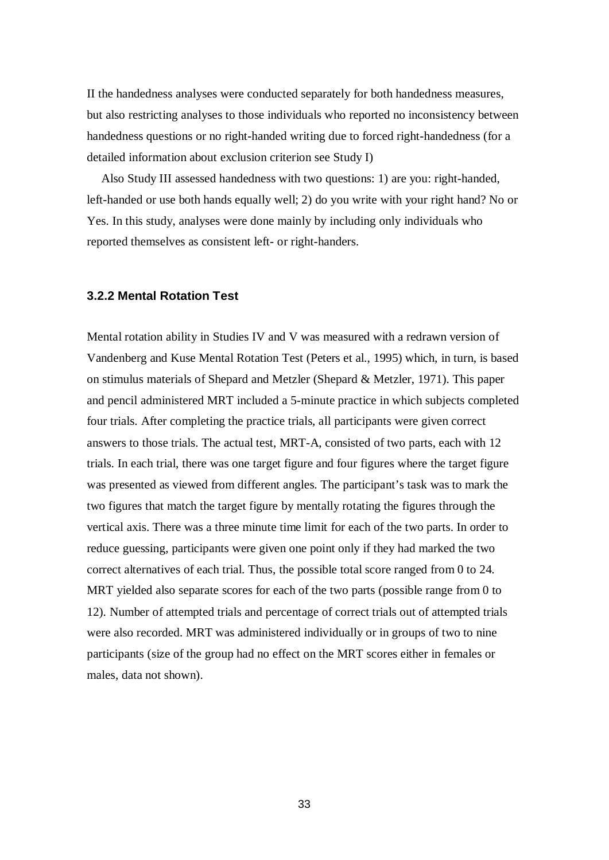II the handedness analyses were conducted separately for both handedness measures, but also restricting analyses to those individuals who reported no inconsistency between handedness questions or no right-handed writing due to forced right-handedness (for a detailed information about exclusion criterion see Study I)

Also Study III assessed handedness with two questions: 1) are you: right-handed, left-handed or use both hands equally well; 2) do you write with your right hand? No or Yes. In this study, analyses were done mainly by including only individuals who reported themselves as consistent left- or right-handers.

#### **3.2.2 Mental Rotation Test**

Mental rotation ability in Studies IV and V was measured with a redrawn version of Vandenberg and Kuse Mental Rotation Test (Peters et al., 1995) which, in turn, is based on stimulus materials of Shepard and Metzler (Shepard & Metzler, 1971). This paper and pencil administered MRT included a 5-minute practice in which subjects completed four trials. After completing the practice trials, all participants were given correct answers to those trials. The actual test, MRT-A, consisted of two parts, each with 12 trials. In each trial, there was one target figure and four figures where the target figure was presented as viewed from different angles. The participant's task was to mark the two figures that match the target figure by mentally rotating the figures through the vertical axis. There was a three minute time limit for each of the two parts. In order to reduce guessing, participants were given one point only if they had marked the two correct alternatives of each trial. Thus, the possible total score ranged from 0 to 24. MRT yielded also separate scores for each of the two parts (possible range from 0 to 12). Number of attempted trials and percentage of correct trials out of attempted trials were also recorded. MRT was administered individually or in groups of two to nine participants (size of the group had no effect on the MRT scores either in females or males, data not shown).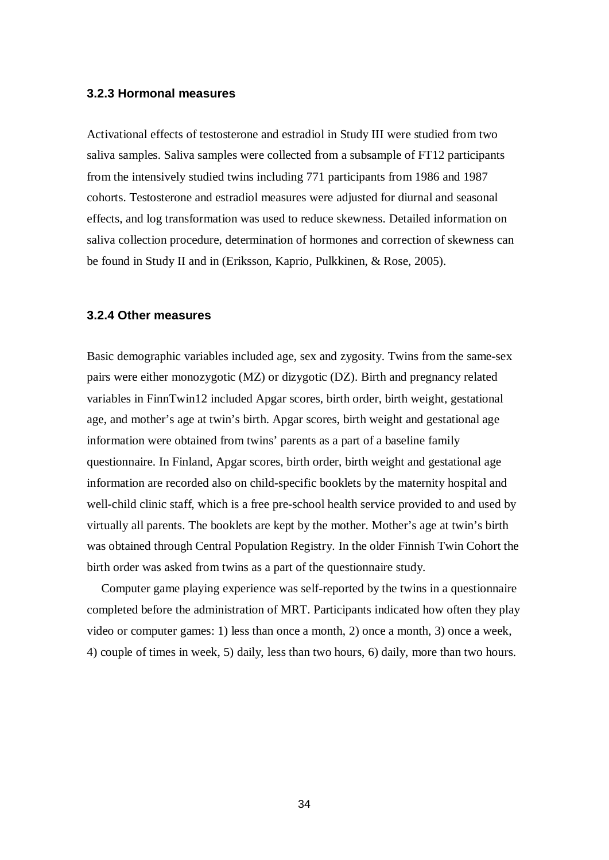#### **3.2.3 Hormonal measures**

Activational effects of testosterone and estradiol in Study III were studied from two saliva samples. Saliva samples were collected from a subsample of FT12 participants from the intensively studied twins including 771 participants from 1986 and 1987 cohorts. Testosterone and estradiol measures were adjusted for diurnal and seasonal effects, and log transformation was used to reduce skewness. Detailed information on saliva collection procedure, determination of hormones and correction of skewness can be found in Study II and in (Eriksson, Kaprio, Pulkkinen, & Rose, 2005).

#### **3.2.4 Other measures**

Basic demographic variables included age, sex and zygosity. Twins from the same-sex pairs were either monozygotic (MZ) or dizygotic (DZ). Birth and pregnancy related variables in FinnTwin12 included Apgar scores, birth order, birth weight, gestational age, and mother's age at twin's birth. Apgar scores, birth weight and gestational age information were obtained from twins' parents as a part of a baseline family questionnaire. In Finland, Apgar scores, birth order, birth weight and gestational age information are recorded also on child-specific booklets by the maternity hospital and well-child clinic staff, which is a free pre-school health service provided to and used by virtually all parents. The booklets are kept by the mother. Mother's age at twin's birth was obtained through Central Population Registry. In the older Finnish Twin Cohort the birth order was asked from twins as a part of the questionnaire study.

Computer game playing experience was self-reported by the twins in a questionnaire completed before the administration of MRT. Participants indicated how often they play video or computer games: 1) less than once a month, 2) once a month, 3) once a week, 4) couple of times in week, 5) daily, less than two hours, 6) daily, more than two hours.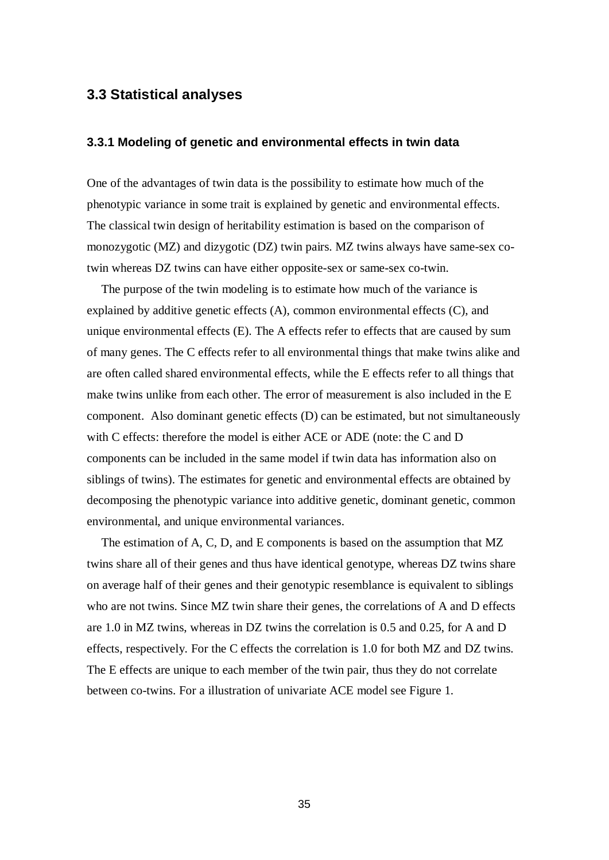### **3.3 Statistical analyses**

#### **3.3.1 Modeling of genetic and environmental effects in twin data**

One of the advantages of twin data is the possibility to estimate how much of the phenotypic variance in some trait is explained by genetic and environmental effects. The classical twin design of heritability estimation is based on the comparison of monozygotic (MZ) and dizygotic (DZ) twin pairs. MZ twins always have same-sex cotwin whereas DZ twins can have either opposite-sex or same-sex co-twin.

The purpose of the twin modeling is to estimate how much of the variance is explained by additive genetic effects (A), common environmental effects (C), and unique environmental effects (E). The A effects refer to effects that are caused by sum of many genes. The C effects refer to all environmental things that make twins alike and are often called shared environmental effects, while the E effects refer to all things that make twins unlike from each other. The error of measurement is also included in the E component. Also dominant genetic effects (D) can be estimated, but not simultaneously with C effects: therefore the model is either ACE or ADE (note: the C and D components can be included in the same model if twin data has information also on siblings of twins). The estimates for genetic and environmental effects are obtained by decomposing the phenotypic variance into additive genetic, dominant genetic, common environmental, and unique environmental variances.

The estimation of A, C, D, and E components is based on the assumption that MZ twins share all of their genes and thus have identical genotype, whereas DZ twins share on average half of their genes and their genotypic resemblance is equivalent to siblings who are not twins. Since MZ twin share their genes, the correlations of A and D effects are 1.0 in MZ twins, whereas in DZ twins the correlation is 0.5 and 0.25, for A and D effects, respectively. For the C effects the correlation is 1.0 for both MZ and DZ twins. The E effects are unique to each member of the twin pair, thus they do not correlate between co-twins. For a illustration of univariate ACE model see Figure 1.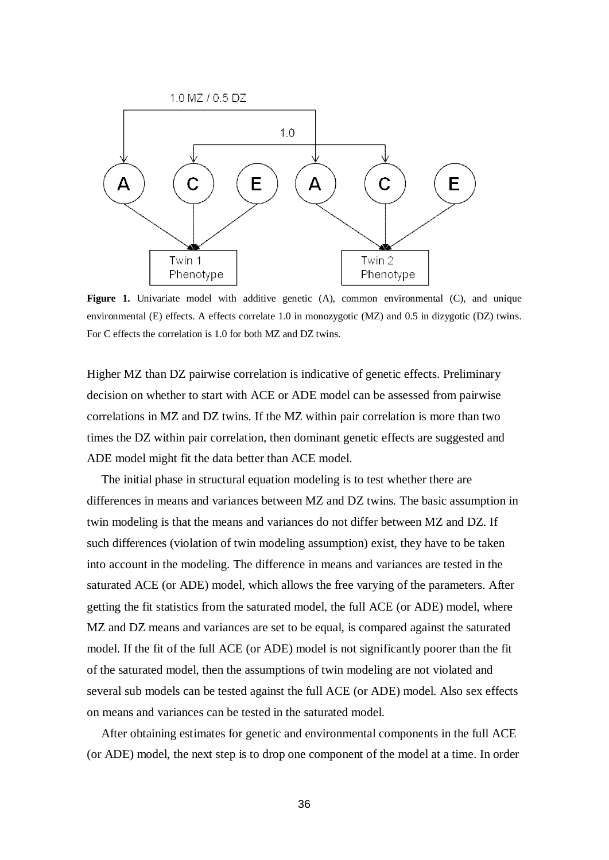

**Figure 1.** Univariate model with additive genetic (A), common environmental (C), and unique environmental (E) effects. A effects correlate 1.0 in monozygotic (MZ) and 0.5 in dizygotic (DZ) twins. For C effects the correlation is 1.0 for both MZ and DZ twins.

Higher MZ than DZ pairwise correlation is indicative of genetic effects. Preliminary decision on whether to start with ACE or ADE model can be assessed from pairwise correlations in MZ and DZ twins. If the MZ within pair correlation is more than two times the DZ within pair correlation, then dominant genetic effects are suggested and ADE model might fit the data better than ACE model.

The initial phase in structural equation modeling is to test whether there are differences in means and variances between MZ and DZ twins. The basic assumption in twin modeling is that the means and variances do not differ between MZ and DZ. If such differences (violation of twin modeling assumption) exist, they have to be taken into account in the modeling. The difference in means and variances are tested in the saturated ACE (or ADE) model, which allows the free varying of the parameters. After getting the fit statistics from the saturated model, the full ACE (or ADE) model, where MZ and DZ means and variances are set to be equal, is compared against the saturated model. If the fit of the full ACE (or ADE) model is not significantly poorer than the fit of the saturated model, then the assumptions of twin modeling are not violated and several sub models can be tested against the full ACE (or ADE) model. Also sex effects on means and variances can be tested in the saturated model.

After obtaining estimates for genetic and environmental components in the full ACE (or ADE) model, the next step is to drop one component of the model at a time. In order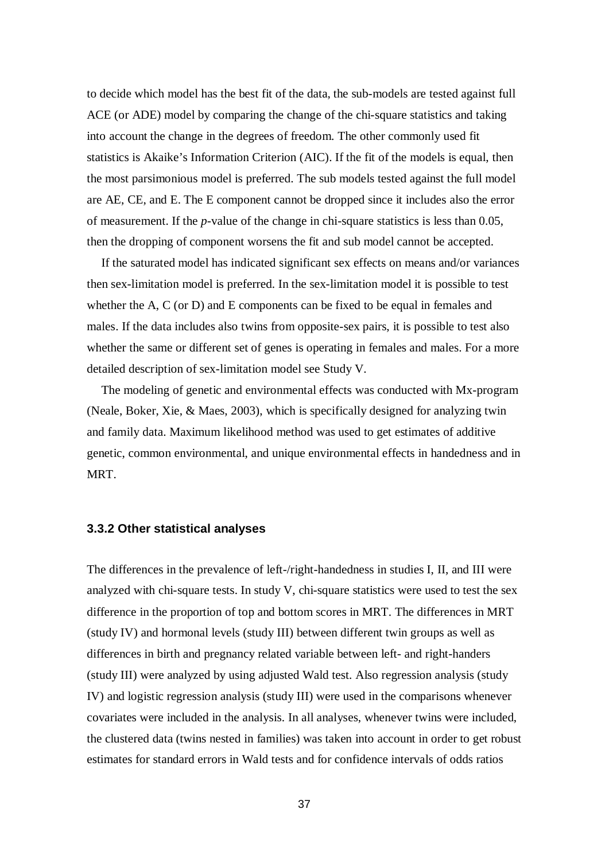to decide which model has the best fit of the data, the sub-models are tested against full ACE (or ADE) model by comparing the change of the chi-square statistics and taking into account the change in the degrees of freedom. The other commonly used fit statistics is Akaike's Information Criterion (AIC). If the fit of the models is equal, then the most parsimonious model is preferred. The sub models tested against the full model are AE, CE, and E. The E component cannot be dropped since it includes also the error of measurement. If the *p*-value of the change in chi-square statistics is less than 0.05, then the dropping of component worsens the fit and sub model cannot be accepted.

If the saturated model has indicated significant sex effects on means and/or variances then sex-limitation model is preferred. In the sex-limitation model it is possible to test whether the A, C (or D) and E components can be fixed to be equal in females and males. If the data includes also twins from opposite-sex pairs, it is possible to test also whether the same or different set of genes is operating in females and males. For a more detailed description of sex-limitation model see Study V.

The modeling of genetic and environmental effects was conducted with Mx-program (Neale, Boker, Xie, & Maes, 2003), which is specifically designed for analyzing twin and family data. Maximum likelihood method was used to get estimates of additive genetic, common environmental, and unique environmental effects in handedness and in MRT.

#### **3.3.2 Other statistical analyses**

The differences in the prevalence of left-/right-handedness in studies I, II, and III were analyzed with chi-square tests. In study V, chi-square statistics were used to test the sex difference in the proportion of top and bottom scores in MRT. The differences in MRT (study IV) and hormonal levels (study III) between different twin groups as well as differences in birth and pregnancy related variable between left- and right-handers (study III) were analyzed by using adjusted Wald test. Also regression analysis (study IV) and logistic regression analysis (study III) were used in the comparisons whenever covariates were included in the analysis. In all analyses, whenever twins were included, the clustered data (twins nested in families) was taken into account in order to get robust estimates for standard errors in Wald tests and for confidence intervals of odds ratios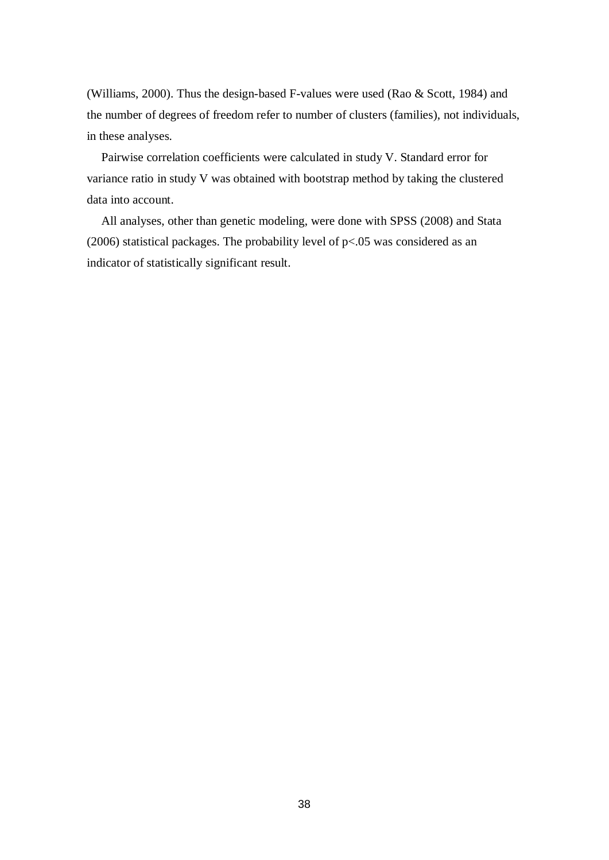(Williams, 2000). Thus the design-based F-values were used (Rao & Scott, 1984) and the number of degrees of freedom refer to number of clusters (families), not individuals, in these analyses.

Pairwise correlation coefficients were calculated in study V. Standard error for variance ratio in study V was obtained with bootstrap method by taking the clustered data into account.

All analyses, other than genetic modeling, were done with SPSS (2008) and Stata (2006) statistical packages. The probability level of p<.05 was considered as an indicator of statistically significant result.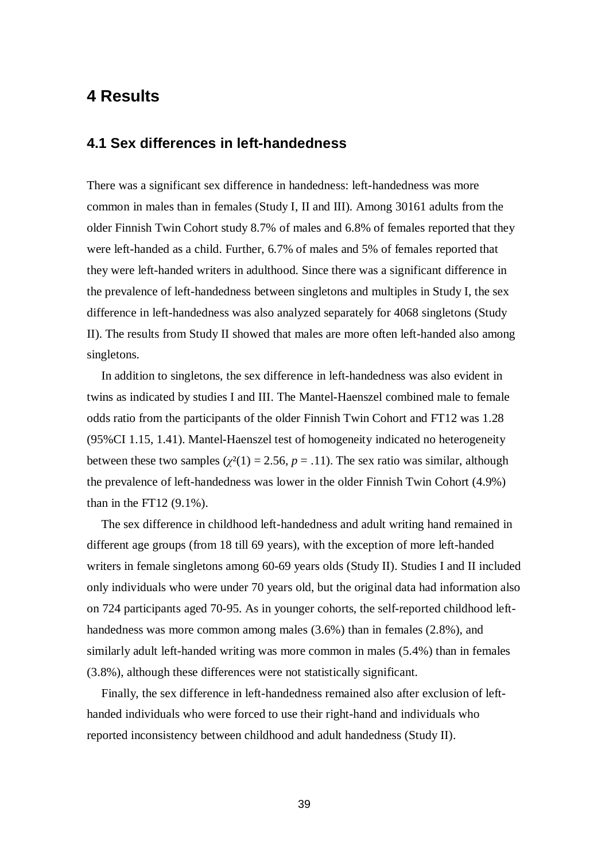## **4 Results**

### **4.1 Sex differences in left-handedness**

There was a significant sex difference in handedness: left-handedness was more common in males than in females (Study I, II and III). Among 30161 adults from the older Finnish Twin Cohort study 8.7% of males and 6.8% of females reported that they were left-handed as a child. Further, 6.7% of males and 5% of females reported that they were left-handed writers in adulthood. Since there was a significant difference in the prevalence of left-handedness between singletons and multiples in Study I, the sex difference in left-handedness was also analyzed separately for 4068 singletons (Study II). The results from Study II showed that males are more often left-handed also among singletons.

In addition to singletons, the sex difference in left-handedness was also evident in twins as indicated by studies I and III. The Mantel-Haenszel combined male to female odds ratio from the participants of the older Finnish Twin Cohort and FT12 was 1.28 (95%CI 1.15, 1.41). Mantel-Haenszel test of homogeneity indicated no heterogeneity between these two samples ( $\chi^2(1) = 2.56$ ,  $p = .11$ ). The sex ratio was similar, although the prevalence of left-handedness was lower in the older Finnish Twin Cohort (4.9%) than in the FT12  $(9.1\%)$ .

The sex difference in childhood left-handedness and adult writing hand remained in different age groups (from 18 till 69 years), with the exception of more left-handed writers in female singletons among 60-69 years olds (Study II). Studies I and II included only individuals who were under 70 years old, but the original data had information also on 724 participants aged 70-95. As in younger cohorts, the self-reported childhood lefthandedness was more common among males (3.6%) than in females (2.8%), and similarly adult left-handed writing was more common in males (5.4%) than in females (3.8%), although these differences were not statistically significant.

Finally, the sex difference in left-handedness remained also after exclusion of lefthanded individuals who were forced to use their right-hand and individuals who reported inconsistency between childhood and adult handedness (Study II).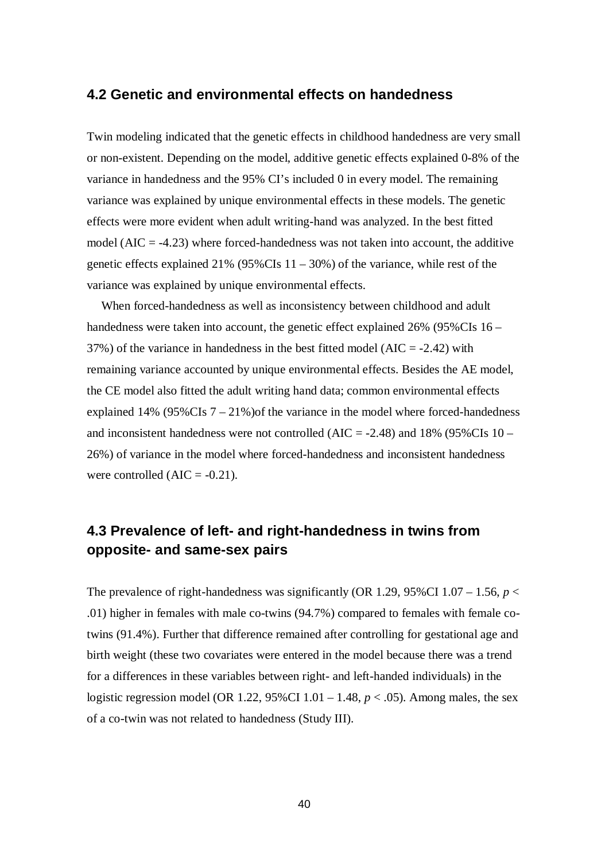### **4.2 Genetic and environmental effects on handedness**

Twin modeling indicated that the genetic effects in childhood handedness are very small or non-existent. Depending on the model, additive genetic effects explained 0-8% of the variance in handedness and the 95% CI's included 0 in every model. The remaining variance was explained by unique environmental effects in these models. The genetic effects were more evident when adult writing-hand was analyzed. In the best fitted model ( $AIC = -4.23$ ) where forced-handedness was not taken into account, the additive genetic effects explained 21% (95%CIs  $11 - 30%$ ) of the variance, while rest of the variance was explained by unique environmental effects.

When forced-handedness as well as inconsistency between childhood and adult handedness were taken into account, the genetic effect explained 26% (95%CIs 16 –  $37\%$ ) of the variance in handedness in the best fitted model (AIC = -2.42) with remaining variance accounted by unique environmental effects. Besides the AE model, the CE model also fitted the adult writing hand data; common environmental effects explained 14% ( $95\%$ CIs  $7 - 21\%$ ) of the variance in the model where forced-handedness and inconsistent handedness were not controlled (AIC =  $-2.48$ ) and 18% (95%CIs 10 – 26%) of variance in the model where forced-handedness and inconsistent handedness were controlled  $(AIC = -0.21)$ .

# **4.3 Prevalence of left- and right-handedness in twins from opposite- and same-sex pairs**

The prevalence of right-handedness was significantly (OR 1.29, 95%CI 1.07 – 1.56,  $p <$ .01) higher in females with male co-twins (94.7%) compared to females with female cotwins (91.4%). Further that difference remained after controlling for gestational age and birth weight (these two covariates were entered in the model because there was a trend for a differences in these variables between right- and left-handed individuals) in the logistic regression model (OR 1.22, 95%CI 1.01 – 1.48, *p* < .05). Among males, the sex of a co-twin was not related to handedness (Study III).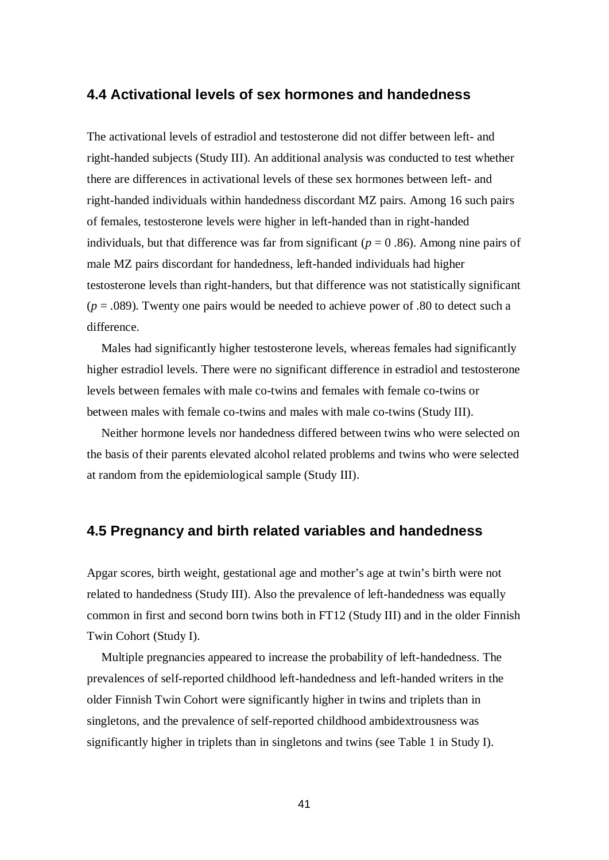### **4.4 Activational levels of sex hormones and handedness**

The activational levels of estradiol and testosterone did not differ between left- and right-handed subjects (Study III). An additional analysis was conducted to test whether there are differences in activational levels of these sex hormones between left- and right-handed individuals within handedness discordant MZ pairs. Among 16 such pairs of females, testosterone levels were higher in left-handed than in right-handed individuals, but that difference was far from significant ( $p = 0.86$ ). Among nine pairs of male MZ pairs discordant for handedness, left-handed individuals had higher testosterone levels than right-handers, but that difference was not statistically significant  $(p = .089)$ . Twenty one pairs would be needed to achieve power of  $.80$  to detect such a difference.

Males had significantly higher testosterone levels, whereas females had significantly higher estradiol levels. There were no significant difference in estradiol and testosterone levels between females with male co-twins and females with female co-twins or between males with female co-twins and males with male co-twins (Study III).

Neither hormone levels nor handedness differed between twins who were selected on the basis of their parents elevated alcohol related problems and twins who were selected at random from the epidemiological sample (Study III).

### **4.5 Pregnancy and birth related variables and handedness**

Apgar scores, birth weight, gestational age and mother's age at twin's birth were not related to handedness (Study III). Also the prevalence of left-handedness was equally common in first and second born twins both in FT12 (Study III) and in the older Finnish Twin Cohort (Study I).

Multiple pregnancies appeared to increase the probability of left-handedness. The prevalences of self-reported childhood left-handedness and left-handed writers in the older Finnish Twin Cohort were significantly higher in twins and triplets than in singletons, and the prevalence of self-reported childhood ambidextrousness was significantly higher in triplets than in singletons and twins (see Table 1 in Study I).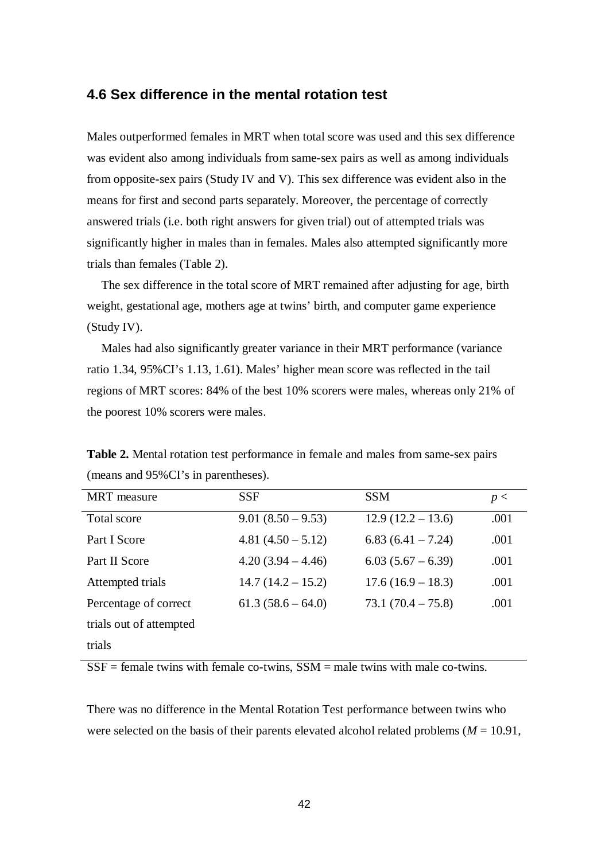### **4.6 Sex difference in the mental rotation test**

Males outperformed females in MRT when total score was used and this sex difference was evident also among individuals from same-sex pairs as well as among individuals from opposite-sex pairs (Study IV and V). This sex difference was evident also in the means for first and second parts separately. Moreover, the percentage of correctly answered trials (i.e. both right answers for given trial) out of attempted trials was significantly higher in males than in females. Males also attempted significantly more trials than females (Table 2).

The sex difference in the total score of MRT remained after adjusting for age, birth weight, gestational age, mothers age at twins' birth, and computer game experience (Study IV).

Males had also significantly greater variance in their MRT performance (variance ratio 1.34, 95%CI's 1.13, 1.61). Males' higher mean score was reflected in the tail regions of MRT scores: 84% of the best 10% scorers were males, whereas only 21% of the poorest 10% scorers were males.

| <b>MRT</b> measure      | <b>SSF</b>          | <b>SSM</b>          | p <  |
|-------------------------|---------------------|---------------------|------|
| Total score             | $9.01(8.50-9.53)$   | $12.9(12.2 - 13.6)$ | .001 |
| Part I Score            | $4.81(4.50 - 5.12)$ | $6.83(6.41 - 7.24)$ | .001 |
| Part II Score           | $4.20(3.94 - 4.46)$ | $6.03(5.67-6.39)$   | .001 |
| Attempted trials        | $14.7(14.2 - 15.2)$ | $17.6(16.9 - 18.3)$ | .001 |
| Percentage of correct   | $61.3(58.6-64.0)$   | $73.1(70.4 - 75.8)$ | .001 |
| trials out of attempted |                     |                     |      |
| trials                  |                     |                     |      |

**Table 2.** Mental rotation test performance in female and males from same-sex pairs (means and 95%CI's in parentheses).

 $SSE =$  female twins with female co-twins,  $SSM =$  male twins with male co-twins.

There was no difference in the Mental Rotation Test performance between twins who were selected on the basis of their parents elevated alcohol related problems ( $M = 10.91$ ,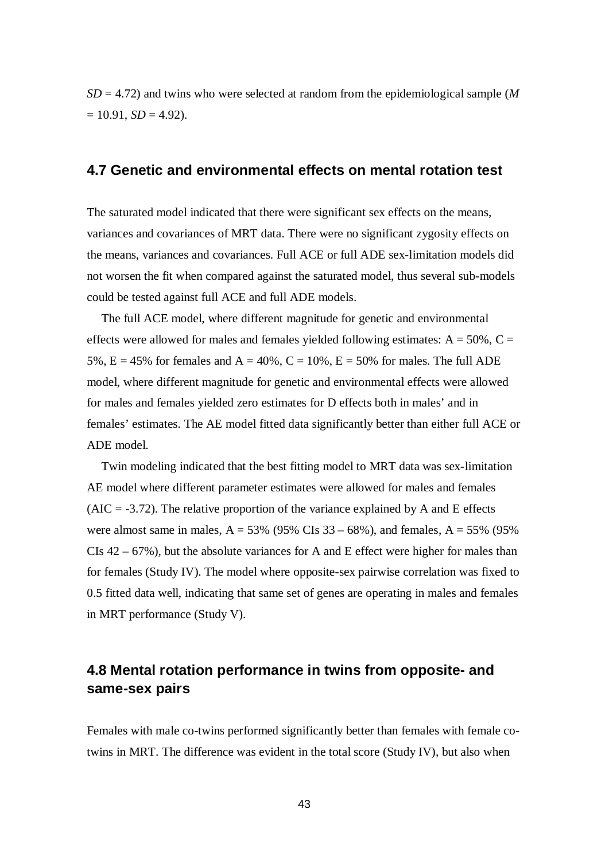*SD* = 4.72) and twins who were selected at random from the epidemiological sample (*M*  $= 10.91, SD = 4.92$ .

### **4.7 Genetic and environmental effects on mental rotation test**

The saturated model indicated that there were significant sex effects on the means, variances and covariances of MRT data. There were no significant zygosity effects on the means, variances and covariances. Full ACE or full ADE sex-limitation models did not worsen the fit when compared against the saturated model, thus several sub-models could be tested against full ACE and full ADE models.

The full ACE model, where different magnitude for genetic and environmental effects were allowed for males and females yielded following estimates:  $A = 50\%$ ,  $C =$ 5%,  $E = 45%$  for females and  $A = 40%$ ,  $C = 10%$ ,  $E = 50%$  for males. The full ADE model, where different magnitude for genetic and environmental effects were allowed for males and females yielded zero estimates for D effects both in males' and in females' estimates. The AE model fitted data significantly better than either full ACE or ADE model.

Twin modeling indicated that the best fitting model to MRT data was sex-limitation AE model where different parameter estimates were allowed for males and females  $(AIC = -3.72)$ . The relative proportion of the variance explained by A and E effects were almost same in males,  $A = 53\%$  (95% CIs 33 – 68%), and females,  $A = 55\%$  (95%) CIs 42 – 67%), but the absolute variances for A and E effect were higher for males than for females (Study IV). The model where opposite-sex pairwise correlation was fixed to 0.5 fitted data well, indicating that same set of genes are operating in males and females in MRT performance (Study V).

### **4.8 Mental rotation performance in twins from opposite- and same-sex pairs**

Females with male co-twins performed significantly better than females with female cotwins in MRT. The difference was evident in the total score (Study IV), but also when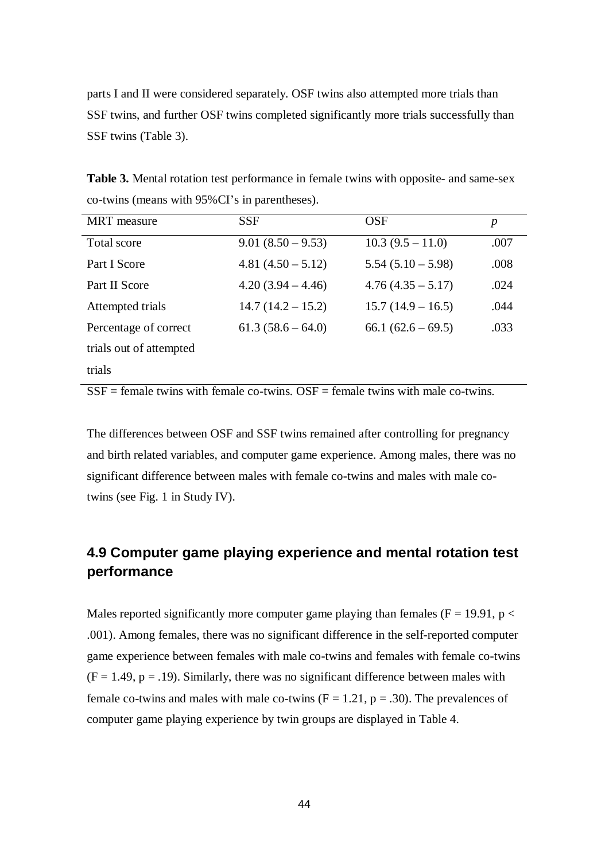parts I and II were considered separately. OSF twins also attempted more trials than SSF twins, and further OSF twins completed significantly more trials successfully than SSF twins (Table 3).

**Table 3.** Mental rotation test performance in female twins with opposite- and same-sex co-twins (means with 95%CI's in parentheses).

| <b>MRT</b> measure      | <b>SSF</b>           | <b>OSF</b>           | p    |
|-------------------------|----------------------|----------------------|------|
| Total score             | $9.01 (8.50 - 9.53)$ | $10.3(9.5 - 11.0)$   | .007 |
| Part I Score            | $4.81(4.50 - 5.12)$  | $5.54(5.10 - 5.98)$  | .008 |
| Part II Score           | $4.20(3.94 - 4.46)$  | $4.76(4.35 - 5.17)$  | .024 |
| Attempted trials        | $14.7(14.2 - 15.2)$  | $15.7(14.9 - 16.5)$  | .044 |
| Percentage of correct   | $61.3(58.6-64.0)$    | $66.1 (62.6 - 69.5)$ | .033 |
| trials out of attempted |                      |                      |      |
| trials                  |                      |                      |      |

 $SSE =$  female twins with female co-twins.  $OSF =$  female twins with male co-twins.

The differences between OSF and SSF twins remained after controlling for pregnancy and birth related variables, and computer game experience. Among males, there was no significant difference between males with female co-twins and males with male cotwins (see Fig. 1 in Study IV).

# **4.9 Computer game playing experience and mental rotation test performance**

Males reported significantly more computer game playing than females ( $F = 19.91$ ,  $p <$ .001). Among females, there was no significant difference in the self-reported computer game experience between females with male co-twins and females with female co-twins  $(F = 1.49, p = .19)$ . Similarly, there was no significant difference between males with female co-twins and males with male co-twins  $(F = 1.21, p = .30)$ . The prevalences of computer game playing experience by twin groups are displayed in Table 4.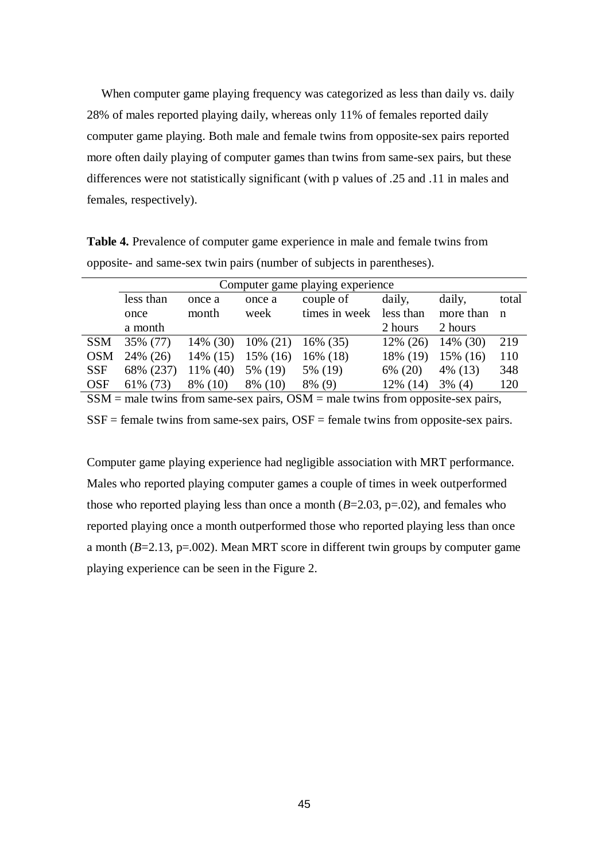When computer game playing frequency was categorized as less than daily vs. daily 28% of males reported playing daily, whereas only 11% of females reported daily computer game playing. Both male and female twins from opposite-sex pairs reported more often daily playing of computer games than twins from same-sex pairs, but these differences were not statistically significant (with p values of .25 and .11 in males and females, respectively).

**Table 4.** Prevalence of computer game experience in male and female twins from opposite- and same-sex twin pairs (number of subjects in parentheses).

|                                                                                     | Computer game playing experience |             |             |               |           |           |             |
|-------------------------------------------------------------------------------------|----------------------------------|-------------|-------------|---------------|-----------|-----------|-------------|
|                                                                                     | less than                        | once a      | once a      | couple of     | daily,    | daily,    | total       |
|                                                                                     | once                             | month       | week        | times in week | less than | more than | $\mathbf n$ |
|                                                                                     | a month                          |             |             |               | 2 hours   | 2 hours   |             |
| <b>SSM</b>                                                                          | 35% (77)                         | $14\%$ (30) | $10\% (21)$ | $16\%$ (35)   | 12% (26)  | 14% (30)  | 219         |
| <b>OSM</b>                                                                          | 24% (26)                         | 14% (15)    | $15\%$ (16) | 16\% (18)     | 18% (19)  | 15% (16)  | 110         |
| <b>SSF</b>                                                                          | 68% (237)                        | $11\%$ (40) | 5% (19)     | 5% (19)       | 6% (20)   | 4% (13)   | 348         |
| <b>OSF</b>                                                                          | 61\% (73)                        | 8% (10)     | 8% (10)     | $8\%$ (9)     | 12% (14)  | $3\%$ (4) | 120         |
| $SSM$ = male twins from same-sex pairs, $OSM$ = male twins from opposite-sex pairs, |                                  |             |             |               |           |           |             |

 $SSF = female$  twins from same-sex pairs,  $OSF = female$  twins from opposite-sex pairs.

Computer game playing experience had negligible association with MRT performance. Males who reported playing computer games a couple of times in week outperformed those who reported playing less than once a month  $(B=2.03, p=.02)$ , and females who reported playing once a month outperformed those who reported playing less than once a month  $(B=2.13, p=.002)$ . Mean MRT score in different twin groups by computer game playing experience can be seen in the Figure 2.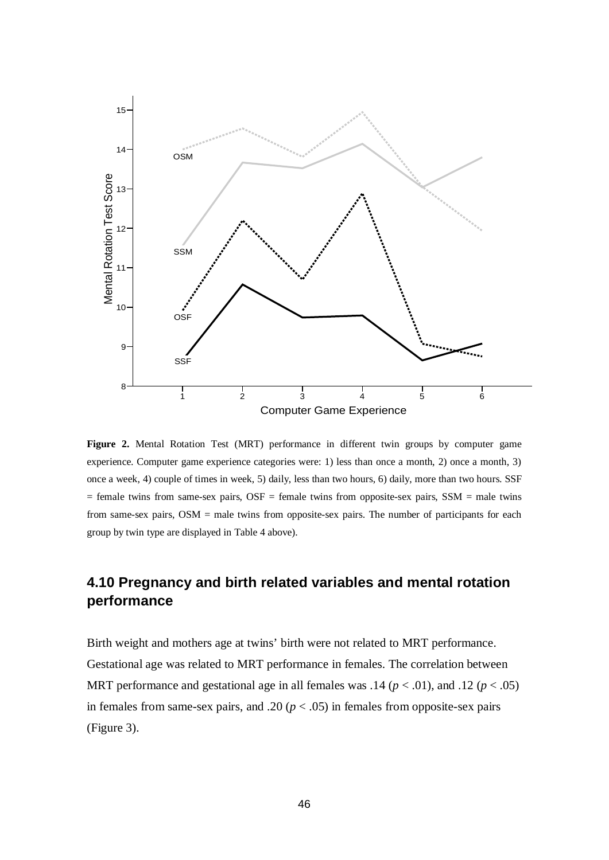

**Figure 2.** Mental Rotation Test (MRT) performance in different twin groups by computer game experience. Computer game experience categories were: 1) less than once a month, 2) once a month, 3) once a week, 4) couple of times in week, 5) daily, less than two hours, 6) daily, more than two hours. SSF  $=$  female twins from same-sex pairs, OSF  $=$  female twins from opposite-sex pairs, SSM  $=$  male twins from same-sex pairs, OSM = male twins from opposite-sex pairs. The number of participants for each group by twin type are displayed in Table 4 above).

# **4.10 Pregnancy and birth related variables and mental rotation performance**

Birth weight and mothers age at twins' birth were not related to MRT performance. Gestational age was related to MRT performance in females. The correlation between MRT performance and gestational age in all females was  $.14 (p < .01)$ , and  $.12 (p < .05)$ in females from same-sex pairs, and .20 ( $p < .05$ ) in females from opposite-sex pairs (Figure 3).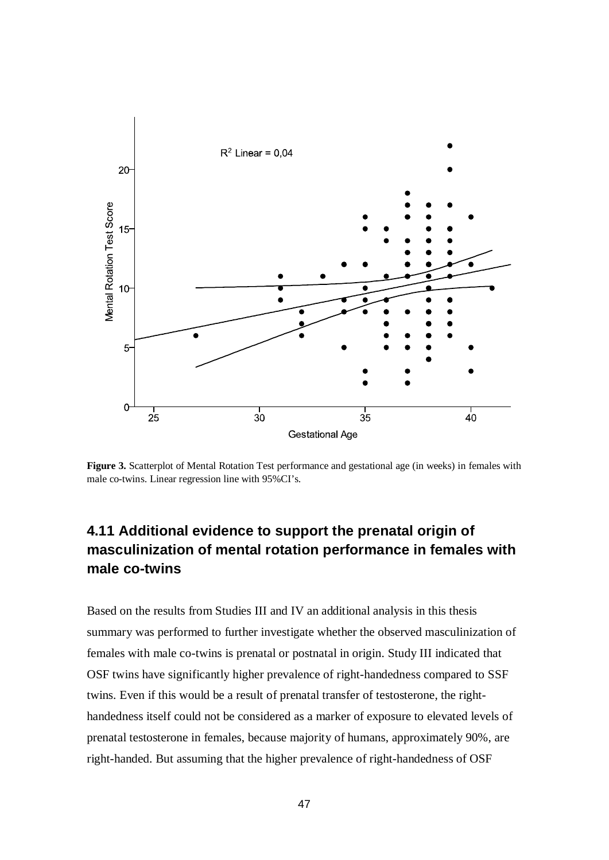

Figure 3. Scatterplot of Mental Rotation Test performance and gestational age (in weeks) in females with male co-twins. Linear regression line with 95%CI's.

# **4.11 Additional evidence to support the prenatal origin of masculinization of mental rotation performance in females with male co-twins**

Based on the results from Studies III and IV an additional analysis in this thesis summary was performed to further investigate whether the observed masculinization of females with male co-twins is prenatal or postnatal in origin. Study III indicated that OSF twins have significantly higher prevalence of right-handedness compared to SSF twins. Even if this would be a result of prenatal transfer of testosterone, the righthandedness itself could not be considered as a marker of exposure to elevated levels of prenatal testosterone in females, because majority of humans, approximately 90%, are right-handed. But assuming that the higher prevalence of right-handedness of OSF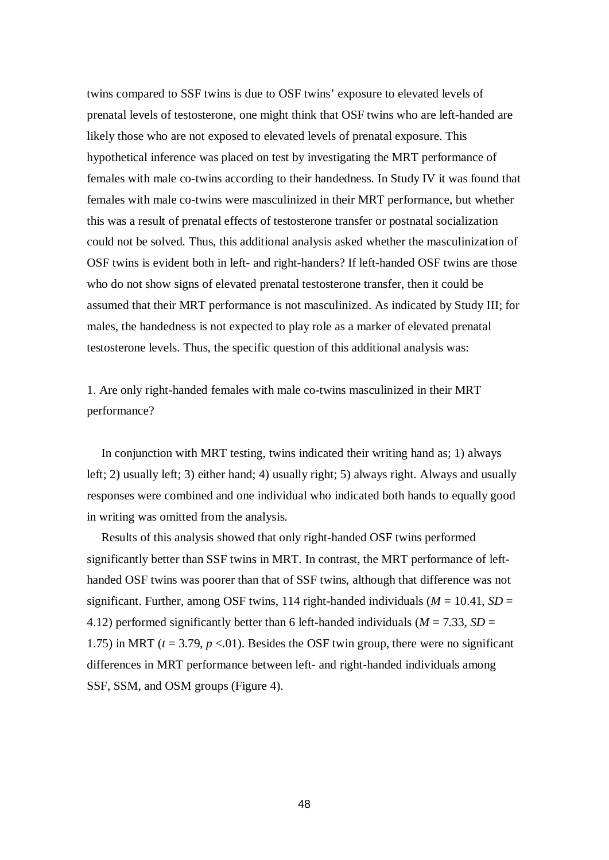twins compared to SSF twins is due to OSF twins' exposure to elevated levels of prenatal levels of testosterone, one might think that OSF twins who are left-handed are likely those who are not exposed to elevated levels of prenatal exposure. This hypothetical inference was placed on test by investigating the MRT performance of females with male co-twins according to their handedness. In Study IV it was found that females with male co-twins were masculinized in their MRT performance, but whether this was a result of prenatal effects of testosterone transfer or postnatal socialization could not be solved. Thus, this additional analysis asked whether the masculinization of OSF twins is evident both in left- and right-handers? If left-handed OSF twins are those who do not show signs of elevated prenatal testosterone transfer, then it could be assumed that their MRT performance is not masculinized. As indicated by Study III; for males, the handedness is not expected to play role as a marker of elevated prenatal testosterone levels. Thus, the specific question of this additional analysis was:

1. Are only right-handed females with male co-twins masculinized in their MRT performance?

In conjunction with MRT testing, twins indicated their writing hand as; 1) always left; 2) usually left; 3) either hand; 4) usually right; 5) always right. Always and usually responses were combined and one individual who indicated both hands to equally good in writing was omitted from the analysis.

Results of this analysis showed that only right-handed OSF twins performed significantly better than SSF twins in MRT. In contrast, the MRT performance of lefthanded OSF twins was poorer than that of SSF twins, although that difference was not significant. Further, among OSF twins, 114 right-handed individuals ( $M = 10.41$ ,  $SD =$ 4.12) performed significantly better than 6 left-handed individuals ( $M = 7.33$ ,  $SD =$ 1.75) in MRT ( $t = 3.79$ ,  $p < 01$ ). Besides the OSF twin group, there were no significant differences in MRT performance between left- and right-handed individuals among SSF, SSM, and OSM groups (Figure 4).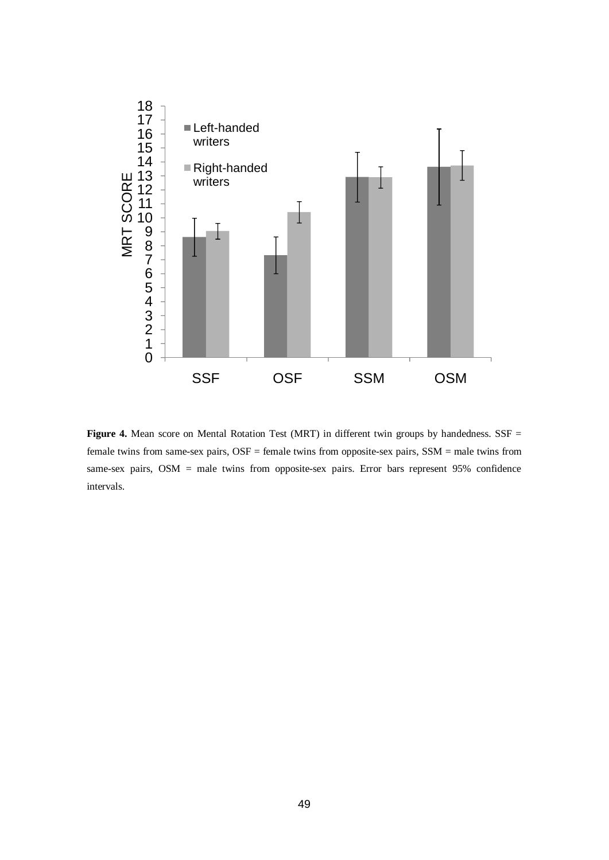

Figure 4. Mean score on Mental Rotation Test (MRT) in different twin groups by handedness. SSF = female twins from same-sex pairs, OSF = female twins from opposite-sex pairs, SSM = male twins from same-sex pairs, OSM = male twins from opposite-sex pairs. Error bars represent 95% confidence intervals.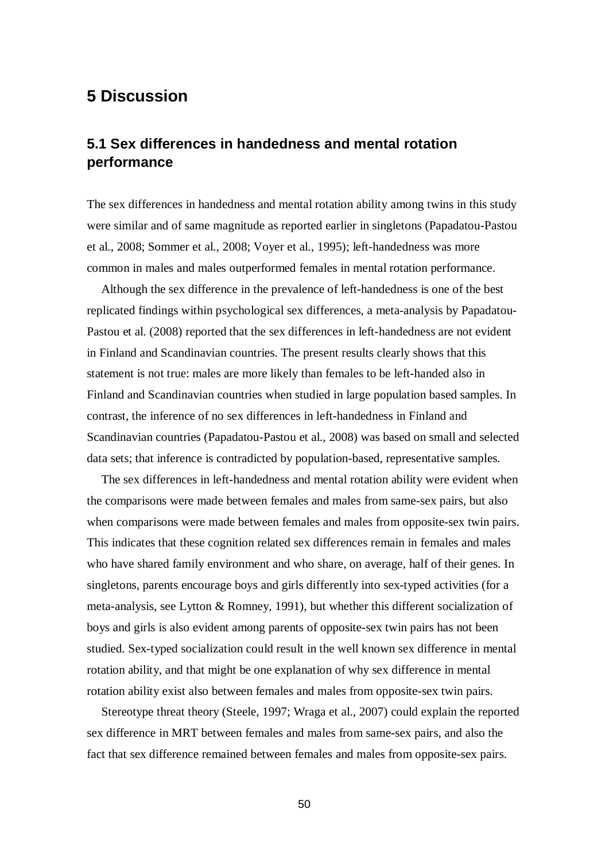# **5 Discussion**

### **5.1 Sex differences in handedness and mental rotation performance**

The sex differences in handedness and mental rotation ability among twins in this study were similar and of same magnitude as reported earlier in singletons (Papadatou-Pastou et al., 2008; Sommer et al., 2008; Voyer et al., 1995); left-handedness was more common in males and males outperformed females in mental rotation performance.

Although the sex difference in the prevalence of left-handedness is one of the best replicated findings within psychological sex differences, a meta-analysis by Papadatou-Pastou et al. (2008) reported that the sex differences in left-handedness are not evident in Finland and Scandinavian countries. The present results clearly shows that this statement is not true: males are more likely than females to be left-handed also in Finland and Scandinavian countries when studied in large population based samples. In contrast, the inference of no sex differences in left-handedness in Finland and Scandinavian countries (Papadatou-Pastou et al., 2008) was based on small and selected data sets; that inference is contradicted by population-based, representative samples.

The sex differences in left-handedness and mental rotation ability were evident when the comparisons were made between females and males from same-sex pairs, but also when comparisons were made between females and males from opposite-sex twin pairs. This indicates that these cognition related sex differences remain in females and males who have shared family environment and who share, on average, half of their genes. In singletons, parents encourage boys and girls differently into sex-typed activities (for a meta-analysis, see Lytton & Romney, 1991), but whether this different socialization of boys and girls is also evident among parents of opposite-sex twin pairs has not been studied. Sex-typed socialization could result in the well known sex difference in mental rotation ability, and that might be one explanation of why sex difference in mental rotation ability exist also between females and males from opposite-sex twin pairs.

Stereotype threat theory (Steele, 1997; Wraga et al., 2007) could explain the reported sex difference in MRT between females and males from same-sex pairs, and also the fact that sex difference remained between females and males from opposite-sex pairs.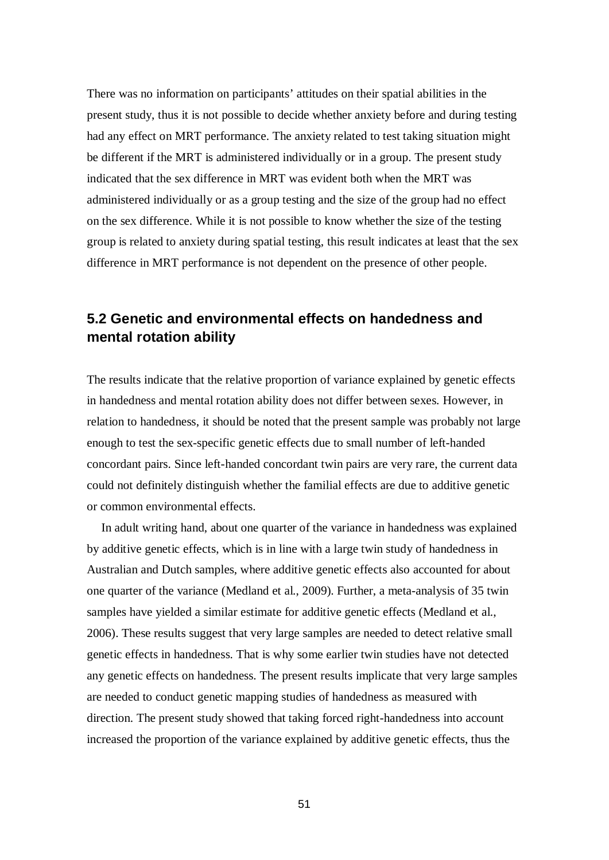There was no information on participants' attitudes on their spatial abilities in the present study, thus it is not possible to decide whether anxiety before and during testing had any effect on MRT performance. The anxiety related to test taking situation might be different if the MRT is administered individually or in a group. The present study indicated that the sex difference in MRT was evident both when the MRT was administered individually or as a group testing and the size of the group had no effect on the sex difference. While it is not possible to know whether the size of the testing group is related to anxiety during spatial testing, this result indicates at least that the sex difference in MRT performance is not dependent on the presence of other people.

### **5.2 Genetic and environmental effects on handedness and mental rotation ability**

The results indicate that the relative proportion of variance explained by genetic effects in handedness and mental rotation ability does not differ between sexes. However, in relation to handedness, it should be noted that the present sample was probably not large enough to test the sex-specific genetic effects due to small number of left-handed concordant pairs. Since left-handed concordant twin pairs are very rare, the current data could not definitely distinguish whether the familial effects are due to additive genetic or common environmental effects.

In adult writing hand, about one quarter of the variance in handedness was explained by additive genetic effects, which is in line with a large twin study of handedness in Australian and Dutch samples, where additive genetic effects also accounted for about one quarter of the variance (Medland et al., 2009). Further, a meta-analysis of 35 twin samples have yielded a similar estimate for additive genetic effects (Medland et al., 2006). These results suggest that very large samples are needed to detect relative small genetic effects in handedness. That is why some earlier twin studies have not detected any genetic effects on handedness. The present results implicate that very large samples are needed to conduct genetic mapping studies of handedness as measured with direction. The present study showed that taking forced right-handedness into account increased the proportion of the variance explained by additive genetic effects, thus the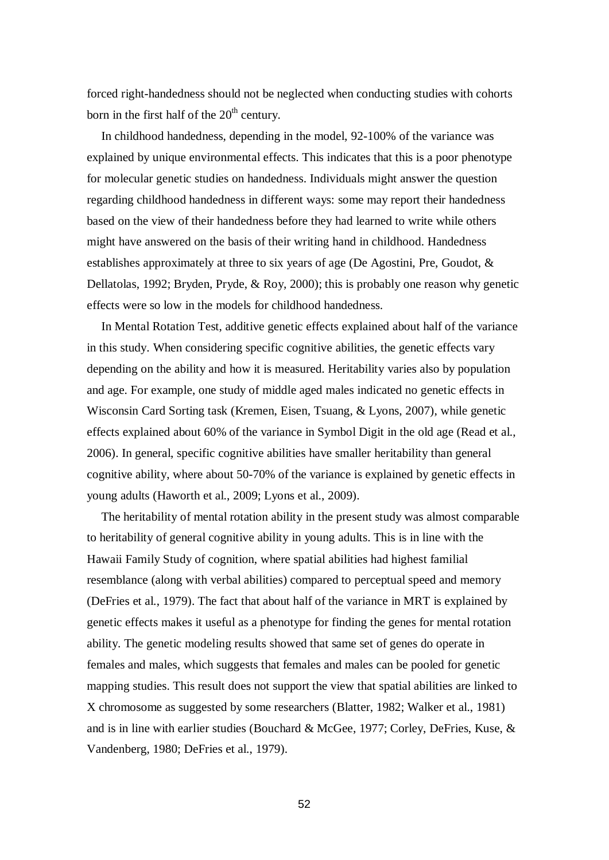forced right-handedness should not be neglected when conducting studies with cohorts born in the first half of the  $20<sup>th</sup>$  century.

In childhood handedness, depending in the model, 92-100% of the variance was explained by unique environmental effects. This indicates that this is a poor phenotype for molecular genetic studies on handedness. Individuals might answer the question regarding childhood handedness in different ways: some may report their handedness based on the view of their handedness before they had learned to write while others might have answered on the basis of their writing hand in childhood. Handedness establishes approximately at three to six years of age (De Agostini, Pre, Goudot, & Dellatolas, 1992; Bryden, Pryde, & Roy, 2000); this is probably one reason why genetic effects were so low in the models for childhood handedness.

In Mental Rotation Test, additive genetic effects explained about half of the variance in this study. When considering specific cognitive abilities, the genetic effects vary depending on the ability and how it is measured. Heritability varies also by population and age. For example, one study of middle aged males indicated no genetic effects in Wisconsin Card Sorting task (Kremen, Eisen, Tsuang, & Lyons, 2007), while genetic effects explained about 60% of the variance in Symbol Digit in the old age (Read et al., 2006). In general, specific cognitive abilities have smaller heritability than general cognitive ability, where about 50-70% of the variance is explained by genetic effects in young adults (Haworth et al., 2009; Lyons et al., 2009).

The heritability of mental rotation ability in the present study was almost comparable to heritability of general cognitive ability in young adults. This is in line with the Hawaii Family Study of cognition, where spatial abilities had highest familial resemblance (along with verbal abilities) compared to perceptual speed and memory (DeFries et al., 1979). The fact that about half of the variance in MRT is explained by genetic effects makes it useful as a phenotype for finding the genes for mental rotation ability. The genetic modeling results showed that same set of genes do operate in females and males, which suggests that females and males can be pooled for genetic mapping studies. This result does not support the view that spatial abilities are linked to X chromosome as suggested by some researchers (Blatter, 1982; Walker et al., 1981) and is in line with earlier studies (Bouchard & McGee, 1977; Corley, DeFries, Kuse, & Vandenberg, 1980; DeFries et al., 1979).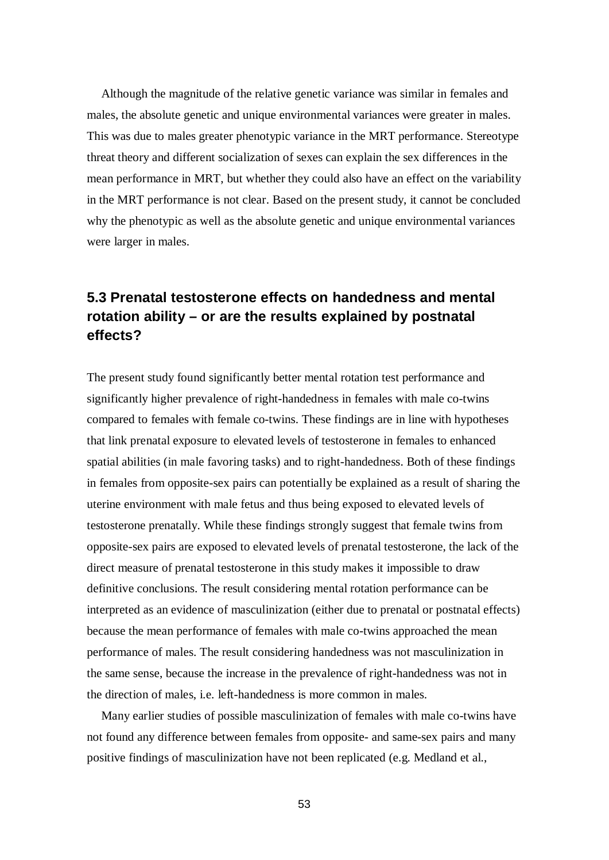Although the magnitude of the relative genetic variance was similar in females and males, the absolute genetic and unique environmental variances were greater in males. This was due to males greater phenotypic variance in the MRT performance. Stereotype threat theory and different socialization of sexes can explain the sex differences in the mean performance in MRT, but whether they could also have an effect on the variability in the MRT performance is not clear. Based on the present study, it cannot be concluded why the phenotypic as well as the absolute genetic and unique environmental variances were larger in males.

# **5.3 Prenatal testosterone effects on handedness and mental rotation ability – or are the results explained by postnatal effects?**

The present study found significantly better mental rotation test performance and significantly higher prevalence of right-handedness in females with male co-twins compared to females with female co-twins. These findings are in line with hypotheses that link prenatal exposure to elevated levels of testosterone in females to enhanced spatial abilities (in male favoring tasks) and to right-handedness. Both of these findings in females from opposite-sex pairs can potentially be explained as a result of sharing the uterine environment with male fetus and thus being exposed to elevated levels of testosterone prenatally. While these findings strongly suggest that female twins from opposite-sex pairs are exposed to elevated levels of prenatal testosterone, the lack of the direct measure of prenatal testosterone in this study makes it impossible to draw definitive conclusions. The result considering mental rotation performance can be interpreted as an evidence of masculinization (either due to prenatal or postnatal effects) because the mean performance of females with male co-twins approached the mean performance of males. The result considering handedness was not masculinization in the same sense, because the increase in the prevalence of right-handedness was not in the direction of males, i.e. left-handedness is more common in males.

Many earlier studies of possible masculinization of females with male co-twins have not found any difference between females from opposite- and same-sex pairs and many positive findings of masculinization have not been replicated (e.g. Medland et al.,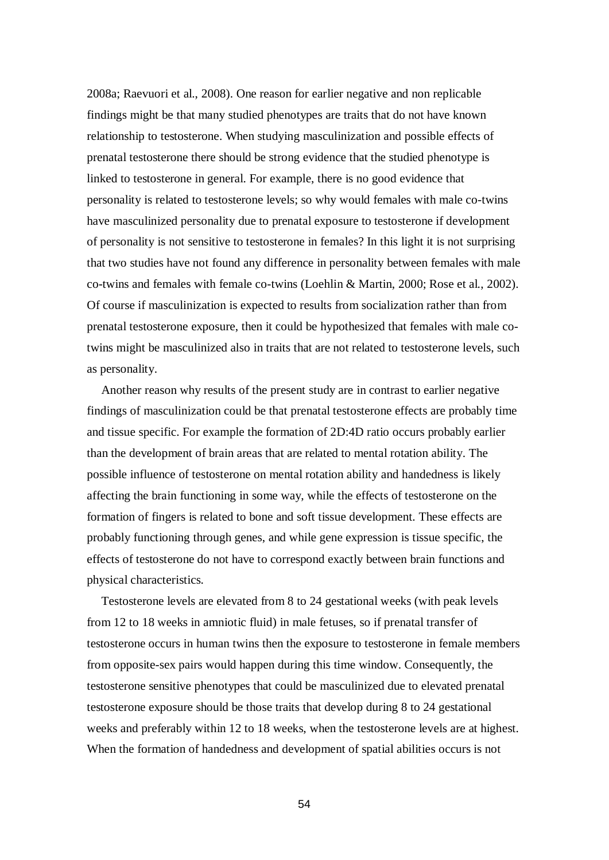2008a; Raevuori et al., 2008). One reason for earlier negative and non replicable findings might be that many studied phenotypes are traits that do not have known relationship to testosterone. When studying masculinization and possible effects of prenatal testosterone there should be strong evidence that the studied phenotype is linked to testosterone in general. For example, there is no good evidence that personality is related to testosterone levels; so why would females with male co-twins have masculinized personality due to prenatal exposure to testosterone if development of personality is not sensitive to testosterone in females? In this light it is not surprising that two studies have not found any difference in personality between females with male co-twins and females with female co-twins (Loehlin & Martin, 2000; Rose et al., 2002). Of course if masculinization is expected to results from socialization rather than from prenatal testosterone exposure, then it could be hypothesized that females with male cotwins might be masculinized also in traits that are not related to testosterone levels, such as personality.

Another reason why results of the present study are in contrast to earlier negative findings of masculinization could be that prenatal testosterone effects are probably time and tissue specific. For example the formation of 2D:4D ratio occurs probably earlier than the development of brain areas that are related to mental rotation ability. The possible influence of testosterone on mental rotation ability and handedness is likely affecting the brain functioning in some way, while the effects of testosterone on the formation of fingers is related to bone and soft tissue development. These effects are probably functioning through genes, and while gene expression is tissue specific, the effects of testosterone do not have to correspond exactly between brain functions and physical characteristics.

Testosterone levels are elevated from 8 to 24 gestational weeks (with peak levels from 12 to 18 weeks in amniotic fluid) in male fetuses, so if prenatal transfer of testosterone occurs in human twins then the exposure to testosterone in female members from opposite-sex pairs would happen during this time window. Consequently, the testosterone sensitive phenotypes that could be masculinized due to elevated prenatal testosterone exposure should be those traits that develop during 8 to 24 gestational weeks and preferably within 12 to 18 weeks, when the testosterone levels are at highest. When the formation of handedness and development of spatial abilities occurs is not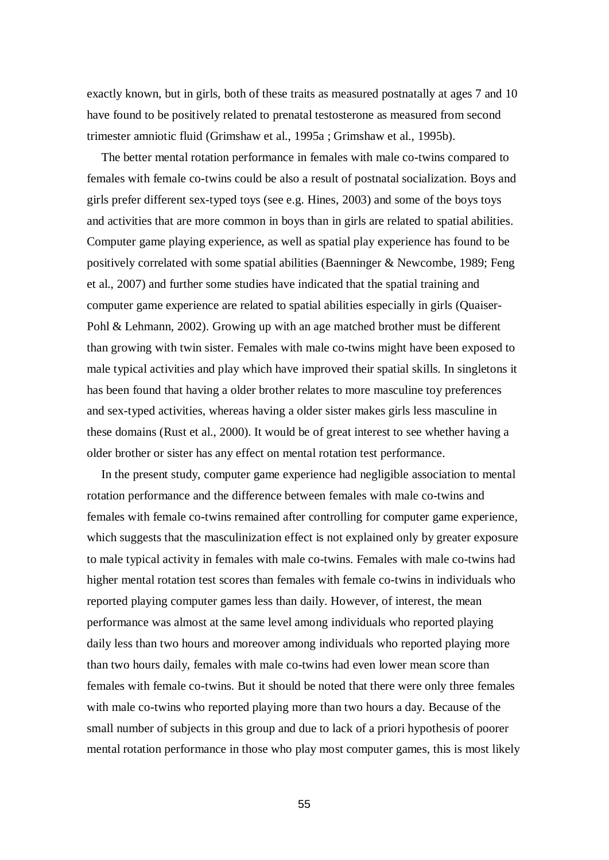exactly known, but in girls, both of these traits as measured postnatally at ages 7 and 10 have found to be positively related to prenatal testosterone as measured from second trimester amniotic fluid (Grimshaw et al., 1995a ; Grimshaw et al., 1995b).

The better mental rotation performance in females with male co-twins compared to females with female co-twins could be also a result of postnatal socialization. Boys and girls prefer different sex-typed toys (see e.g. Hines, 2003) and some of the boys toys and activities that are more common in boys than in girls are related to spatial abilities. Computer game playing experience, as well as spatial play experience has found to be positively correlated with some spatial abilities (Baenninger  $\&$  Newcombe, 1989; Feng et al., 2007) and further some studies have indicated that the spatial training and computer game experience are related to spatial abilities especially in girls (Quaiser-Pohl & Lehmann, 2002). Growing up with an age matched brother must be different than growing with twin sister. Females with male co-twins might have been exposed to male typical activities and play which have improved their spatial skills. In singletons it has been found that having a older brother relates to more masculine toy preferences and sex-typed activities, whereas having a older sister makes girls less masculine in these domains (Rust et al., 2000). It would be of great interest to see whether having a older brother or sister has any effect on mental rotation test performance.

In the present study, computer game experience had negligible association to mental rotation performance and the difference between females with male co-twins and females with female co-twins remained after controlling for computer game experience, which suggests that the masculinization effect is not explained only by greater exposure to male typical activity in females with male co-twins. Females with male co-twins had higher mental rotation test scores than females with female co-twins in individuals who reported playing computer games less than daily. However, of interest, the mean performance was almost at the same level among individuals who reported playing daily less than two hours and moreover among individuals who reported playing more than two hours daily, females with male co-twins had even lower mean score than females with female co-twins. But it should be noted that there were only three females with male co-twins who reported playing more than two hours a day. Because of the small number of subjects in this group and due to lack of a priori hypothesis of poorer mental rotation performance in those who play most computer games, this is most likely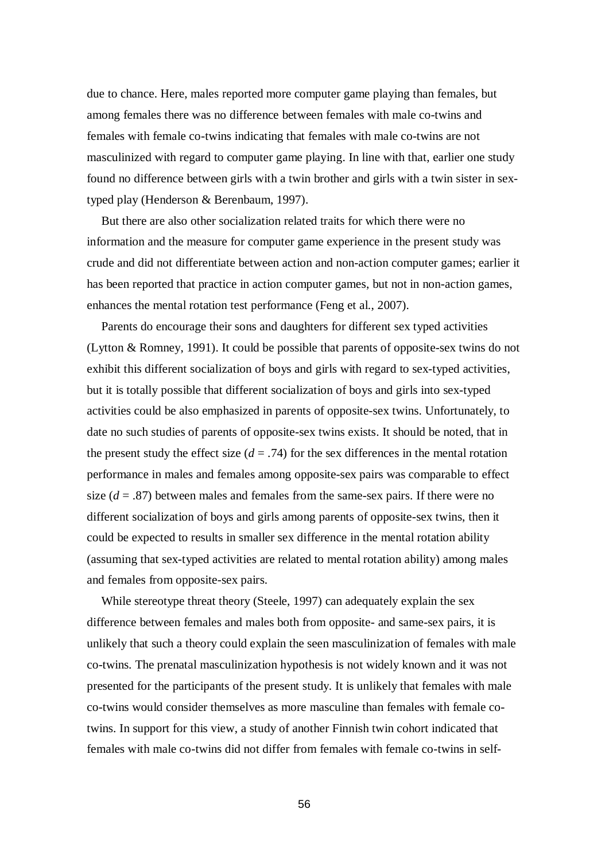due to chance. Here, males reported more computer game playing than females, but among females there was no difference between females with male co-twins and females with female co-twins indicating that females with male co-twins are not masculinized with regard to computer game playing. In line with that, earlier one study found no difference between girls with a twin brother and girls with a twin sister in sextyped play (Henderson & Berenbaum, 1997).

But there are also other socialization related traits for which there were no information and the measure for computer game experience in the present study was crude and did not differentiate between action and non-action computer games; earlier it has been reported that practice in action computer games, but not in non-action games, enhances the mental rotation test performance (Feng et al., 2007).

Parents do encourage their sons and daughters for different sex typed activities (Lytton & Romney, 1991). It could be possible that parents of opposite-sex twins do not exhibit this different socialization of boys and girls with regard to sex-typed activities, but it is totally possible that different socialization of boys and girls into sex-typed activities could be also emphasized in parents of opposite-sex twins. Unfortunately, to date no such studies of parents of opposite-sex twins exists. It should be noted, that in the present study the effect size  $(d = .74)$  for the sex differences in the mental rotation performance in males and females among opposite-sex pairs was comparable to effect size  $(d = .87)$  between males and females from the same-sex pairs. If there were no different socialization of boys and girls among parents of opposite-sex twins, then it could be expected to results in smaller sex difference in the mental rotation ability (assuming that sex-typed activities are related to mental rotation ability) among males and females from opposite-sex pairs.

While stereotype threat theory (Steele, 1997) can adequately explain the sex difference between females and males both from opposite- and same-sex pairs, it is unlikely that such a theory could explain the seen masculinization of females with male co-twins. The prenatal masculinization hypothesis is not widely known and it was not presented for the participants of the present study. It is unlikely that females with male co-twins would consider themselves as more masculine than females with female cotwins. In support for this view, a study of another Finnish twin cohort indicated that females with male co-twins did not differ from females with female co-twins in self-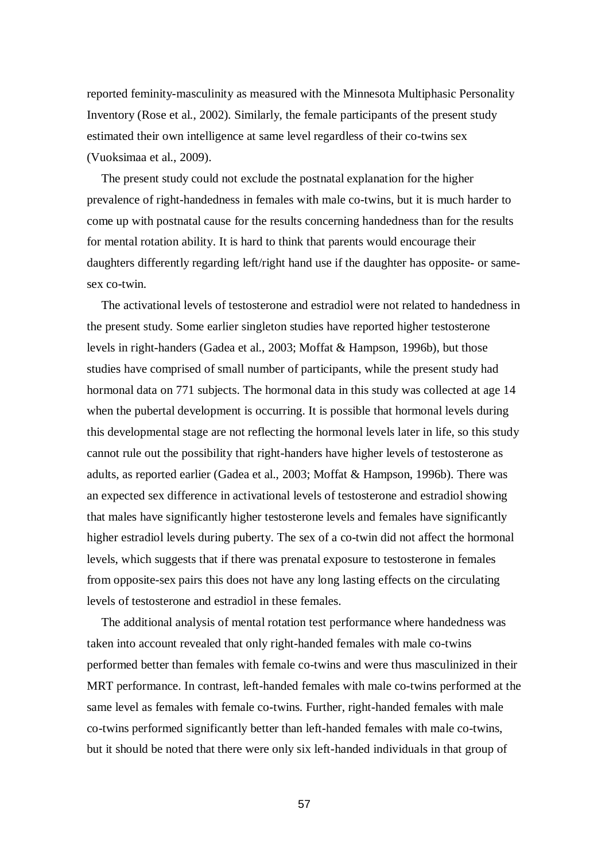reported feminity-masculinity as measured with the Minnesota Multiphasic Personality Inventory (Rose et al., 2002). Similarly, the female participants of the present study estimated their own intelligence at same level regardless of their co-twins sex (Vuoksimaa et al., 2009).

The present study could not exclude the postnatal explanation for the higher prevalence of right-handedness in females with male co-twins, but it is much harder to come up with postnatal cause for the results concerning handedness than for the results for mental rotation ability. It is hard to think that parents would encourage their daughters differently regarding left/right hand use if the daughter has opposite- or samesex co-twin.

The activational levels of testosterone and estradiol were not related to handedness in the present study. Some earlier singleton studies have reported higher testosterone levels in right-handers (Gadea et al., 2003; Moffat & Hampson, 1996b), but those studies have comprised of small number of participants, while the present study had hormonal data on 771 subjects. The hormonal data in this study was collected at age 14 when the pubertal development is occurring. It is possible that hormonal levels during this developmental stage are not reflecting the hormonal levels later in life, so this study cannot rule out the possibility that right-handers have higher levels of testosterone as adults, as reported earlier (Gadea et al., 2003; Moffat & Hampson, 1996b). There was an expected sex difference in activational levels of testosterone and estradiol showing that males have significantly higher testosterone levels and females have significantly higher estradiol levels during puberty. The sex of a co-twin did not affect the hormonal levels, which suggests that if there was prenatal exposure to testosterone in females from opposite-sex pairs this does not have any long lasting effects on the circulating levels of testosterone and estradiol in these females.

The additional analysis of mental rotation test performance where handedness was taken into account revealed that only right-handed females with male co-twins performed better than females with female co-twins and were thus masculinized in their MRT performance. In contrast, left-handed females with male co-twins performed at the same level as females with female co-twins. Further, right-handed females with male co-twins performed significantly better than left-handed females with male co-twins, but it should be noted that there were only six left-handed individuals in that group of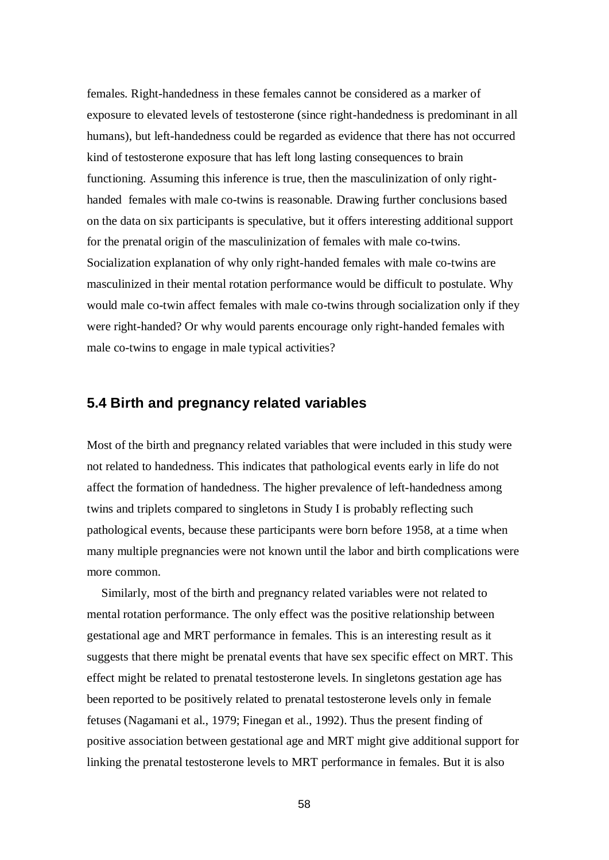females. Right-handedness in these females cannot be considered as a marker of exposure to elevated levels of testosterone (since right-handedness is predominant in all humans), but left-handedness could be regarded as evidence that there has not occurred kind of testosterone exposure that has left long lasting consequences to brain functioning. Assuming this inference is true, then the masculinization of only righthanded females with male co-twins is reasonable. Drawing further conclusions based on the data on six participants is speculative, but it offers interesting additional support for the prenatal origin of the masculinization of females with male co-twins. Socialization explanation of why only right-handed females with male co-twins are masculinized in their mental rotation performance would be difficult to postulate. Why would male co-twin affect females with male co-twins through socialization only if they were right-handed? Or why would parents encourage only right-handed females with male co-twins to engage in male typical activities?

# **5.4 Birth and pregnancy related variables**

Most of the birth and pregnancy related variables that were included in this study were not related to handedness. This indicates that pathological events early in life do not affect the formation of handedness. The higher prevalence of left-handedness among twins and triplets compared to singletons in Study I is probably reflecting such pathological events, because these participants were born before 1958, at a time when many multiple pregnancies were not known until the labor and birth complications were more common.

Similarly, most of the birth and pregnancy related variables were not related to mental rotation performance. The only effect was the positive relationship between gestational age and MRT performance in females. This is an interesting result as it suggests that there might be prenatal events that have sex specific effect on MRT. This effect might be related to prenatal testosterone levels. In singletons gestation age has been reported to be positively related to prenatal testosterone levels only in female fetuses (Nagamani et al., 1979; Finegan et al., 1992). Thus the present finding of positive association between gestational age and MRT might give additional support for linking the prenatal testosterone levels to MRT performance in females. But it is also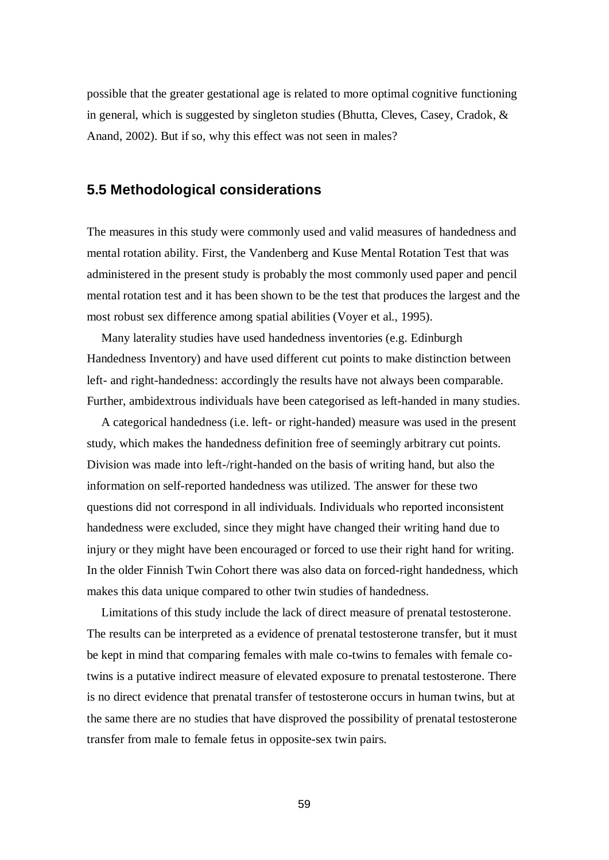possible that the greater gestational age is related to more optimal cognitive functioning in general, which is suggested by singleton studies (Bhutta, Cleves, Casey, Cradok, & Anand, 2002). But if so, why this effect was not seen in males?

### **5.5 Methodological considerations**

The measures in this study were commonly used and valid measures of handedness and mental rotation ability. First, the Vandenberg and Kuse Mental Rotation Test that was administered in the present study is probably the most commonly used paper and pencil mental rotation test and it has been shown to be the test that produces the largest and the most robust sex difference among spatial abilities (Voyer et al., 1995).

Many laterality studies have used handedness inventories (e.g. Edinburgh Handedness Inventory) and have used different cut points to make distinction between left- and right-handedness: accordingly the results have not always been comparable. Further, ambidextrous individuals have been categorised as left-handed in many studies.

A categorical handedness (i.e. left- or right-handed) measure was used in the present study, which makes the handedness definition free of seemingly arbitrary cut points. Division was made into left-/right-handed on the basis of writing hand, but also the information on self-reported handedness was utilized. The answer for these two questions did not correspond in all individuals. Individuals who reported inconsistent handedness were excluded, since they might have changed their writing hand due to injury or they might have been encouraged or forced to use their right hand for writing. In the older Finnish Twin Cohort there was also data on forced-right handedness, which makes this data unique compared to other twin studies of handedness.

Limitations of this study include the lack of direct measure of prenatal testosterone. The results can be interpreted as a evidence of prenatal testosterone transfer, but it must be kept in mind that comparing females with male co-twins to females with female cotwins is a putative indirect measure of elevated exposure to prenatal testosterone. There is no direct evidence that prenatal transfer of testosterone occurs in human twins, but at the same there are no studies that have disproved the possibility of prenatal testosterone transfer from male to female fetus in opposite-sex twin pairs.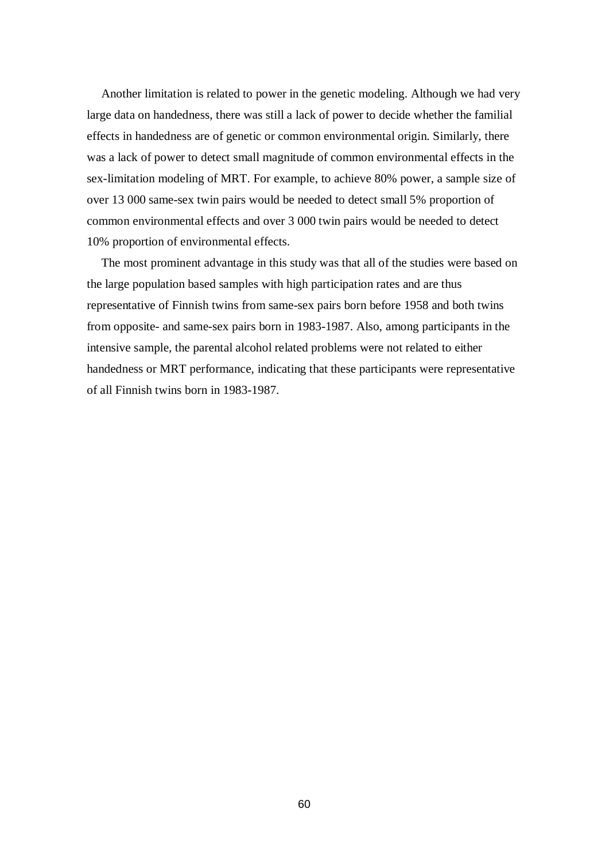Another limitation is related to power in the genetic modeling. Although we had very large data on handedness, there was still a lack of power to decide whether the familial effects in handedness are of genetic or common environmental origin. Similarly, there was a lack of power to detect small magnitude of common environmental effects in the sex-limitation modeling of MRT. For example, to achieve 80% power, a sample size of over 13 000 same-sex twin pairs would be needed to detect small 5% proportion of common environmental effects and over 3 000 twin pairs would be needed to detect 10% proportion of environmental effects.

The most prominent advantage in this study was that all of the studies were based on the large population based samples with high participation rates and are thus representative of Finnish twins from same-sex pairs born before 1958 and both twins from opposite- and same-sex pairs born in 1983-1987. Also, among participants in the intensive sample, the parental alcohol related problems were not related to either handedness or MRT performance, indicating that these participants were representative of all Finnish twins born in 1983-1987.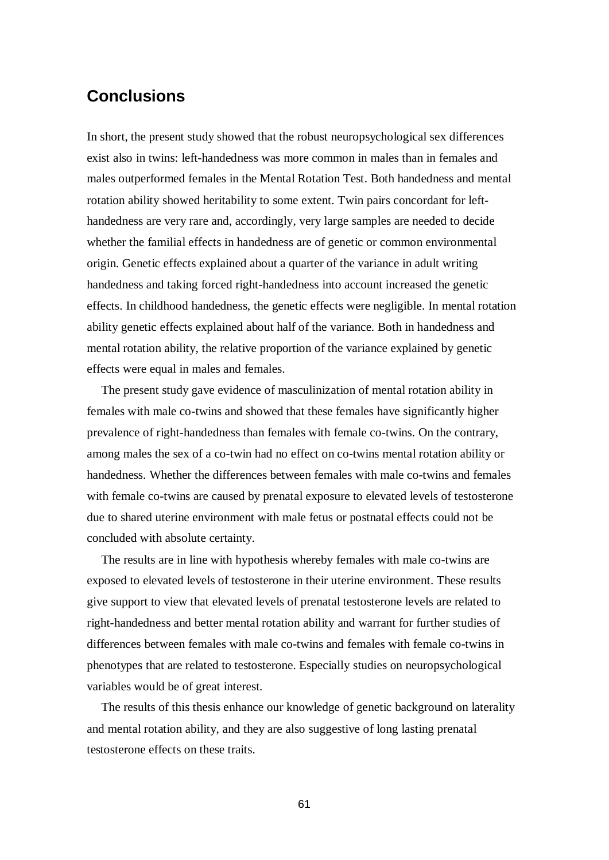# **Conclusions**

In short, the present study showed that the robust neuropsychological sex differences exist also in twins: left-handedness was more common in males than in females and males outperformed females in the Mental Rotation Test. Both handedness and mental rotation ability showed heritability to some extent. Twin pairs concordant for lefthandedness are very rare and, accordingly, very large samples are needed to decide whether the familial effects in handedness are of genetic or common environmental origin. Genetic effects explained about a quarter of the variance in adult writing handedness and taking forced right-handedness into account increased the genetic effects. In childhood handedness, the genetic effects were negligible. In mental rotation ability genetic effects explained about half of the variance. Both in handedness and mental rotation ability, the relative proportion of the variance explained by genetic effects were equal in males and females.

The present study gave evidence of masculinization of mental rotation ability in females with male co-twins and showed that these females have significantly higher prevalence of right-handedness than females with female co-twins. On the contrary, among males the sex of a co-twin had no effect on co-twins mental rotation ability or handedness. Whether the differences between females with male co-twins and females with female co-twins are caused by prenatal exposure to elevated levels of testosterone due to shared uterine environment with male fetus or postnatal effects could not be concluded with absolute certainty.

The results are in line with hypothesis whereby females with male co-twins are exposed to elevated levels of testosterone in their uterine environment. These results give support to view that elevated levels of prenatal testosterone levels are related to right-handedness and better mental rotation ability and warrant for further studies of differences between females with male co-twins and females with female co-twins in phenotypes that are related to testosterone. Especially studies on neuropsychological variables would be of great interest.

The results of this thesis enhance our knowledge of genetic background on laterality and mental rotation ability, and they are also suggestive of long lasting prenatal testosterone effects on these traits.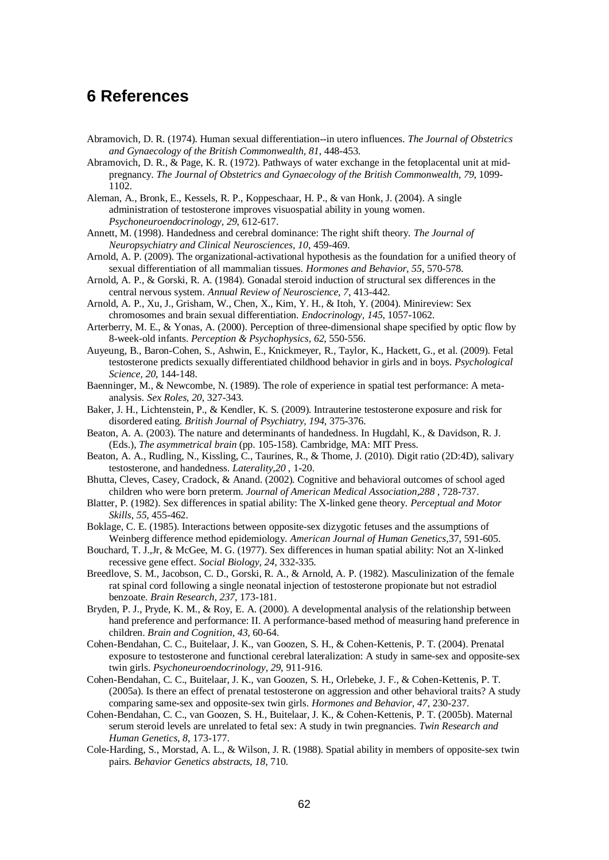### **6 References**

- Abramovich, D. R. (1974). Human sexual differentiation--in utero influences. *The Journal of Obstetrics and Gynaecology of the British Commonwealth, 81*, 448-453.
- Abramovich, D. R., & Page, K. R. (1972). Pathways of water exchange in the fetoplacental unit at midpregnancy. *The Journal of Obstetrics and Gynaecology of the British Commonwealth, 79*, 1099- 1102.
- Aleman, A., Bronk, E., Kessels, R. P., Koppeschaar, H. P., & van Honk, J. (2004). A single administration of testosterone improves visuospatial ability in young women. *Psychoneuroendocrinology, 29*, 612-617.
- Annett, M. (1998). Handedness and cerebral dominance: The right shift theory. *The Journal of Neuropsychiatry and Clinical Neurosciences, 10*, 459-469.
- Arnold, A. P. (2009). The organizational-activational hypothesis as the foundation for a unified theory of sexual differentiation of all mammalian tissues. *Hormones and Behavior, 55*, 570-578.
- Arnold, A. P., & Gorski, R. A. (1984). Gonadal steroid induction of structural sex differences in the central nervous system. *Annual Review of Neuroscience, 7*, 413-442.
- Arnold, A. P., Xu, J., Grisham, W., Chen, X., Kim, Y. H., & Itoh, Y. (2004). Minireview: Sex chromosomes and brain sexual differentiation. *Endocrinology, 145*, 1057-1062.
- Arterberry, M. E., & Yonas, A. (2000). Perception of three-dimensional shape specified by optic flow by 8-week-old infants. *Perception & Psychophysics, 62*, 550-556.
- Auyeung, B., Baron-Cohen, S., Ashwin, E., Knickmeyer, R., Taylor, K., Hackett, G., et al. (2009). Fetal testosterone predicts sexually differentiated childhood behavior in girls and in boys. *Psychological Science, 20*, 144-148.
- Baenninger, M., & Newcombe, N. (1989). The role of experience in spatial test performance: A metaanalysis. *Sex Roles, 20*, 327-343.
- Baker, J. H., Lichtenstein, P., & Kendler, K. S. (2009). Intrauterine testosterone exposure and risk for disordered eating. *British Journal of Psychiatry, 194*, 375-376.
- Beaton, A. A. (2003). The nature and determinants of handedness. In Hugdahl, K., & Davidson, R. J. (Eds.), *The asymmetrical brain* (pp. 105-158). Cambridge, MA: MIT Press.
- Beaton, A. A., Rudling, N., Kissling, C., Taurines, R., & Thome, J. (2010). Digit ratio (2D:4D), salivary testosterone, and handedness. *Laterality,20* , 1-20.
- Bhutta, Cleves, Casey, Cradock, & Anand. (2002). Cognitive and behavioral outcomes of school aged children who were born preterm. *Journal of American Medical Association,288* , 728-737.
- Blatter, P. (1982). Sex differences in spatial ability: The X-linked gene theory. *Perceptual and Motor Skills, 55*, 455-462.
- Boklage, C. E. (1985). Interactions between opposite-sex dizygotic fetuses and the assumptions of Weinberg difference method epidemiology. *American Journal of Human Genetics,*37, 591-605.
- Bouchard, T. J.,Jr, & McGee, M. G. (1977). Sex differences in human spatial ability: Not an X-linked recessive gene effect. *Social Biology, 24*, 332-335.
- Breedlove, S. M., Jacobson, C. D., Gorski, R. A., & Arnold, A. P. (1982). Masculinization of the female rat spinal cord following a single neonatal injection of testosterone propionate but not estradiol benzoate. *Brain Research, 237*, 173-181.
- Bryden, P. J., Pryde, K. M., & Roy, E. A. (2000). A developmental analysis of the relationship between hand preference and performance: II. A performance-based method of measuring hand preference in children. *Brain and Cognition, 43*, 60-64.
- Cohen-Bendahan, C. C., Buitelaar, J. K., van Goozen, S. H., & Cohen-Kettenis, P. T. (2004). Prenatal exposure to testosterone and functional cerebral lateralization: A study in same-sex and opposite-sex twin girls. *Psychoneuroendocrinology, 29*, 911-916.
- Cohen-Bendahan, C. C., Buitelaar, J. K., van Goozen, S. H., Orlebeke, J. F., & Cohen-Kettenis, P. T. (2005a). Is there an effect of prenatal testosterone on aggression and other behavioral traits? A study comparing same-sex and opposite-sex twin girls. *Hormones and Behavior, 47*, 230-237.
- Cohen-Bendahan, C. C., van Goozen, S. H., Buitelaar, J. K., & Cohen-Kettenis, P. T. (2005b). Maternal serum steroid levels are unrelated to fetal sex: A study in twin pregnancies. *Twin Research and Human Genetics, 8*, 173-177.
- Cole-Harding, S., Morstad, A. L., & Wilson, J. R. (1988). Spatial ability in members of opposite-sex twin pairs. *Behavior Genetics abstracts, 18,* 710.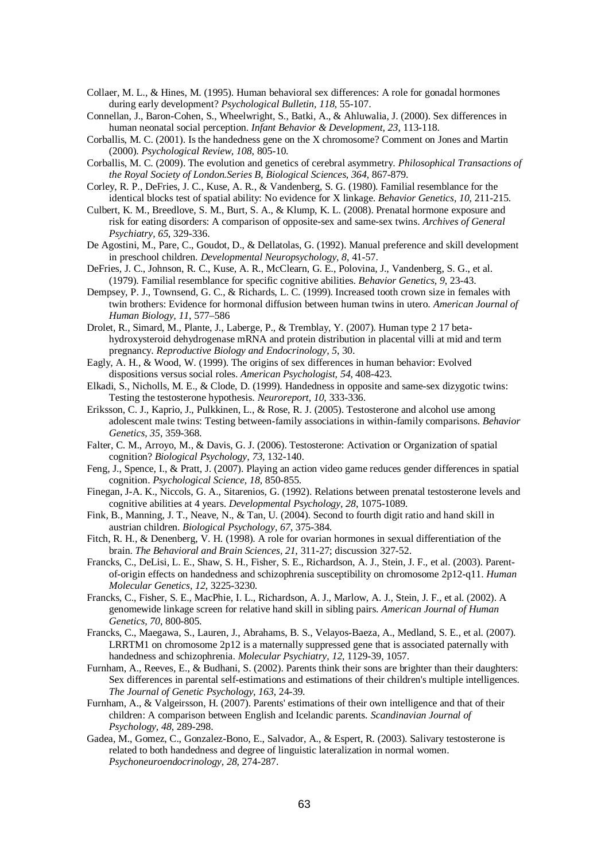- Collaer, M. L., & Hines, M. (1995). Human behavioral sex differences: A role for gonadal hormones during early development? *Psychological Bulletin, 118*, 55-107.
- Connellan, J., Baron-Cohen, S., Wheelwright, S., Batki, A., & Ahluwalia, J. (2000). Sex differences in human neonatal social perception. *Infant Behavior & Development, 23*, 113-118.
- Corballis, M. C. (2001). Is the handedness gene on the X chromosome? Comment on Jones and Martin (2000). *Psychological Review, 108*, 805-10.
- Corballis, M. C. (2009). The evolution and genetics of cerebral asymmetry. *Philosophical Transactions of the Royal Society of London.Series B, Biological Sciences, 364*, 867-879.
- Corley, R. P., DeFries, J. C., Kuse, A. R., & Vandenberg, S. G. (1980). Familial resemblance for the identical blocks test of spatial ability: No evidence for X linkage. *Behavior Genetics, 10*, 211-215.
- Culbert, K. M., Breedlove, S. M., Burt, S. A., & Klump, K. L. (2008). Prenatal hormone exposure and risk for eating disorders: A comparison of opposite-sex and same-sex twins. *Archives of General Psychiatry, 65*, 329-336.
- De Agostini, M., Pare, C., Goudot, D., & Dellatolas, G. (1992). Manual preference and skill development in preschool children. *Developmental Neuropsychology, 8*, 41-57.
- DeFries, J. C., Johnson, R. C., Kuse, A. R., McClearn, G. E., Polovina, J., Vandenberg, S. G., et al. (1979). Familial resemblance for specific cognitive abilities. *Behavior Genetics, 9*, 23-43.
- Dempsey, P. J., Townsend, G. C., & Richards, L. C. (1999). Increased tooth crown size in females with twin brothers: Evidence for hormonal diffusion between human twins in utero. *American Journal of Human Biology, 11*, 577–586
- Drolet, R., Simard, M., Plante, J., Laberge, P., & Tremblay, Y. (2007). Human type 2 17 betahydroxysteroid dehydrogenase mRNA and protein distribution in placental villi at mid and term pregnancy. *Reproductive Biology and Endocrinology, 5*, 30.
- Eagly, A. H., & Wood, W. (1999). The origins of sex differences in human behavior: Evolved dispositions versus social roles. *American Psychologist, 54*, 408-423.
- Elkadi, S., Nicholls, M. E., & Clode, D. (1999). Handedness in opposite and same-sex dizygotic twins: Testing the testosterone hypothesis. *Neuroreport, 10*, 333-336.
- Eriksson, C. J., Kaprio, J., Pulkkinen, L., & Rose, R. J. (2005). Testosterone and alcohol use among adolescent male twins: Testing between-family associations in within-family comparisons. *Behavior Genetics, 35*, 359-368.
- Falter, C. M., Arroyo, M., & Davis, G. J. (2006). Testosterone: Activation or Organization of spatial cognition? *Biological Psychology, 73*, 132-140.
- Feng, J., Spence, I., & Pratt, J. (2007). Playing an action video game reduces gender differences in spatial cognition. *Psychological Science, 18*, 850-855.
- Finegan, J-A. K., Niccols, G. A., Sitarenios, G. (1992). Relations between prenatal testosterone levels and cognitive abilities at 4 years. *Developmental Psychology, 28*, 1075-1089.
- Fink, B., Manning, J. T., Neave, N., & Tan, U. (2004). Second to fourth digit ratio and hand skill in austrian children. *Biological Psychology, 67*, 375-384.
- Fitch, R. H., & Denenberg, V. H. (1998). A role for ovarian hormones in sexual differentiation of the brain. *The Behavioral and Brain Sciences, 21*, 311-27; discussion 327-52.
- Francks, C., DeLisi, L. E., Shaw, S. H., Fisher, S. E., Richardson, A. J., Stein, J. F., et al. (2003). Parentof-origin effects on handedness and schizophrenia susceptibility on chromosome 2p12-q11. *Human Molecular Genetics, 12*, 3225-3230.
- Francks, C., Fisher, S. E., MacPhie, I. L., Richardson, A. J., Marlow, A. J., Stein, J. F., et al. (2002). A genomewide linkage screen for relative hand skill in sibling pairs. *American Journal of Human Genetics, 70*, 800-805.
- Francks, C., Maegawa, S., Lauren, J., Abrahams, B. S., Velayos-Baeza, A., Medland, S. E., et al. (2007). LRRTM1 on chromosome 2p12 is a maternally suppressed gene that is associated paternally with handedness and schizophrenia. *Molecular Psychiatry, 12*, 1129-39, 1057.
- Furnham, A., Reeves, E., & Budhani, S. (2002). Parents think their sons are brighter than their daughters: Sex differences in parental self-estimations and estimations of their children's multiple intelligences. *The Journal of Genetic Psychology, 163*, 24-39.
- Furnham, A., & Valgeirsson, H. (2007). Parents' estimations of their own intelligence and that of their children: A comparison between English and Icelandic parents. *Scandinavian Journal of Psychology, 48*, 289-298.
- Gadea, M., Gomez, C., Gonzalez-Bono, E., Salvador, A., & Espert, R. (2003). Salivary testosterone is related to both handedness and degree of linguistic lateralization in normal women. *Psychoneuroendocrinology, 28*, 274-287.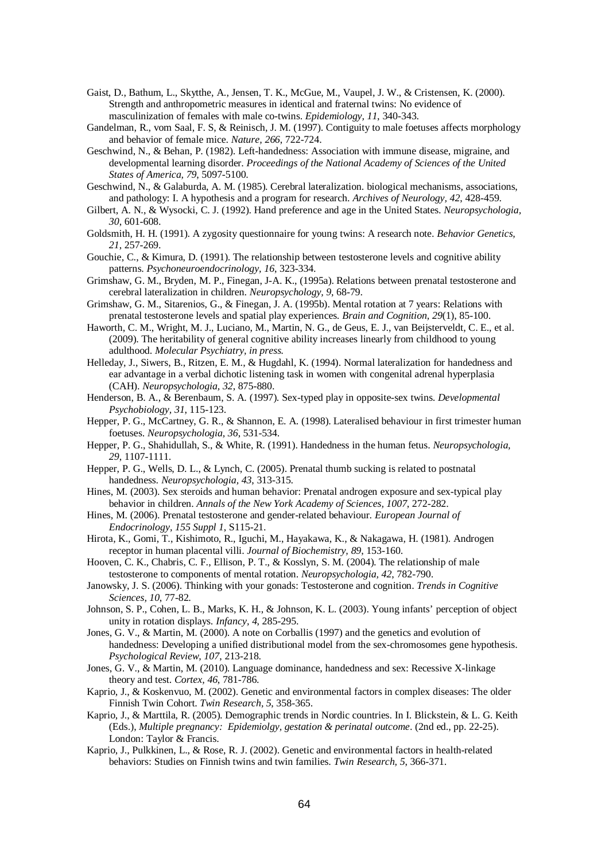- Gaist, D., Bathum, L., Skytthe, A., Jensen, T. K., McGue, M., Vaupel, J. W., & Cristensen, K. (2000). Strength and anthropometric measures in identical and fraternal twins: No evidence of masculinization of females with male co-twins. *Epidemiology, 11*, 340-343.
- Gandelman, R., vom Saal, F. S, & Reinisch, J. M. (1997). Contiguity to male foetuses affects morphology and behavior of female mice. *Nature, 266*, 722-724.
- Geschwind, N., & Behan, P. (1982). Left-handedness: Association with immune disease, migraine, and developmental learning disorder. *Proceedings of the National Academy of Sciences of the United States of America, 79*, 5097-5100.
- Geschwind, N., & Galaburda, A. M. (1985). Cerebral lateralization. biological mechanisms, associations, and pathology: I. A hypothesis and a program for research. *Archives of Neurology, 42*, 428-459.
- Gilbert, A. N., & Wysocki, C. J. (1992). Hand preference and age in the United States. *Neuropsychologia, 30*, 601-608.
- Goldsmith, H. H. (1991). A zygosity questionnaire for young twins: A research note. *Behavior Genetics, 21*, 257-269.
- Gouchie, C., & Kimura, D. (1991). The relationship between testosterone levels and cognitive ability patterns. *Psychoneuroendocrinology, 16*, 323-334.
- Grimshaw, G. M., Bryden, M. P., Finegan, J-A. K., (1995a). Relations between prenatal testosterone and cerebral lateralization in children. *Neuropsychology, 9*, 68-79.
- Grimshaw, G. M., Sitarenios, G., & Finegan, J. A. (1995b). Mental rotation at 7 years: Relations with prenatal testosterone levels and spatial play experiences. *Brain and Cognition, 29*(1), 85-100.
- Haworth, C. M., Wright, M. J., Luciano, M., Martin, N. G., de Geus, E. J., van Beijsterveldt, C. E., et al. (2009). The heritability of general cognitive ability increases linearly from childhood to young adulthood. *Molecular Psychiatry, in press.*
- Helleday, J., Siwers, B., Ritzen, E. M., & Hugdahl, K. (1994). Normal lateralization for handedness and ear advantage in a verbal dichotic listening task in women with congenital adrenal hyperplasia (CAH). *Neuropsychologia, 32*, 875-880.
- Henderson, B. A., & Berenbaum, S. A. (1997). Sex-typed play in opposite-sex twins. *Developmental Psychobiology, 31*, 115-123.
- Hepper, P. G., McCartney, G. R., & Shannon, E. A. (1998). Lateralised behaviour in first trimester human foetuses. *Neuropsychologia, 36*, 531-534.
- Hepper, P. G., Shahidullah, S., & White, R. (1991). Handedness in the human fetus. *Neuropsychologia, 29*, 1107-1111.
- Hepper, P. G., Wells, D. L., & Lynch, C. (2005). Prenatal thumb sucking is related to postnatal handedness. *Neuropsychologia, 43*, 313-315.
- Hines, M. (2003). Sex steroids and human behavior: Prenatal androgen exposure and sex-typical play behavior in children. *Annals of the New York Academy of Sciences, 1007*, 272-282.
- Hines, M. (2006). Prenatal testosterone and gender-related behaviour. *European Journal of Endocrinology, 155 Suppl 1*, S115-21.
- Hirota, K., Gomi, T., Kishimoto, R., Iguchi, M., Hayakawa, K., & Nakagawa, H. (1981). Androgen receptor in human placental villi. *Journal of Biochemistry, 89*, 153-160.
- Hooven, C. K., Chabris, C. F., Ellison, P. T., & Kosslyn, S. M. (2004). The relationship of male testosterone to components of mental rotation. *Neuropsychologia, 42*, 782-790.
- Janowsky, J. S. (2006). Thinking with your gonads: Testosterone and cognition. *Trends in Cognitive Sciences, 10*, 77-82.
- Johnson, S. P., Cohen, L. B., Marks, K. H., & Johnson, K. L. (2003). Young infants' perception of object unity in rotation displays. *Infancy, 4*, 285-295.
- Jones, G. V., & Martin, M. (2000). A note on Corballis (1997) and the genetics and evolution of handedness: Developing a unified distributional model from the sex-chromosomes gene hypothesis. *Psychological Review, 107*, 213-218.
- Jones, G. V., & Martin, M. (2010). Language dominance, handedness and sex: Recessive X-linkage theory and test. *Cortex, 46*, 781-786.
- Kaprio, J., & Koskenvuo, M. (2002). Genetic and environmental factors in complex diseases: The older Finnish Twin Cohort. *Twin Research, 5*, 358-365.
- Kaprio, J., & Marttila, R. (2005). Demographic trends in Nordic countries. In I. Blickstein, & L. G. Keith (Eds.), *Multiple pregnancy: Epidemiolgy, gestation & perinatal outcome*. (2nd ed., pp. 22-25). London: Taylor & Francis.
- Kaprio, J., Pulkkinen, L., & Rose, R. J. (2002). Genetic and environmental factors in health-related behaviors: Studies on Finnish twins and twin families. *Twin Research, 5*, 366-371.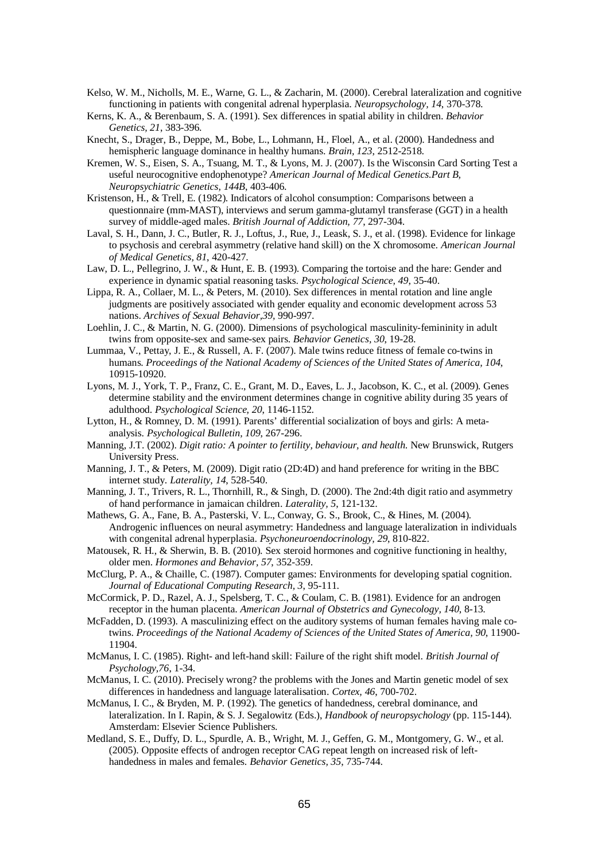- Kelso, W. M., Nicholls, M. E., Warne, G. L., & Zacharin, M. (2000). Cerebral lateralization and cognitive functioning in patients with congenital adrenal hyperplasia. *Neuropsychology, 14*, 370-378.
- Kerns, K. A., & Berenbaum, S. A. (1991). Sex differences in spatial ability in children. *Behavior Genetics, 21*, 383-396.
- Knecht, S., Drager, B., Deppe, M., Bobe, L., Lohmann, H., Floel, A., et al. (2000). Handedness and hemispheric language dominance in healthy humans. *Brain, 123*, 2512-2518.
- Kremen, W. S., Eisen, S. A., Tsuang, M. T., & Lyons, M. J. (2007). Is the Wisconsin Card Sorting Test a useful neurocognitive endophenotype? *American Journal of Medical Genetics.Part B, Neuropsychiatric Genetics, 144B*, 403-406.
- Kristenson, H., & Trell, E. (1982). Indicators of alcohol consumption: Comparisons between a questionnaire (mm-MAST), interviews and serum gamma-glutamyl transferase (GGT) in a health survey of middle-aged males. *British Journal of Addiction, 77*, 297-304.
- Laval, S. H., Dann, J. C., Butler, R. J., Loftus, J., Rue, J., Leask, S. J., et al. (1998). Evidence for linkage to psychosis and cerebral asymmetry (relative hand skill) on the X chromosome. *American Journal of Medical Genetics, 81*, 420-427.
- Law, D. L., Pellegrino, J. W., & Hunt, E. B. (1993). Comparing the tortoise and the hare: Gender and experience in dynamic spatial reasoning tasks. *Psychological Science, 49*, 35-40.
- Lippa, R. A., Collaer, M. L., & Peters, M. (2010). Sex differences in mental rotation and line angle judgments are positively associated with gender equality and economic development across 53 nations. *Archives of Sexual Behavior,39,* 990-997.
- Loehlin, J. C., & Martin, N. G. (2000). Dimensions of psychological masculinity-femininity in adult twins from opposite-sex and same-sex pairs. *Behavior Genetics, 30*, 19-28.
- Lummaa, V., Pettay, J. E., & Russell, A. F. (2007). Male twins reduce fitness of female co-twins in humans. *Proceedings of the National Academy of Sciences of the United States of America, 104*, 10915-10920.
- Lyons, M. J., York, T. P., Franz, C. E., Grant, M. D., Eaves, L. J., Jacobson, K. C., et al. (2009). Genes determine stability and the environment determines change in cognitive ability during 35 years of adulthood. *Psychological Science, 20*, 1146-1152.
- Lytton, H., & Romney, D. M. (1991). Parents' differential socialization of boys and girls: A metaanalysis. *Psychological Bulletin, 109*, 267-296.
- Manning, J.T. (2002). *Digit ratio: A pointer to fertility, behaviour, and health*. New Brunswick, Rutgers University Press.
- Manning, J. T., & Peters, M. (2009). Digit ratio (2D:4D) and hand preference for writing in the BBC internet study. *Laterality, 14*, 528-540.
- Manning, J. T., Trivers, R. L., Thornhill, R., & Singh, D. (2000). The 2nd:4th digit ratio and asymmetry of hand performance in jamaican children. *Laterality, 5*, 121-132.
- Mathews, G. A., Fane, B. A., Pasterski, V. L., Conway, G. S., Brook, C., & Hines, M. (2004). Androgenic influences on neural asymmetry: Handedness and language lateralization in individuals with congenital adrenal hyperplasia. *Psychoneuroendocrinology, 29*, 810-822.
- Matousek, R. H., & Sherwin, B. B. (2010). Sex steroid hormones and cognitive functioning in healthy, older men. *Hormones and Behavior, 57*, 352-359.
- McClurg, P. A., & Chaille, C. (1987). Computer games: Environments for developing spatial cognition. *Journal of Educational Computing Research, 3*, 95-111.
- McCormick, P. D., Razel, A. J., Spelsberg, T. C., & Coulam, C. B. (1981). Evidence for an androgen receptor in the human placenta. *American Journal of Obstetrics and Gynecology, 140*, 8-13.
- McFadden, D. (1993). A masculinizing effect on the auditory systems of human females having male cotwins. *Proceedings of the National Academy of Sciences of the United States of America, 90*, 11900- 11904.
- McManus, I. C. (1985). Right- and left-hand skill: Failure of the right shift model. *British Journal of Psychology,76*, 1-34.
- McManus, I. C. (2010). Precisely wrong? the problems with the Jones and Martin genetic model of sex differences in handedness and language lateralisation. *Cortex, 46*, 700-702.
- McManus, I. C., & Bryden, M. P. (1992). The genetics of handedness, cerebral dominance, and lateralization. In I. Rapin, & S. J. Segalowitz (Eds.), *Handbook of neuropsychology* (pp. 115-144). Amsterdam: Elsevier Science Publishers.
- Medland, S. E., Duffy, D. L., Spurdle, A. B., Wright, M. J., Geffen, G. M., Montgomery, G. W., et al. (2005). Opposite effects of androgen receptor CAG repeat length on increased risk of lefthandedness in males and females. *Behavior Genetics, 35*, 735-744.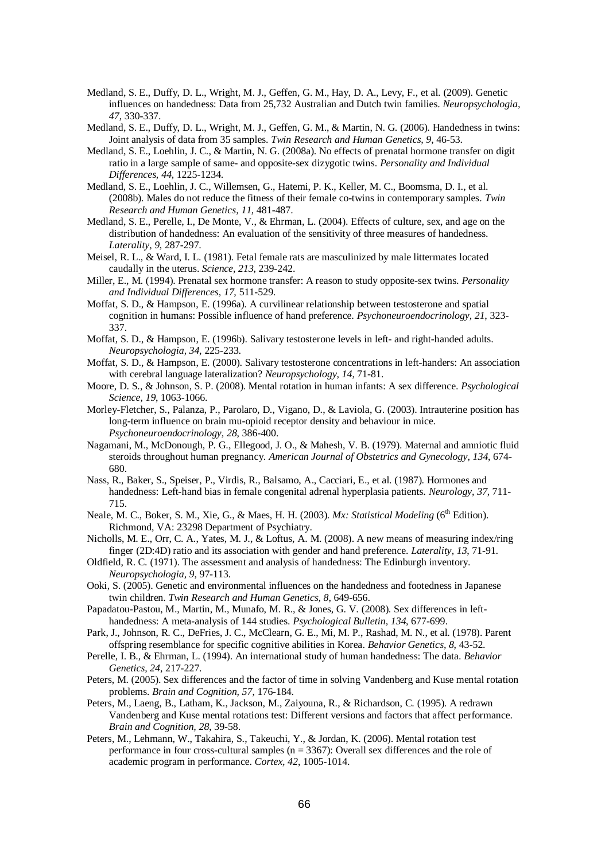- Medland, S. E., Duffy, D. L., Wright, M. J., Geffen, G. M., Hay, D. A., Levy, F., et al. (2009). Genetic influences on handedness: Data from 25,732 Australian and Dutch twin families. *Neuropsychologia, 47*, 330-337.
- Medland, S. E., Duffy, D. L., Wright, M. J., Geffen, G. M., & Martin, N. G. (2006). Handedness in twins: Joint analysis of data from 35 samples. *Twin Research and Human Genetics, 9*, 46-53.
- Medland, S. E., Loehlin, J. C., & Martin, N. G. (2008a). No effects of prenatal hormone transfer on digit ratio in a large sample of same- and opposite-sex dizygotic twins. *Personality and Individual Differences, 44,* 1225-1234.
- Medland, S. E., Loehlin, J. C., Willemsen, G., Hatemi, P. K., Keller, M. C., Boomsma, D. I., et al. (2008b). Males do not reduce the fitness of their female co-twins in contemporary samples. *Twin Research and Human Genetics, 11*, 481-487.
- Medland, S. E., Perelle, I., De Monte, V., & Ehrman, L. (2004). Effects of culture, sex, and age on the distribution of handedness: An evaluation of the sensitivity of three measures of handedness. *Laterality, 9*, 287-297.
- Meisel, R. L., & Ward, I. L. (1981). Fetal female rats are masculinized by male littermates located caudally in the uterus. *Science, 213*, 239-242.
- Miller, E., M. (1994). Prenatal sex hormone transfer: A reason to study opposite-sex twins. *Personality and Individual Differences, 17*, 511-529.
- Moffat, S. D., & Hampson, E. (1996a). A curvilinear relationship between testosterone and spatial cognition in humans: Possible influence of hand preference. *Psychoneuroendocrinology, 21*, 323- 337.
- Moffat, S. D., & Hampson, E. (1996b). Salivary testosterone levels in left- and right-handed adults. *Neuropsychologia, 34*, 225-233.
- Moffat, S. D., & Hampson, E. (2000). Salivary testosterone concentrations in left-handers: An association with cerebral language lateralization? *Neuropsychology, 14*, 71-81.
- Moore, D. S., & Johnson, S. P. (2008). Mental rotation in human infants: A sex difference. *Psychological Science, 19*, 1063-1066.
- Morley-Fletcher, S., Palanza, P., Parolaro, D., Vigano, D., & Laviola, G. (2003). Intrauterine position has long-term influence on brain mu-opioid receptor density and behaviour in mice. *Psychoneuroendocrinology, 28*, 386-400.
- Nagamani, M., McDonough, P. G., Ellegood, J. O., & Mahesh, V. B. (1979). Maternal and amniotic fluid steroids throughout human pregnancy. *American Journal of Obstetrics and Gynecology, 134*, 674- 680.
- Nass, R., Baker, S., Speiser, P., Virdis, R., Balsamo, A., Cacciari, E., et al. (1987). Hormones and handedness: Left-hand bias in female congenital adrenal hyperplasia patients. *Neurology, 37*, 711- 715.
- Neale, M. C., Boker, S. M., Xie, G., & Maes, H. H. (2003). *Mx: Statistical Modeling* (6<sup>th</sup> Edition). Richmond, VA: 23298 Department of Psychiatry.
- Nicholls, M. E., Orr, C. A., Yates, M. J., & Loftus, A. M. (2008). A new means of measuring index/ring finger (2D:4D) ratio and its association with gender and hand preference. *Laterality, 13*, 71-91.
- Oldfield, R. C. (1971). The assessment and analysis of handedness: The Edinburgh inventory. *Neuropsychologia, 9*, 97-113.
- Ooki, S. (2005). Genetic and environmental influences on the handedness and footedness in Japanese twin children. *Twin Research and Human Genetics, 8*, 649-656.
- Papadatou-Pastou, M., Martin, M., Munafo, M. R., & Jones, G. V. (2008). Sex differences in lefthandedness: A meta-analysis of 144 studies. *Psychological Bulletin, 134*, 677-699.
- Park, J., Johnson, R. C., DeFries, J. C., McClearn, G. E., Mi, M. P., Rashad, M. N., et al. (1978). Parent offspring resemblance for specific cognitive abilities in Korea. *Behavior Genetics, 8*, 43-52.
- Perelle, I. B., & Ehrman, L. (1994). An international study of human handedness: The data. *Behavior Genetics, 24*, 217-227.
- Peters, M. (2005). Sex differences and the factor of time in solving Vandenberg and Kuse mental rotation problems. *Brain and Cognition, 57*, 176-184.
- Peters, M., Laeng, B., Latham, K., Jackson, M., Zaiyouna, R., & Richardson, C. (1995). A redrawn Vandenberg and Kuse mental rotations test: Different versions and factors that affect performance. *Brain and Cognition, 28*, 39-58.
- Peters, M., Lehmann, W., Takahira, S., Takeuchi, Y., & Jordan, K. (2006). Mental rotation test performance in four cross-cultural samples ( $n = 3367$ ): Overall sex differences and the role of academic program in performance. *Cortex, 42*, 1005-1014.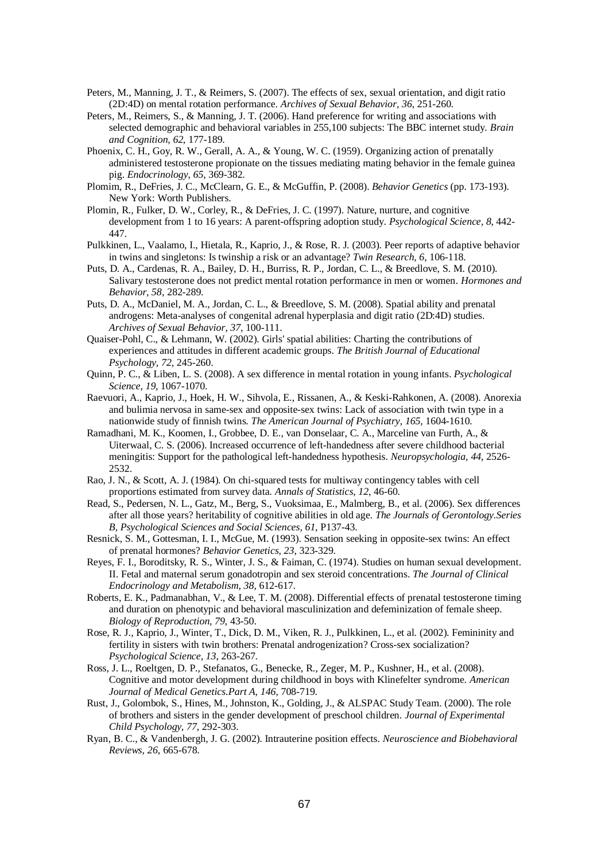- Peters, M., Manning, J. T., & Reimers, S. (2007). The effects of sex, sexual orientation, and digit ratio (2D:4D) on mental rotation performance. *Archives of Sexual Behavior, 36*, 251-260.
- Peters, M., Reimers, S., & Manning, J. T. (2006). Hand preference for writing and associations with selected demographic and behavioral variables in 255,100 subjects: The BBC internet study. *Brain and Cognition, 62*, 177-189.
- Phoenix, C. H., Goy, R. W., Gerall, A. A., & Young, W. C. (1959). Organizing action of prenatally administered testosterone propionate on the tissues mediating mating behavior in the female guinea pig. *Endocrinology, 65*, 369-382.
- Plomim, R., DeFries, J. C., McClearn, G. E., & McGuffin, P. (2008). *Behavior Genetics* (pp. 173-193). New York: Worth Publishers.
- Plomin, R., Fulker, D. W., Corley, R., & DeFries, J. C. (1997). Nature, nurture, and cognitive development from 1 to 16 years: A parent-offspring adoption study. *Psychological Science, 8*, 442- 447.
- Pulkkinen, L., Vaalamo, I., Hietala, R., Kaprio, J., & Rose, R. J. (2003). Peer reports of adaptive behavior in twins and singletons: Is twinship a risk or an advantage? *Twin Research, 6*, 106-118.
- Puts, D. A., Cardenas, R. A., Bailey, D. H., Burriss, R. P., Jordan, C. L., & Breedlove, S. M. (2010). Salivary testosterone does not predict mental rotation performance in men or women. *Hormones and Behavior, 58*, 282-289.
- Puts, D. A., McDaniel, M. A., Jordan, C. L., & Breedlove, S. M. (2008). Spatial ability and prenatal androgens: Meta-analyses of congenital adrenal hyperplasia and digit ratio (2D:4D) studies. *Archives of Sexual Behavior, 37*, 100-111.
- Quaiser-Pohl, C., & Lehmann, W. (2002). Girls' spatial abilities: Charting the contributions of experiences and attitudes in different academic groups. *The British Journal of Educational Psychology, 72*, 245-260.
- Quinn, P. C., & Liben, L. S. (2008). A sex difference in mental rotation in young infants. *Psychological Science, 19*, 1067-1070.
- Raevuori, A., Kaprio, J., Hoek, H. W., Sihvola, E., Rissanen, A., & Keski-Rahkonen, A. (2008). Anorexia and bulimia nervosa in same-sex and opposite-sex twins: Lack of association with twin type in a nationwide study of finnish twins. *The American Journal of Psychiatry, 165*, 1604-1610.
- Ramadhani, M. K., Koomen, I., Grobbee, D. E., van Donselaar, C. A., Marceline van Furth, A., & Uiterwaal, C. S. (2006). Increased occurrence of left-handedness after severe childhood bacterial meningitis: Support for the pathological left-handedness hypothesis. *Neuropsychologia, 44*, 2526- 2532.
- Rao, J. N., & Scott, A. J. (1984). On chi-squared tests for multiway contingency tables with cell proportions estimated from survey data. *Annals of Statistics, 12*, 46-60.
- Read, S., Pedersen, N. L., Gatz, M., Berg, S., Vuoksimaa, E., Malmberg, B., et al. (2006). Sex differences after all those years? heritability of cognitive abilities in old age. *The Journals of Gerontology.Series B, Psychological Sciences and Social Sciences, 61*, P137-43.
- Resnick, S. M., Gottesman, I. I., McGue, M. (1993). Sensation seeking in opposite-sex twins: An effect of prenatal hormones? *Behavior Genetics, 23*, 323-329.
- Reyes, F. I., Boroditsky, R. S., Winter, J. S., & Faiman, C. (1974). Studies on human sexual development. II. Fetal and maternal serum gonadotropin and sex steroid concentrations. *The Journal of Clinical Endocrinology and Metabolism, 38*, 612-617.
- Roberts, E. K., Padmanabhan, V., & Lee, T. M. (2008). Differential effects of prenatal testosterone timing and duration on phenotypic and behavioral masculinization and defeminization of female sheep. *Biology of Reproduction, 79*, 43-50.
- Rose, R. J., Kaprio, J., Winter, T., Dick, D. M., Viken, R. J., Pulkkinen, L., et al. (2002). Femininity and fertility in sisters with twin brothers: Prenatal androgenization? Cross-sex socialization? *Psychological Science, 13*, 263-267.
- Ross, J. L., Roeltgen, D. P., Stefanatos, G., Benecke, R., Zeger, M. P., Kushner, H., et al. (2008). Cognitive and motor development during childhood in boys with Klinefelter syndrome. *American Journal of Medical Genetics.Part A, 146*, 708-719.
- Rust, J., Golombok, S., Hines, M., Johnston, K., Golding, J., & ALSPAC Study Team. (2000). The role of brothers and sisters in the gender development of preschool children. *Journal of Experimental Child Psychology, 77*, 292-303.
- Ryan, B. C., & Vandenbergh, J. G. (2002). Intrauterine position effects. *Neuroscience and Biobehavioral Reviews, 26*, 665-678.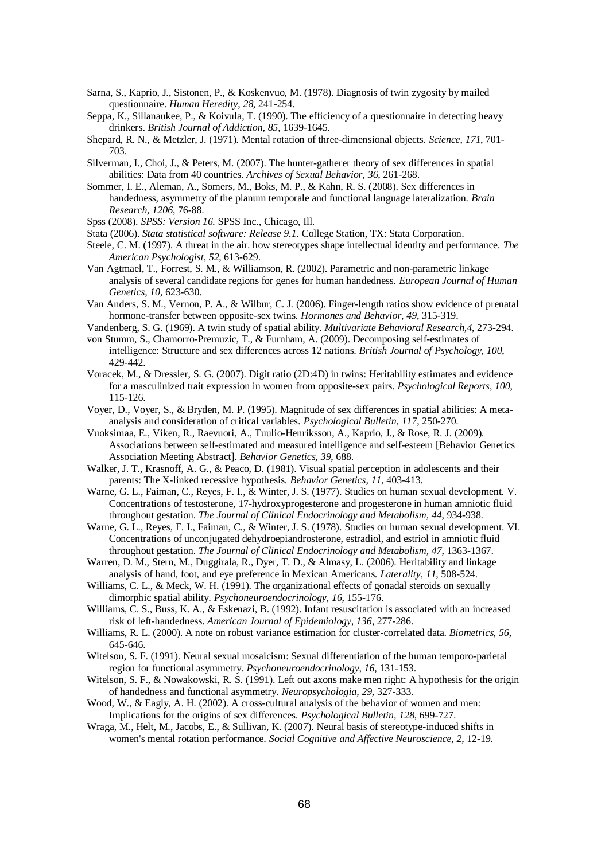- Sarna, S., Kaprio, J., Sistonen, P., & Koskenvuo, M. (1978). Diagnosis of twin zygosity by mailed questionnaire. *Human Heredity, 28*, 241-254.
- Seppa, K., Sillanaukee, P., & Koivula, T. (1990). The efficiency of a questionnaire in detecting heavy drinkers. *British Journal of Addiction, 85*, 1639-1645.
- Shepard, R. N., & Metzler, J. (1971). Mental rotation of three-dimensional objects. *Science, 171*, 701- 703.
- Silverman, I., Choi, J., & Peters, M. (2007). The hunter-gatherer theory of sex differences in spatial abilities: Data from 40 countries. *Archives of Sexual Behavior, 36*, 261-268.
- Sommer, I. E., Aleman, A., Somers, M., Boks, M. P., & Kahn, R. S. (2008). Sex differences in handedness, asymmetry of the planum temporale and functional language lateralization. *Brain Research, 1206*, 76-88.
- Spss (2008). *SPSS: Version 16.* SPSS Inc., Chicago, Ill.
- Stata (2006). *Stata statistical software: Release 9.1.* College Station, TX: Stata Corporation.
- Steele, C. M. (1997). A threat in the air. how stereotypes shape intellectual identity and performance. *The American Psychologist, 52*, 613-629.
- Van Agtmael, T., Forrest, S. M., & Williamson, R. (2002). Parametric and non-parametric linkage analysis of several candidate regions for genes for human handedness. *European Journal of Human Genetics, 10*, 623-630.
- Van Anders, S. M., Vernon, P. A., & Wilbur, C. J. (2006). Finger-length ratios show evidence of prenatal hormone-transfer between opposite-sex twins. *Hormones and Behavior, 49*, 315-319.

Vandenberg, S. G. (1969). A twin study of spatial ability. *Multivariate Behavioral Research,4,* 273-294.

- von Stumm, S., Chamorro-Premuzic, T., & Furnham, A. (2009). Decomposing self-estimates of intelligence: Structure and sex differences across 12 nations. *British Journal of Psychology, 100*, 429-442.
- Voracek, M., & Dressler, S. G. (2007). Digit ratio (2D:4D) in twins: Heritability estimates and evidence for a masculinized trait expression in women from opposite-sex pairs. *Psychological Reports, 100*, 115-126.
- Voyer, D., Voyer, S., & Bryden, M. P. (1995). Magnitude of sex differences in spatial abilities: A metaanalysis and consideration of critical variables. *Psychological Bulletin, 117*, 250-270.
- Vuoksimaa, E., Viken, R., Raevuori, A., Tuulio-Henriksson, A., Kaprio, J., & Rose, R. J. (2009). Associations between self-estimated and measured intelligence and self-esteem [Behavior Genetics Association Meeting Abstract]. *Behavior Genetics, 39*, 688.
- Walker, J. T., Krasnoff, A. G., & Peaco, D. (1981). Visual spatial perception in adolescents and their parents: The X-linked recessive hypothesis. *Behavior Genetics, 11*, 403-413.
- Warne, G. L., Faiman, C., Reyes, F. I., & Winter, J. S. (1977). Studies on human sexual development. V. Concentrations of testosterone, 17-hydroxyprogesterone and progesterone in human amniotic fluid throughout gestation. *The Journal of Clinical Endocrinology and Metabolism, 44*, 934-938.
- Warne, G. L., Reyes, F. I., Faiman, C., & Winter, J. S. (1978). Studies on human sexual development. VI. Concentrations of unconjugated dehydroepiandrosterone, estradiol, and estriol in amniotic fluid throughout gestation. *The Journal of Clinical Endocrinology and Metabolism, 47*, 1363-1367.
- Warren, D. M., Stern, M., Duggirala, R., Dyer, T. D., & Almasy, L. (2006). Heritability and linkage analysis of hand, foot, and eye preference in Mexican Americans. *Laterality, 11*, 508-524.
- Williams, C. L., & Meck, W. H. (1991). The organizational effects of gonadal steroids on sexually dimorphic spatial ability. *Psychoneuroendocrinology, 16*, 155-176.
- Williams, C. S., Buss, K. A., & Eskenazi, B. (1992). Infant resuscitation is associated with an increased risk of left-handedness. *American Journal of Epidemiology, 136*, 277-286.
- Williams, R. L. (2000). A note on robust variance estimation for cluster-correlated data. *Biometrics, 56*, 645-646.
- Witelson, S. F. (1991). Neural sexual mosaicism: Sexual differentiation of the human temporo-parietal region for functional asymmetry. *Psychoneuroendocrinology, 16*, 131-153.
- Witelson, S. F., & Nowakowski, R. S. (1991). Left out axons make men right: A hypothesis for the origin of handedness and functional asymmetry. *Neuropsychologia, 29*, 327-333.
- Wood, W., & Eagly, A. H. (2002). A cross-cultural analysis of the behavior of women and men: Implications for the origins of sex differences. *Psychological Bulletin, 128*, 699-727.
- Wraga, M., Helt, M., Jacobs, E., & Sullivan, K. (2007). Neural basis of stereotype-induced shifts in women's mental rotation performance. *Social Cognitive and Affective Neuroscience, 2*, 12-19.